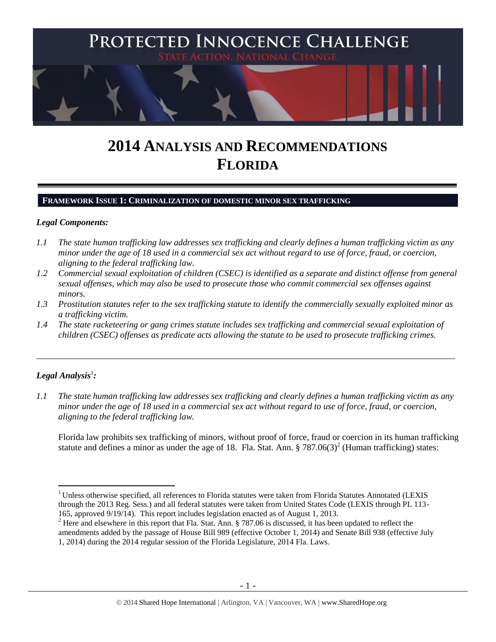

# **2014 ANALYSIS AND RECOMMENDATIONS FLORIDA**

### **FRAMEWORK ISSUE 1: CRIMINALIZATION OF DOMESTIC MINOR SEX TRAFFICKING**

#### *Legal Components:*

- *1.1 The state human trafficking law addresses sex trafficking and clearly defines a human trafficking victim as any minor under the age of 18 used in a commercial sex act without regard to use of force, fraud, or coercion, aligning to the federal trafficking law.*
- *1.2 Commercial sexual exploitation of children (CSEC) is identified as a separate and distinct offense from general sexual offenses, which may also be used to prosecute those who commit commercial sex offenses against minors.*
- *1.3 Prostitution statutes refer to the sex trafficking statute to identify the commercially sexually exploited minor as a trafficking victim.*
- *1.4 The state racketeering or gang crimes statute includes sex trafficking and commercial sexual exploitation of children (CSEC) offenses as predicate acts allowing the statute to be used to prosecute trafficking crimes.*

\_\_\_\_\_\_\_\_\_\_\_\_\_\_\_\_\_\_\_\_\_\_\_\_\_\_\_\_\_\_\_\_\_\_\_\_\_\_\_\_\_\_\_\_\_\_\_\_\_\_\_\_\_\_\_\_\_\_\_\_\_\_\_\_\_\_\_\_\_\_\_\_\_\_\_\_\_\_\_\_\_\_\_\_\_\_\_\_\_\_\_\_\_\_

# $\bm{L}$ egal Analysis $^1$ :

 $\overline{a}$ 

*1.1 The state human trafficking law addresses sex trafficking and clearly defines a human trafficking victim as any minor under the age of 18 used in a commercial sex act without regard to use of force, fraud, or coercion, aligning to the federal trafficking law.*

<span id="page-0-0"></span>Florida law prohibits sex trafficking of minors, without proof of force, fraud or coercion in its human trafficking statute and defines a minor as under the age of 18. Fla. Stat. Ann. § 787.06(3)<sup>2</sup> (Human trafficking) states:

 $1$  Unless otherwise specified, all references to Florida statutes were taken from Florida Statutes Annotated (LEXIS through the 2013 Reg. Sess.) and all federal statutes were taken from United States Code (LEXIS through PL 113- 165, approved 9/19/14). This report includes legislation enacted as of August 1, 2013.

<sup>&</sup>lt;sup>2</sup> Here and elsewhere in this report that Fla. Stat. Ann. § 787.06 is discussed, it has been updated to reflect the amendments added by the passage of House Bill 989 (effective October 1, 2014) and Senate Bill 938 (effective July 1, 2014) during the 2014 regular session of the Florida Legislature, 2014 Fla. Laws.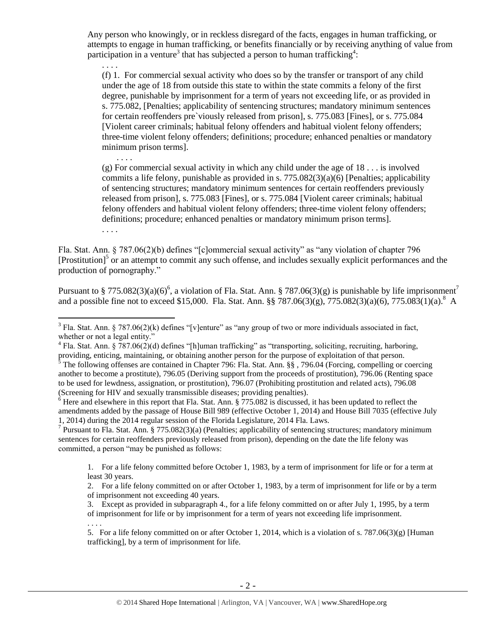Any person who knowingly, or in reckless disregard of the facts, engages in human trafficking, or attempts to engage in human trafficking, or benefits financially or by receiving anything of value from participation in a venture<sup>3</sup> that has subjected a person to human trafficking<sup>4</sup>:

. . . . (f) 1. For commercial sexual activity who does so by the transfer or transport of any child under the age of 18 from outside this state to within the state commits a felony of the first degree, punishable by imprisonment for a term of years not exceeding life, or as provided in s. 775.082, [Penalties; applicability of sentencing structures; mandatory minimum sentences for certain reoffenders pre`viously released from prison], s. 775.083 [Fines], or s. 775.084 [Violent career criminals; habitual felony offenders and habitual violent felony offenders; three-time violent felony offenders; definitions; procedure; enhanced penalties or mandatory minimum prison terms].

 $(g)$  For commercial sexual activity in which any child under the age of  $18...$  is involved commits a life felony, punishable as provided in s.  $775.082(3)(a)(6)$  [Penalties; applicability of sentencing structures; mandatory minimum sentences for certain reoffenders previously released from prison], s. 775.083 [Fines], or s. 775.084 [Violent career criminals; habitual felony offenders and habitual violent felony offenders; three-time violent felony offenders; definitions; procedure; enhanced penalties or mandatory minimum prison terms]. . . . .

Fla. Stat. Ann. § 787.06(2)(b) defines "[c]ommercial sexual activity" as "any violation of chapter 796 [Prostitution]<sup>5</sup> or an attempt to commit any such offense, and includes sexually explicit performances and the production of pornography."

<span id="page-1-0"></span>Pursuant to § 775.082(3)(a)(6)<sup>6</sup>, a violation of Fla. Stat. Ann. § 787.06(3)(g) is punishable by life imprisonment<sup>7</sup> and a possible fine not to exceed \$15,000. Fla. Stat. Ann. §§ 787.06(3)(g), 775.082(3)(a)(6), 775.083(1)(a).<sup>8</sup> A

<span id="page-1-2"></span><span id="page-1-1"></span>. . . .

 $\overline{a}$ 

1. For a life felony committed before October 1, 1983, by a term of imprisonment for life or for a term at least 30 years.

<sup>&</sup>lt;sup>3</sup> Fla. Stat. Ann. § 787.06(2)(k) defines "[v]enture" as "any group of two or more individuals associated in fact, whether or not a legal entity."

<sup>&</sup>lt;sup>4</sup> Fla. Stat. Ann. § 787.06(2)(d) defines "[h]uman trafficking" as "transporting, soliciting, recruiting, harboring, providing, enticing, maintaining, or obtaining another person for the purpose of exploitation of that person.

<sup>5</sup> The following offenses are contained in Chapter 796: Fla. Stat. Ann. §§ , 796.04 (Forcing, compelling or coercing another to become a prostitute), 796.05 (Deriving support from the proceeds of prostitution), 796.06 (Renting space to be used for lewdness, assignation, or prostitution), 796.07 (Prohibiting prostitution and related acts), 796.08 (Screening for HIV and sexually transmissible diseases; providing penalties).

 $6$  Here and elsewhere in this report that Fla. Stat. Ann. § 775.082 is discussed, it has been updated to reflect the amendments added by the passage of House Bill 989 (effective October 1, 2014) and House Bill 7035 (effective July 1, 2014) during the 2014 regular session of the Florida Legislature, 2014 Fla. Laws.

<sup>&</sup>lt;sup>7</sup> Pursuant to Fla. Stat. Ann. § 775.082(3)(a) (Penalties; applicability of sentencing structures; mandatory minimum sentences for certain reoffenders previously released from prison), depending on the date the life felony was committed, a person "may be punished as follows:

<sup>2.</sup> For a life felony committed on or after October 1, 1983, by a term of imprisonment for life or by a term of imprisonment not exceeding 40 years.

<sup>3.</sup> Except as provided in subparagraph 4., for a life felony committed on or after July 1, 1995, by a term of imprisonment for life or by imprisonment for a term of years not exceeding life imprisonment. . . . .

<sup>5.</sup> For a life felony committed on or after October 1, 2014, which is a violation of s. 787.06(3)(g) [Human] trafficking], by a term of imprisonment for life.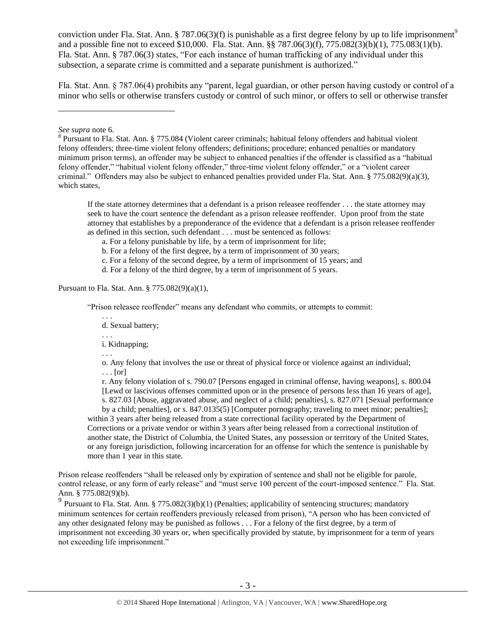conviction under Fla. Stat. Ann. § 787.06(3)(f) is punishable as a first degree felony by up to life imprisonment<sup>9</sup> and a possible fine not to exceed \$10,000. Fla. Stat. Ann. §§ 787.06(3)(f), 775.082(3)(b)(1), 775.083(1)(b). Fla. Stat. Ann. § 787.06(3) states, "For each instance of human trafficking of any individual under this subsection, a separate crime is committed and a separate punishment is authorized."

Fla. Stat. Ann. § 787.06(4) prohibits any "parent, legal guardian, or other person having custody or control of a minor who sells or otherwise transfers custody or control of such minor, or offers to sell or otherwise transfer

 $\overline{a}$ 

If the state attorney determines that a defendant is a prison releasee reoffender . . . the state attorney may seek to have the court sentence the defendant as a prison releasee reoffender. Upon proof from the state attorney that establishes by a preponderance of the evidence that a defendant is a prison releasee reoffender as defined in this section, such defendant . . . must be sentenced as follows:

- a. For a felony punishable by life, by a term of imprisonment for life;
- b. For a felony of the first degree, by a term of imprisonment of 30 years;
- c. For a felony of the second degree, by a term of imprisonment of 15 years; and
- d. For a felony of the third degree, by a term of imprisonment of 5 years.

Pursuant to Fla. Stat. Ann. § 775.082(9)(a)(1),

"Prison releasee reoffender" means any defendant who commits, or attempts to commit:

- . . . d. Sexual battery;
- . . .

i. Kidnapping;

. . .

o. Any felony that involves the use or threat of physical force or violence against an individual;  $\ldots$  [or]

r. Any felony violation of s. 790.07 [Persons engaged in criminal offense, having weapons], s. 800.04 [Lewd or lascivious offenses committed upon or in the presence of persons less than 16 years of age], s. 827.03 [Abuse, aggravated abuse, and neglect of a child; penalties], s. 827.071 [Sexual performance

by a child; penalties], or s. 847.0135(5) [Computer pornography; traveling to meet minor; penalties]; within 3 years after being released from a state correctional facility operated by the Department of Corrections or a private vendor or within 3 years after being released from a correctional institution of another state, the District of Columbia, the United States, any possession or territory of the United States, or any foreign jurisdiction, following incarceration for an offense for which the sentence is punishable by more than 1 year in this state.

Prison release reoffenders "shall be released only by expiration of sentence and shall not be eligible for parole, control release, or any form of early release" and "must serve 100 percent of the court-imposed sentence." Fla. Stat. Ann. § 775.082(9)(b).

<sup>9</sup> Pursuant to Fla. Stat. Ann. § 775.082(3)(b)(1) (Penalties; applicability of sentencing structures; mandatory minimum sentences for certain reoffenders previously released from prison), "A person who has been convicted of any other designated felony may be punished as follows . . . For a felony of the first degree, by a term of imprisonment not exceeding 30 years or, when specifically provided by statute, by imprisonment for a term of years not exceeding life imprisonment."

*See supra* note [6.](#page-1-0)

<sup>&</sup>lt;sup>8</sup> Pursuant to Fla. Stat. Ann. § 775.084 (Violent career criminals; habitual felony offenders and habitual violent felony offenders; three-time violent felony offenders; definitions; procedure; enhanced penalties or mandatory minimum prison terms), an offender may be subject to enhanced penalties if the offender is classified as a "habitual felony offender," "habitual violent felony offender," three-time violent felony offender," or a "violent career criminal." Offenders may also be subject to enhanced penalties provided under Fla. Stat. Ann. § 775.082(9)(a)(3), which states,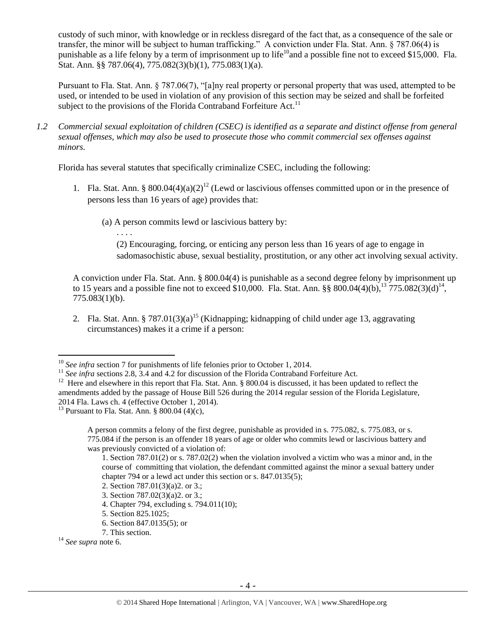custody of such minor, with knowledge or in reckless disregard of the fact that, as a consequence of the sale or transfer, the minor will be subject to human trafficking." A conviction under Fla. Stat. Ann. § 787.06(4) is punishable as a life felony by a term of imprisonment up to life<sup>10</sup>and a possible fine not to exceed \$15,000. Fla. Stat. Ann. §§ 787.06(4), 775.082(3)(b)(1), 775.083(1)(a).

Pursuant to Fla. Stat. Ann. § 787.06(7), "[a]ny real property or personal property that was used, attempted to be used, or intended to be used in violation of any provision of this section may be seized and shall be forfeited subject to the provisions of the Florida Contraband Forfeiture Act.<sup>11</sup>

*1.2 Commercial sexual exploitation of children (CSEC) is identified as a separate and distinct offense from general sexual offenses, which may also be used to prosecute those who commit commercial sex offenses against minors.*

Florida has several statutes that specifically criminalize CSEC, including the following:

- 1. Fla. Stat. Ann. § 800.04(4)(a)(2)<sup>12</sup> (Lewd or lascivious offenses committed upon or in the presence of persons less than 16 years of age) provides that:
	- (a) A person commits lewd or lascivious battery by:

<span id="page-3-1"></span>(2) Encouraging, forcing, or enticing any person less than 16 years of age to engage in sadomasochistic abuse, sexual bestiality, prostitution, or any other act involving sexual activity.

A conviction under Fla. Stat. Ann. § 800.04(4) is punishable as a second degree felony by imprisonment up to 15 years and a possible fine not to exceed \$10,000. Fla. Stat. Ann. §§ 800.04(4)(b),<sup>13</sup> 775.082(3)(d)<sup>14</sup>, 775.083(1)(b).

2. Fla. Stat. Ann. § 787.01(3)(a)<sup>15</sup> (Kidnapping; kidnapping of child under age 13, aggravating circumstances) makes it a crime if a person:

<span id="page-3-0"></span>. . . .

<sup>&</sup>lt;sup>10</sup> See infra section [7](#page-1-1) for punishments of life felonies prior to October 1, 2014.

<sup>&</sup>lt;sup>11</sup> See infra sections 2.8, 3.4 and 4.2 for discussion of the Florida Contraband Forfeiture Act.

<sup>&</sup>lt;sup>12</sup> Here and elsewhere in this report that Fla. Stat. Ann. § 800.04 is discussed, it has been updated to reflect the amendments added by the passage of House Bill 526 during the 2014 regular session of the Florida Legislature, 2014 Fla. Laws ch. 4 (effective October 1, 2014).

 $13$  Pursuant to Fla. Stat. Ann. § 800.04 (4)(c),

A person commits a felony of the first degree, punishable as provided in s. 775.082, s. 775.083, or s. 775.084 if the person is an offender 18 years of age or older who commits lewd or lascivious battery and was previously convicted of a violation of:

<sup>1.</sup> Section 787.01(2) or s. 787.02(2) when the violation involved a victim who was a minor and, in the course of committing that violation, the defendant committed against the minor a sexual battery under chapter 794 or a lewd act under this section or s. 847.0135(5);

<sup>2.</sup> Section 787.01(3)(a)2. or 3.;

<sup>3.</sup> Section 787.02(3)(a)2. or 3.;

<sup>4.</sup> Chapter 794, excluding s. 794.011(10);

<sup>5.</sup> Section 825.1025;

<sup>6.</sup> Section 847.0135(5); or

<sup>7.</sup> This section.

<sup>14</sup> *See supra* note [6.](#page-1-0)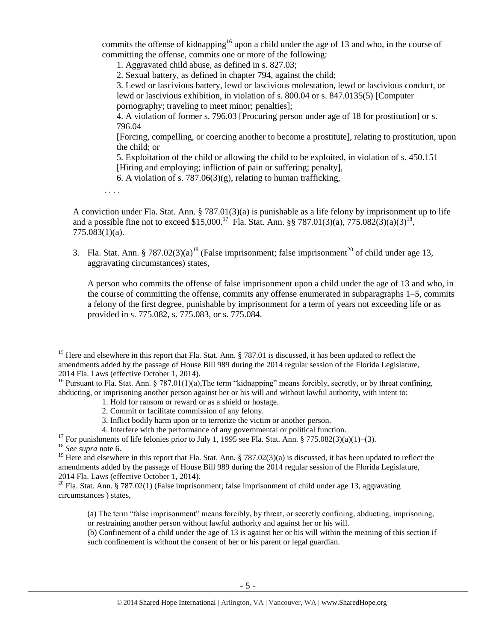commits the offense of kidnapping<sup>16</sup> upon a child under the age of 13 and who, in the course of committing the offense, commits one or more of the following:

1. Aggravated child abuse, as defined in [s. 827.03;](https://www.lexis.com/research/buttonTFLink?_m=99d15fcbe8655d2e548ea5a7c9e85374&_xfercite=%3ccite%20cc%3d%22USA%22%3e%3c%21%5bCDATA%5bFla.%20Stat.%20%a7%20787.01%5d%5d%3e%3c%2fcite%3e&_butType=4&_butStat=0&_butNum=5&_butInline=1&_butinfo=FLCODE%20827.03&_fmtstr=FULL&docnum=1&_startdoc=1&wchp=dGLzVzV-zSkAl&_md5=746fc7f7f7aa62f611173920fd20cf81)

2. Sexual battery, as defined in chapter 794, against the child;

3. Lewd or lascivious battery, lewd or lascivious molestation, lewd or lascivious conduct, or lewd or lascivious exhibition, in violation of [s. 800.04](https://www.lexis.com/research/buttonTFLink?_m=99d15fcbe8655d2e548ea5a7c9e85374&_xfercite=%3ccite%20cc%3d%22USA%22%3e%3c%21%5bCDATA%5bFla.%20Stat.%20%a7%20787.01%5d%5d%3e%3c%2fcite%3e&_butType=4&_butStat=0&_butNum=6&_butInline=1&_butinfo=FLCODE%20800.04&_fmtstr=FULL&docnum=1&_startdoc=1&wchp=dGLzVzV-zSkAl&_md5=df3c01c0e18060582b3b6daf227a2ae7) o[r s. 847.0135\(5\)](https://www.lexis.com/research/buttonTFLink?_m=99d15fcbe8655d2e548ea5a7c9e85374&_xfercite=%3ccite%20cc%3d%22USA%22%3e%3c%21%5bCDATA%5bFla.%20Stat.%20%a7%20787.01%5d%5d%3e%3c%2fcite%3e&_butType=4&_butStat=0&_butNum=7&_butInline=1&_butinfo=FLCODE%20847.0135&_fmtstr=FULL&docnum=1&_startdoc=1&wchp=dGLzVzV-zSkAl&_md5=99c51d1dd7b47fe6aa5f0a95515f540f) [Computer pornography; traveling to meet minor; penalties];

4. A violation of former [s. 796.03](https://www.lexis.com/research/buttonTFLink?_m=99d15fcbe8655d2e548ea5a7c9e85374&_xfercite=%3ccite%20cc%3d%22USA%22%3e%3c%21%5bCDATA%5bFla.%20Stat.%20%a7%20787.01%5d%5d%3e%3c%2fcite%3e&_butType=4&_butStat=0&_butNum=8&_butInline=1&_butinfo=FLCODE%20796.03&_fmtstr=FULL&docnum=1&_startdoc=1&wchp=dGLzVzV-zSkAl&_md5=84f93ed08015b059f0a641285df59387) [Procuring person under age of 18 for prostitution] or [s.](https://www.lexis.com/research/buttonTFLink?_m=99d15fcbe8655d2e548ea5a7c9e85374&_xfercite=%3ccite%20cc%3d%22USA%22%3e%3c%21%5bCDATA%5bFla.%20Stat.%20%a7%20787.01%5d%5d%3e%3c%2fcite%3e&_butType=4&_butStat=0&_butNum=9&_butInline=1&_butinfo=FLCODE%20796.04&_fmtstr=FULL&docnum=1&_startdoc=1&wchp=dGLzVzV-zSkAl&_md5=ef47e03769c278dde132a8fbf8497698)  [796.04](https://www.lexis.com/research/buttonTFLink?_m=99d15fcbe8655d2e548ea5a7c9e85374&_xfercite=%3ccite%20cc%3d%22USA%22%3e%3c%21%5bCDATA%5bFla.%20Stat.%20%a7%20787.01%5d%5d%3e%3c%2fcite%3e&_butType=4&_butStat=0&_butNum=9&_butInline=1&_butinfo=FLCODE%20796.04&_fmtstr=FULL&docnum=1&_startdoc=1&wchp=dGLzVzV-zSkAl&_md5=ef47e03769c278dde132a8fbf8497698)

[Forcing, compelling, or coercing another to become a prostitute], relating to prostitution, upon the child; or

5. Exploitation of the child or allowing the child to be exploited, in violation of [s. 450.151](https://www.lexis.com/research/buttonTFLink?_m=99d15fcbe8655d2e548ea5a7c9e85374&_xfercite=%3ccite%20cc%3d%22USA%22%3e%3c%21%5bCDATA%5bFla.%20Stat.%20%a7%20787.01%5d%5d%3e%3c%2fcite%3e&_butType=4&_butStat=0&_butNum=10&_butInline=1&_butinfo=FLCODE%20450.151&_fmtstr=FULL&docnum=1&_startdoc=1&wchp=dGLzVzV-zSkAl&_md5=521b539c10f3c7e3a8575e3e0da683fc) [Hiring and employing; infliction of pain or suffering; penalty],

6. A violation of s. 787.06(3)(g), relating to human trafficking.

. . . .

A conviction under Fla. Stat. Ann. § 787.01(3)(a) is punishable as a life felony by imprisonment up to life and a possible fine not to exceed \$15,000.<sup>17</sup> Fla. Stat. Ann. §§ 787.01(3)(a), 775.082(3)(a)(3)<sup>18</sup>, 775.083(1)(a).

3. Fla. Stat. Ann. § 787.02(3)(a)<sup>19</sup> (False imprisonment; false imprisonment<sup>20</sup> of child under age 13, aggravating circumstances) states,

A person who commits the offense of false imprisonment upon a child under the age of 13 and who, in the course of committing the offense, commits any offense enumerated in subparagraphs 1–5, commits a felony of the first degree, punishable by imprisonment for a term of years not exceeding life or as provided in s. 775.082, s. 775.083, or s. 775.084.

<sup>18</sup> *See supra* note [6.](#page-1-0)

<sup>&</sup>lt;sup>15</sup> Here and elsewhere in this report that Fla. Stat. Ann. § 787.01 is discussed, it has been updated to reflect the amendments added by the passage of House Bill 989 during the 2014 regular session of the Florida Legislature, 2014 Fla. Laws (effective October 1, 2014).

<sup>&</sup>lt;sup>16</sup> Pursuant to Fla. Stat. Ann. § 787.01(1)(a), The term "kidnapping" means forcibly, secretly, or by threat confining, abducting, or imprisoning another person against her or his will and without lawful authority, with intent to:

<sup>1.</sup> Hold for ransom or reward or as a shield or hostage.

<sup>2.</sup> Commit or facilitate commission of any felony.

<sup>3.</sup> Inflict bodily harm upon or to terrorize the victim or another person.

<sup>4.</sup> Interfere with the performance of any governmental or political function.

<sup>&</sup>lt;sup>17</sup> For punishments of life felonies prior to July 1, 1995 see Fla. Stat. Ann. § 775.082(3)(a)(1)–(3).

<sup>&</sup>lt;sup>19</sup> Here and elsewhere in this report that Fla. Stat. Ann. § 787.02(3)(a) is discussed, it has been updated to reflect the amendments added by the passage of House Bill 989 during the 2014 regular session of the Florida Legislature, 2014 Fla. Laws (effective October 1, 2014).

<sup>&</sup>lt;sup>20</sup> Fla. Stat. Ann. § 787.02(1) (False imprisonment; false imprisonment of child under age 13, aggravating circumstances ) states,

<sup>(</sup>a) The term "false imprisonment" means forcibly, by threat, or secretly confining, abducting, imprisoning, or restraining another person without lawful authority and against her or his will.

<sup>(</sup>b) Confinement of a child under the age of 13 is against her or his will within the meaning of this section if such confinement is without the consent of her or his parent or legal guardian.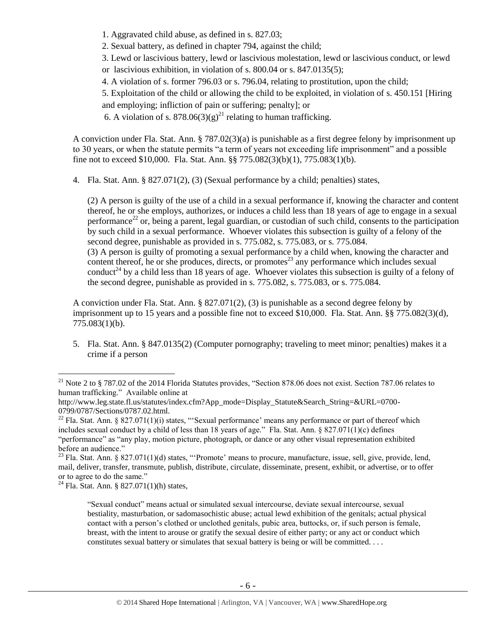- 1. Aggravated child abuse, as defined in [s. 827.03;](https://www.lexis.com/research/buttonTFLink?_m=a683f2de9c465b2b4b05a5b951fbcaf0&_xfercite=%3ccite%20cc%3d%22USA%22%3e%3c%21%5bCDATA%5bFla.%20Stat.%20%a7%20787.02%5d%5d%3e%3c%2fcite%3e&_butType=4&_butStat=0&_butNum=8&_butInline=1&_butinfo=FLCODE%20827.03&_fmtstr=FULL&docnum=1&_startdoc=1&wchp=dGLbVzV-zSkAA&_md5=b4c47de4d7d6a69e144a0b6f7761592e)
- 2. Sexual battery, as defined in chapter 794, against the child;

3. Lewd or lascivious battery, lewd or lascivious molestation, lewd or lascivious conduct, or lewd or lascivious exhibition, in violation of [s. 800.04](https://www.lexis.com/research/buttonTFLink?_m=a683f2de9c465b2b4b05a5b951fbcaf0&_xfercite=%3ccite%20cc%3d%22USA%22%3e%3c%21%5bCDATA%5bFla.%20Stat.%20%a7%20787.02%5d%5d%3e%3c%2fcite%3e&_butType=4&_butStat=0&_butNum=9&_butInline=1&_butinfo=FLCODE%20800.04&_fmtstr=FULL&docnum=1&_startdoc=1&wchp=dGLbVzV-zSkAA&_md5=fe76faf30e21d394d251e4d5e03c027e) or [s. 847.0135\(5\);](https://www.lexis.com/research/buttonTFLink?_m=a683f2de9c465b2b4b05a5b951fbcaf0&_xfercite=%3ccite%20cc%3d%22USA%22%3e%3c%21%5bCDATA%5bFla.%20Stat.%20%a7%20787.02%5d%5d%3e%3c%2fcite%3e&_butType=4&_butStat=0&_butNum=10&_butInline=1&_butinfo=FLCODE%20847.0135&_fmtstr=FULL&docnum=1&_startdoc=1&wchp=dGLbVzV-zSkAA&_md5=613946b829e9953e9ee10d0b28f2e01f)

4. A violation of [s. former 796.03](https://www.lexis.com/research/buttonTFLink?_m=a683f2de9c465b2b4b05a5b951fbcaf0&_xfercite=%3ccite%20cc%3d%22USA%22%3e%3c%21%5bCDATA%5bFla.%20Stat.%20%a7%20787.02%5d%5d%3e%3c%2fcite%3e&_butType=4&_butStat=0&_butNum=11&_butInline=1&_butinfo=FLCODE%20796.03&_fmtstr=FULL&docnum=1&_startdoc=1&wchp=dGLbVzV-zSkAA&_md5=182aab13917c870876f05104cae476c4) or [s. 796.04,](https://www.lexis.com/research/buttonTFLink?_m=a683f2de9c465b2b4b05a5b951fbcaf0&_xfercite=%3ccite%20cc%3d%22USA%22%3e%3c%21%5bCDATA%5bFla.%20Stat.%20%a7%20787.02%5d%5d%3e%3c%2fcite%3e&_butType=4&_butStat=0&_butNum=12&_butInline=1&_butinfo=FLCODE%20796.04&_fmtstr=FULL&docnum=1&_startdoc=1&wchp=dGLbVzV-zSkAA&_md5=e419899da71fd3c0642830187d86905a) relating to prostitution, upon the child;

5. Exploitation of the child or allowing the child to be exploited, in violation of [s. 450.151](https://www.lexis.com/research/buttonTFLink?_m=a683f2de9c465b2b4b05a5b951fbcaf0&_xfercite=%3ccite%20cc%3d%22USA%22%3e%3c%21%5bCDATA%5bFla.%20Stat.%20%a7%20787.02%5d%5d%3e%3c%2fcite%3e&_butType=4&_butStat=0&_butNum=13&_butInline=1&_butinfo=FLCODE%20450.151&_fmtstr=FULL&docnum=1&_startdoc=1&wchp=dGLbVzV-zSkAA&_md5=2e3386bd48830e1fef7b4eaf9b269dfd) [Hiring and employing; infliction of pain or suffering; penalty]; or

6. A violation of s.  $878.06(3)(g)^{21}$  relating to human trafficking.

A conviction under Fla. Stat. Ann. § 787.02(3)(a) is punishable as a first degree felony by imprisonment up to 30 years, or when the statute permits "a term of years not exceeding life imprisonment" and a possible fine not to exceed \$10,000. Fla. Stat. Ann. §§ 775.082(3)(b)(1), 775.083(1)(b).

4. Fla. Stat. Ann. § 827.071(2), (3) (Sexual performance by a child; penalties) states,

<span id="page-5-1"></span>(2) A person is guilty of the use of a child in a sexual performance if, knowing the character and content thereof, he or she employs, authorizes, or induces a child less than 18 years of age to engage in a sexual performance<sup>22</sup> or, being a parent, legal guardian, or custodian of such child, consents to the participation by such child in a sexual performance. Whoever violates this subsection is guilty of a felony of the second degree, punishable as provided in s. 775.082, s. 775.083, or s. 775.084.

<span id="page-5-2"></span><span id="page-5-0"></span>(3) A person is guilty of promoting a sexual performance by a child when, knowing the character and content thereof, he or she produces, directs, or promotes<sup>23</sup> any performance which includes sexual conduct<sup>24</sup> by a child less than 18 years of age. Whoever violates this subsection is guilty of a felony of the second degree, punishable as provided in s. 775.082, s. 775.083, or s. 775.084.

A conviction under Fla. Stat. Ann. § 827.071(2), (3) is punishable as a second degree felony by imprisonment up to 15 years and a possible fine not to exceed \$10,000. Fla. Stat. Ann. §§ 775.082(3)(d), 775.083(1)(b).

5. Fla. Stat. Ann. § 847.0135(2) (Computer pornography; traveling to meet minor; penalties) makes it a crime if a person

 $^{24}$  Fla. Stat. Ann. § 827.071(1)(h) states,

 $\overline{a}$ 

"Sexual conduct" means actual or simulated sexual intercourse, deviate sexual intercourse, sexual bestiality, masturbation, or sadomasochistic abuse; actual lewd exhibition of the genitals; actual physical contact with a person's clothed or unclothed genitals, pubic area, buttocks, or, if such person is female, breast, with the intent to arouse or gratify the sexual desire of either party; or any act or conduct which constitutes sexual battery or simulates that sexual battery is being or will be committed. . . .

 $21$  Note 2 to § 787.02 of the 2014 Florida Statutes provides, "Section 878.06 does not exist. Section 787.06 relates to human trafficking." Available online at

http://www.leg.state.fl.us/statutes/index.cfm?App\_mode=Display\_Statute&Search\_String=&URL=0700- 0799/0787/Sections/0787.02.html.

<sup>&</sup>lt;sup>22</sup> Fla. Stat. Ann. § 827.071(1)(i) states, "Sexual performance' means any performance or part of thereof which includes sexual conduct by a child of less than 18 years of age." Fla. Stat. Ann. § 827.071(1)(c) defines "performance" as "any play, motion picture, photograph, or dance or any other visual representation exhibited before an audience."

 $^{23}$  Fla. Stat. Ann. § 827.071(1)(d) states, "Promote' means to procure, manufacture, issue, sell, give, provide, lend, mail, deliver, transfer, transmute, publish, distribute, circulate, disseminate, present, exhibit, or advertise, or to offer or to agree to do the same."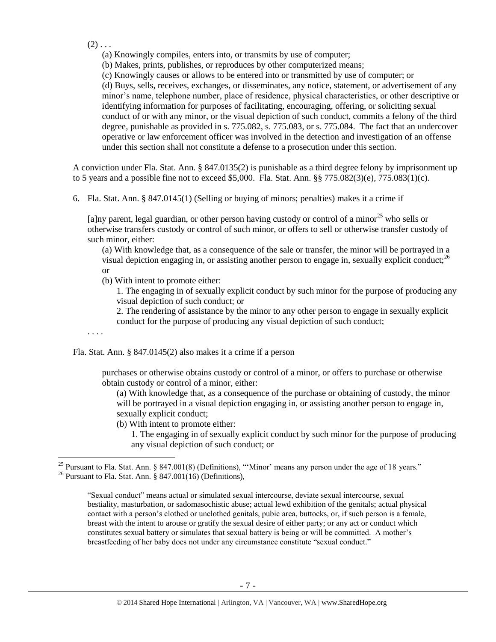$(2) \ldots$ 

(a) Knowingly compiles, enters into, or transmits by use of computer;

(b) Makes, prints, publishes, or reproduces by other computerized means;

(c) Knowingly causes or allows to be entered into or transmitted by use of computer; or

(d) Buys, sells, receives, exchanges, or disseminates, any notice, statement, or advertisement of any minor's name, telephone number, place of residence, physical characteristics, or other descriptive or identifying information for purposes of facilitating, encouraging, offering, or soliciting sexual conduct of or with any minor, or the visual depiction of such conduct, commits a felony of the third degree, punishable as provided in s. 775.082, s. 775.083, or s. 775.084. The fact that an undercover operative or law enforcement officer was involved in the detection and investigation of an offense under this section shall not constitute a defense to a prosecution under this section.

A conviction under Fla. Stat. Ann. § 847.0135(2) is punishable as a third degree felony by imprisonment up to 5 years and a possible fine not to exceed \$5,000. Fla. Stat. Ann. §§ 775.082(3)(e), 775.083(1)(c).

6. Fla. Stat. Ann. § 847.0145(1) (Selling or buying of minors; penalties) makes it a crime if

[a]ny parent, legal guardian, or other person having custody or control of a minor<sup>25</sup> who sells or otherwise transfers custody or control of such minor, or offers to sell or otherwise transfer custody of such minor, either:

(a) With knowledge that, as a consequence of the sale or transfer, the minor will be portrayed in a visual depiction engaging in, or assisting another person to engage in, sexually explicit conduct; $^{26}$ or

(b) With intent to promote either:

<span id="page-6-0"></span>1. The engaging in of sexually explicit conduct by such minor for the purpose of producing any visual depiction of such conduct; or

2. The rendering of assistance by the minor to any other person to engage in sexually explicit conduct for the purpose of producing any visual depiction of such conduct;

. . . .

 $\overline{a}$ 

Fla. Stat. Ann. § 847.0145(2) also makes it a crime if a person

purchases or otherwise obtains custody or control of a minor, or offers to purchase or otherwise obtain custody or control of a minor, either:

(a) With knowledge that, as a consequence of the purchase or obtaining of custody, the minor will be portrayed in a visual depiction engaging in, or assisting another person to engage in, sexually explicit conduct;

(b) With intent to promote either:

1. The engaging in of sexually explicit conduct by such minor for the purpose of producing any visual depiction of such conduct; or

<sup>&</sup>lt;sup>25</sup> Pursuant to Fla. Stat. Ann. § 847.001(8) (Definitions), "'Minor' means any person under the age of 18 years."

<sup>&</sup>lt;sup>26</sup> Pursuant to Fla. Stat. Ann.  $\S$  847.001(16) (Definitions),

<sup>&</sup>quot;Sexual conduct" means actual or simulated sexual intercourse, deviate sexual intercourse, sexual bestiality, masturbation, or sadomasochistic abuse; actual lewd exhibition of the genitals; actual physical contact with a person's clothed or unclothed genitals, pubic area, buttocks, or, if such person is a female, breast with the intent to arouse or gratify the sexual desire of either party; or any act or conduct which constitutes sexual battery or simulates that sexual battery is being or will be committed. A mother's breastfeeding of her baby does not under any circumstance constitute "sexual conduct."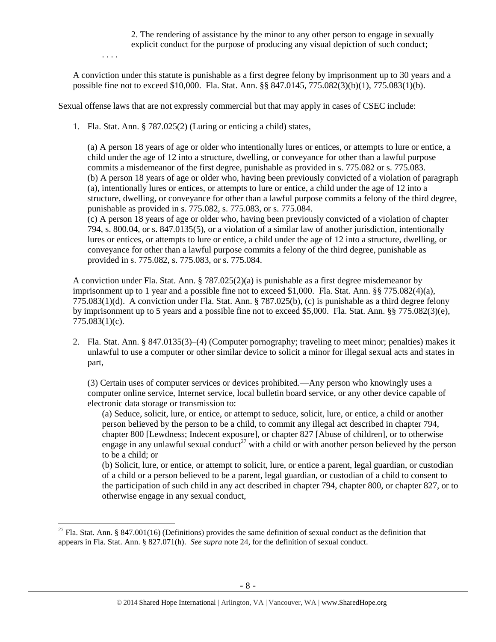2. The rendering of assistance by the minor to any other person to engage in sexually explicit conduct for the purpose of producing any visual depiction of such conduct;

A conviction under this statute is punishable as a first degree felony by imprisonment up to 30 years and a possible fine not to exceed \$10,000. Fla. Stat. Ann. §§ 847.0145, 775.082(3)(b)(1), 775.083(1)(b).

Sexual offense laws that are not expressly commercial but that may apply in cases of CSEC include:

1. Fla. Stat. Ann. § 787.025(2) (Luring or enticing a child) states,

. . . .

 $\overline{a}$ 

(a) A person 18 years of age or older who intentionally lures or entices, or attempts to lure or entice, a child under the age of 12 into a structure, dwelling, or conveyance for other than a lawful purpose commits a misdemeanor of the first degree, punishable as provided in s. 775.082 or s. 775.083. (b) A person 18 years of age or older who, having been previously convicted of a violation of paragraph (a), intentionally lures or entices, or attempts to lure or entice, a child under the age of 12 into a structure, dwelling, or conveyance for other than a lawful purpose commits a felony of the third degree, punishable as provided in s. 775.082, s. 775.083, or s. 775.084. (c) A person 18 years of age or older who, having been previously convicted of a violation of chapter 794, s. 800.04, or s. 847.0135(5), or a violation of a similar law of another jurisdiction, intentionally lures or entices, or attempts to lure or entice, a child under the age of 12 into a structure, dwelling, or conveyance for other than a lawful purpose commits a felony of the third degree, punishable as

provided in s. 775.082, s. 775.083, or s. 775.084.

A conviction under Fla. Stat. Ann. § 787.025(2)(a) is punishable as a first degree misdemeanor by imprisonment up to 1 year and a possible fine not to exceed \$1,000. Fla. Stat. Ann. §§ 775.082(4)(a), 775.083(1)(d). A conviction under Fla. Stat. Ann. § 787.025(b), (c) is punishable as a third degree felony by imprisonment up to 5 years and a possible fine not to exceed \$5,000. Fla. Stat. Ann. §§ 775.082(3)(e), 775.083(1)(c).

2. Fla. Stat. Ann. § 847.0135(3)–(4) (Computer pornography; traveling to meet minor; penalties) makes it unlawful to use a computer or other similar device to solicit a minor for illegal sexual acts and states in part,

(3) Certain uses of computer services or devices prohibited.—Any person who knowingly uses a computer online service, Internet service, local bulletin board service, or any other device capable of electronic data storage or transmission to:

(a) Seduce, solicit, lure, or entice, or attempt to seduce, solicit, lure, or entice, a child or another person believed by the person to be a child, to commit any illegal act described in chapter 794, chapter 800 [Lewdness; Indecent exposure], or chapter 827 [Abuse of children], or to otherwise engage in any unlawful sexual conduct<sup>27</sup> with a child or with another person believed by the person to be a child; or

(b) Solicit, lure, or entice, or attempt to solicit, lure, or entice a parent, legal guardian, or custodian of a child or a person believed to be a parent, legal guardian, or custodian of a child to consent to the participation of such child in any act described in chapter 794, chapter 800, or chapter 827, or to otherwise engage in any sexual conduct,

<sup>&</sup>lt;sup>27</sup> Fla. Stat. Ann. § 847.001(16) (Definitions) provides the same definition of sexual conduct as the definition that appears in Fla. Stat. Ann. § 827.071(h). *See supra* not[e 24,](#page-5-0) for the definition of sexual conduct.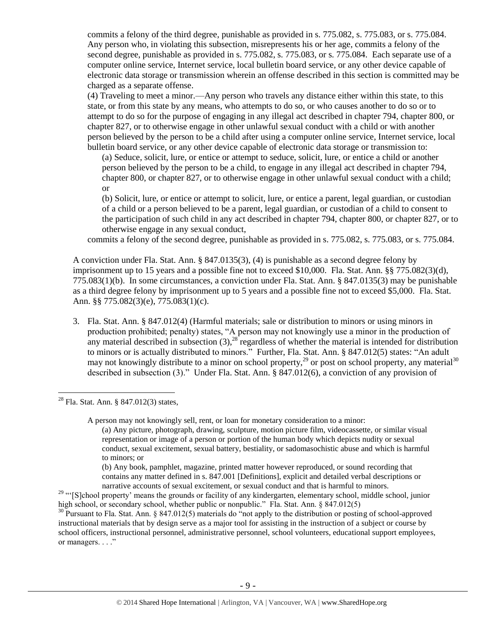commits a felony of the third degree, punishable as provided in s. 775.082, s. 775.083, or s. 775.084. Any person who, in violating this subsection, misrepresents his or her age, commits a felony of the second degree, punishable as provided in s. 775.082, s. 775.083, or s. 775.084. Each separate use of a computer online service, Internet service, local bulletin board service, or any other device capable of electronic data storage or transmission wherein an offense described in this section is committed may be charged as a separate offense.

(4) Traveling to meet a minor.—Any person who travels any distance either within this state, to this state, or from this state by any means, who attempts to do so, or who causes another to do so or to attempt to do so for the purpose of engaging in any illegal act described in chapter 794, chapter 800, or chapter 827, or to otherwise engage in other unlawful sexual conduct with a child or with another person believed by the person to be a child after using a computer online service, Internet service, local bulletin board service, or any other device capable of electronic data storage or transmission to:

(a) Seduce, solicit, lure, or entice or attempt to seduce, solicit, lure, or entice a child or another person believed by the person to be a child, to engage in any illegal act described in chapter 794, chapter 800, or chapter 827, or to otherwise engage in other unlawful sexual conduct with a child; or

(b) Solicit, lure, or entice or attempt to solicit, lure, or entice a parent, legal guardian, or custodian of a child or a person believed to be a parent, legal guardian, or custodian of a child to consent to the participation of such child in any act described in chapter 794, chapter 800, or chapter 827, or to otherwise engage in any sexual conduct,

commits a felony of the second degree, punishable as provided in s. 775.082, s. 775.083, or s. 775.084.

A conviction under Fla. Stat. Ann. § 847.0135(3), (4) is punishable as a second degree felony by imprisonment up to 15 years and a possible fine not to exceed \$10,000. Fla. Stat. Ann. §§ 775.082(3)(d), 775.083(1)(b). In some circumstances, a conviction under Fla. Stat. Ann. § 847.0135(3) may be punishable as a third degree felony by imprisonment up to 5 years and a possible fine not to exceed \$5,000. Fla. Stat. Ann. §§ 775.082(3)(e), 775.083(1)(c).

3. Fla. Stat. Ann. § 847.012(4) (Harmful materials; sale or distribution to minors or using minors in production prohibited; penalty) states, "A person may not knowingly use a minor in the production of any material described in subsection  $(3)$ ,<sup>28</sup> regardless of whether the material is intended for distribution to minors or is actually distributed to minors." Further, Fla. Stat. Ann. § 847.012(5) states: "An adult may not knowingly distribute to a minor on school property,<sup>29</sup> or post on school property, any material<sup>30</sup> described in subsection (3)." Under Fla. Stat. Ann. § 847.012(6), a conviction of any provision of

 $\overline{a}$ 

A person may not knowingly sell, rent, or loan for monetary consideration to a minor:

<sup>29</sup> "'[S]chool property' means the grounds or facility of any kindergarten, elementary school, middle school, junior high school, or secondary school, whether public or nonpublic." Fla. Stat. Ann. § 847.012(5)

 $^{28}$  Fla. Stat. Ann. § 847.012(3) states,

<sup>(</sup>a) Any picture, photograph, drawing, sculpture, motion picture film, videocassette, or similar visual representation or image of a person or portion of the human body which depicts nudity or sexual conduct, sexual excitement, sexual battery, bestiality, or sadomasochistic abuse and which is harmful to minors; or

<sup>(</sup>b) Any book, pamphlet, magazine, printed matter however reproduced, or sound recording that contains any matter defined in s. 847.001 [Definitions], explicit and detailed verbal descriptions or narrative accounts of sexual excitement, or sexual conduct and that is harmful to minors.

<sup>&</sup>lt;sup>30</sup> Pursuant to Fla. Stat. Ann. § 847.012(5) materials do "not apply to the distribution or posting of school-approved instructional materials that by design serve as a major tool for assisting in the instruction of a subject or course by school officers, instructional personnel, administrative personnel, school volunteers, educational support employees, or managers. . . ."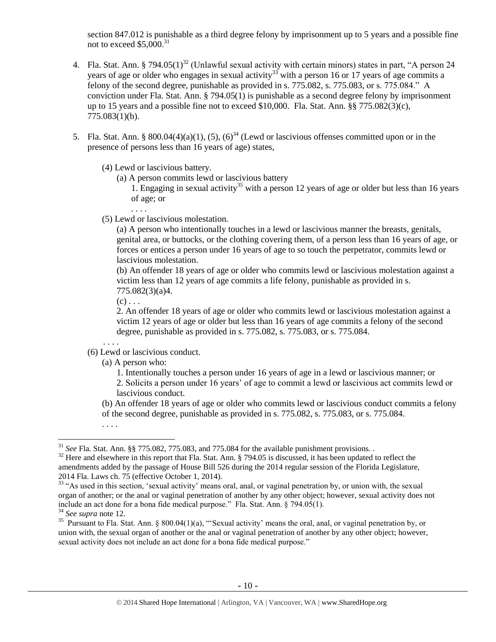section 847.012 is punishable as a third degree felony by imprisonment up to 5 years and a possible fine not to exceed  $$5,000$ <sup>31</sup>

- 4. Fla. Stat. Ann. § 794.05(1)<sup>32</sup> (Unlawful sexual activity with certain minors) states in part, "A person 24 vears of age or older who engages in sexual activity<sup>33</sup> with a person 16 or 17 years of age commits a felony of the second degree, punishable as provided in s. 775.082, s. 775.083, or s. 775.084." A conviction under Fla. Stat. Ann. § 794.05(1) is punishable as a second degree felony by imprisonment up to 15 years and a possible fine not to exceed \$10,000. Fla. Stat. Ann. §§ 775.082(3)(c), 775.083(1)(b).
- 5. Fla. Stat. Ann. § 800.04(4)(a)(1), (5), (6)<sup>34</sup> (Lewd or lascivious offenses committed upon or in the presence of persons less than 16 years of age) states,
	- (4) Lewd or lascivious battery.
		- (a) A person commits lewd or lascivious battery

1. Engaging in sexual activity<sup>35</sup> with a person 12 years of age or older but less than 16 years of age; or

. . . .

(5) Lewd or lascivious molestation.

(a) A person who intentionally touches in a lewd or lascivious manner the breasts, genitals, genital area, or buttocks, or the clothing covering them, of a person less than 16 years of age, or forces or entices a person under 16 years of age to so touch the perpetrator, commits lewd or lascivious molestation.

(b) An offender 18 years of age or older who commits lewd or lascivious molestation against a victim less than 12 years of age commits a life felony, punishable as provided in s. 775.082(3)(a)4.

 $(c)$ ...

2. An offender 18 years of age or older who commits lewd or lascivious molestation against a victim 12 years of age or older but less than 16 years of age commits a felony of the second degree, punishable as provided in s. 775.082, s. 775.083, or s. 775.084.

. . . .

## (6) Lewd or lascivious conduct.

- (a) A person who:
	- 1. Intentionally touches a person under 16 years of age in a lewd or lascivious manner; or
	- 2. Solicits a person under 16 years' of age to commit a lewd or lascivious act commits lewd or lascivious conduct.

(b) An offender 18 years of age or older who commits lewd or lascivious conduct commits a felony of the second degree, punishable as provided in s. 775.082, s. 775.083, or s. 775.084.

<sup>. . . .</sup>

<sup>31</sup> *See* Fla. Stat. Ann. §§ 775.082, 775.083, and 775.084 for the available punishment provisions. .

<sup>&</sup>lt;sup>32</sup> Here and elsewhere in this report that Fla. Stat. Ann. § 794.05 is discussed, it has been updated to reflect the amendments added by the passage of House Bill 526 during the 2014 regular session of the Florida Legislature, 2014 Fla. Laws ch. 75 (effective October 1, 2014).

<sup>&</sup>lt;sup>33</sup> "As used in this section, 'sexual activity' means oral, anal, or vaginal penetration by, or union with, the sexual organ of another; or the anal or vaginal penetration of another by any other object; however, sexual activity does not include an act done for a bona fide medical purpose." Fla. Stat. Ann. § 794.05(1).

<sup>34</sup> *See supra* note [12.](#page-3-0) 

<sup>&</sup>lt;sup>35</sup> Pursuant to Fla. Stat. Ann. § 800.04(1)(a), "Sexual activity' means the oral, anal, or vaginal penetration by, or union with, the sexual organ of another or the anal or vaginal penetration of another by any other object; however, sexual activity does not include an act done for a bona fide medical purpose."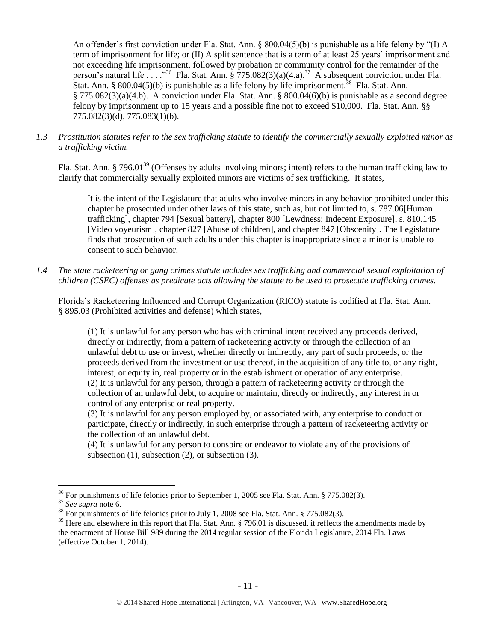An offender's first conviction under Fla. Stat. Ann.  $\S 800.04(5)(b)$  is punishable as a life felony by "(I) A term of imprisonment for life; or (II) A split sentence that is a term of at least 25 years' imprisonment and not exceeding life imprisonment, followed by probation or community control for the remainder of the person's natural life  $\ldots$   $\cdot$ <sup>36</sup> Fla. Stat. Ann. § 775.082(3)(a)(4.a).<sup>37</sup> A subsequent conviction under Fla. Stat. Ann. § 800.04(5)(b) is punishable as a life felony by life imprisonment.<sup>38</sup> Fla. Stat. Ann. § 775.082(3)(a)(4.b). A conviction under Fla. Stat. Ann. § 800.04(6)(b) is punishable as a second degree felony by imprisonment up to 15 years and a possible fine not to exceed \$10,000. Fla. Stat. Ann. §§ 775.082(3)(d), 775.083(1)(b).

*1.3 Prostitution statutes refer to the sex trafficking statute to identify the commercially sexually exploited minor as a trafficking victim.* 

Fla. Stat. Ann. § 796.01<sup>39</sup> (Offenses by adults involving minors; intent) refers to the human trafficking law to clarify that commercially sexually exploited minors are victims of sex trafficking. It states,

<span id="page-10-0"></span>It is the intent of the Legislature that adults who involve minors in any behavior prohibited under this chapter be prosecuted under other laws of this state, such as, but not limited to, s. 787.06[Human trafficking], chapter 794 [Sexual battery], chapter 800 [Lewdness; Indecent Exposure], s. 810.145 [Video voyeurism], chapter 827 [Abuse of children], and chapter 847 [Obscenity]. The Legislature finds that prosecution of such adults under this chapter is inappropriate since a minor is unable to consent to such behavior.

*1.4 The state racketeering or gang crimes statute includes sex trafficking and commercial sexual exploitation of children (CSEC) offenses as predicate acts allowing the statute to be used to prosecute trafficking crimes.* 

Florida's Racketeering Influenced and Corrupt Organization (RICO) statute is codified at Fla. Stat. Ann. § 895.03 (Prohibited activities and defense) which states,

(1) It is unlawful for any person who has with criminal intent received any proceeds derived, directly or indirectly, from a pattern of racketeering activity or through the collection of an unlawful debt to use or invest, whether directly or indirectly, any part of such proceeds, or the proceeds derived from the investment or use thereof, in the acquisition of any title to, or any right, interest, or equity in, real property or in the establishment or operation of any enterprise. (2) It is unlawful for any person, through a pattern of racketeering activity or through the collection of an unlawful debt, to acquire or maintain, directly or indirectly, any interest in or control of any enterprise or real property.

(3) It is unlawful for any person employed by, or associated with, any enterprise to conduct or participate, directly or indirectly, in such enterprise through a pattern of racketeering activity or the collection of an unlawful debt.

(4) It is unlawful for any person to conspire or endeavor to violate any of the provisions of subsection  $(1)$ , subsection  $(2)$ , or subsection  $(3)$ .

 $36$  For punishments of life felonies prior to September 1, 2005 see Fla. Stat. Ann. § 775.082(3).

<sup>37</sup> *See supra* note [6.](#page-1-0)

 $38$  For punishments of life felonies prior to July 1, 2008 see Fla. Stat. Ann. § 775.082(3).

 $39$  Here and elsewhere in this report that Fla. Stat. Ann. § 796.01 is discussed, it reflects the amendments made by the enactment of House Bill 989 during the 2014 regular session of the Florida Legislature, 2014 Fla. Laws (effective October 1, 2014).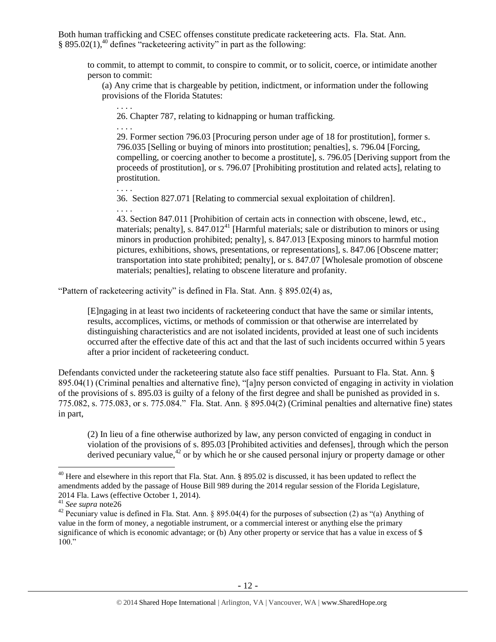Both human trafficking and CSEC offenses constitute predicate racketeering acts. Fla. Stat. Ann.  $§ 895.02(1),<sup>40</sup>$  defines "racketeering activity" in part as the following:

to commit, to attempt to commit, to conspire to commit, or to solicit, coerce, or intimidate another person to commit:

(a) Any crime that is chargeable by petition, indictment, or information under the following provisions of the Florida Statutes:

26. Chapter 787, relating to kidnapping or human trafficking.

. . . .

. . . .

29. Former section 796.03 [Procuring person under age of 18 for prostitution], former s. 796.035 [Selling or buying of minors into prostitution; penalties], s. 796.04 [Forcing, compelling, or coercing another to become a prostitute], s. 796.05 [Deriving support from the proceeds of prostitution], or s. 796.07 [Prohibiting prostitution and related acts], relating to prostitution.

. . . .

36. Section 827.071 [Relating to commercial sexual exploitation of children].

. . . .

43. Section 847.011 [Prohibition of certain acts in connection with obscene, lewd, etc., materials; penalty], s.  $847.012<sup>41</sup>$  [Harmful materials; sale or distribution to minors or using minors in production prohibited; penalty], s. 847.013 [Exposing minors to harmful motion pictures, exhibitions, shows, presentations, or representations], s. 847.06 [Obscene matter; transportation into state prohibited; penalty], or s. 847.07 [Wholesale promotion of obscene materials; penalties], relating to obscene literature and profanity.

"Pattern of racketeering activity" is defined in Fla. Stat. Ann. § 895.02(4) as,

[E]ngaging in at least two incidents of racketeering conduct that have the same or similar intents, results, accomplices, victims, or methods of commission or that otherwise are interrelated by distinguishing characteristics and are not isolated incidents, provided at least one of such incidents occurred after the effective date of this act and that the last of such incidents occurred within 5 years after a prior incident of racketeering conduct.

Defendants convicted under the racketeering statute also face stiff penalties. Pursuant to Fla. Stat. Ann. § 895.04(1) (Criminal penalties and alternative fine), "[a]ny person convicted of engaging in activity in violation of the provisions of s. 895.03 is guilty of a felony of the first degree and shall be punished as provided in s. 775.082, s. 775.083, or s. 775.084." Fla. Stat. Ann. § 895.04(2) (Criminal penalties and alternative fine) states in part,

(2) In lieu of a fine otherwise authorized by law, any person convicted of engaging in conduct in violation of the provisions of s. 895.03 [Prohibited activities and defenses], through which the person derived pecuniary value,<sup>42</sup> or by which he or she caused personal injury or property damage or other

<sup>&</sup>lt;sup>40</sup> Here and elsewhere in this report that Fla. Stat. Ann. § 895.02 is discussed, it has been updated to reflect the amendments added by the passage of House Bill 989 during the 2014 regular session of the Florida Legislature, 2014 Fla. Laws (effective October 1, 2014).

<sup>41</sup> *See supra* not[e26](#page-6-0)

<sup>&</sup>lt;sup>42</sup> Pecuniary value is defined in Fla. Stat. Ann. § 895.04(4) for the purposes of subsection (2) as "(a) Anything of value in the form of money, a negotiable instrument, or a commercial interest or anything else the primary significance of which is economic advantage; or (b) Any other property or service that has a value in excess of \$  $100.$ "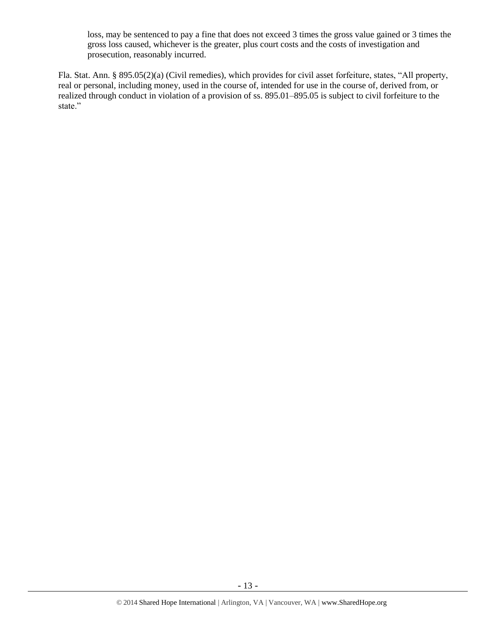loss, may be sentenced to pay a fine that does not exceed 3 times the gross value gained or 3 times the gross loss caused, whichever is the greater, plus court costs and the costs of investigation and prosecution, reasonably incurred.

Fla. Stat. Ann. § 895.05(2)(a) (Civil remedies), which provides for civil asset forfeiture, states, "All property, real or personal, including money, used in the course of, intended for use in the course of, derived from, or realized through conduct in violation of a provision of ss. 895.01–895.05 is subject to civil forfeiture to the state."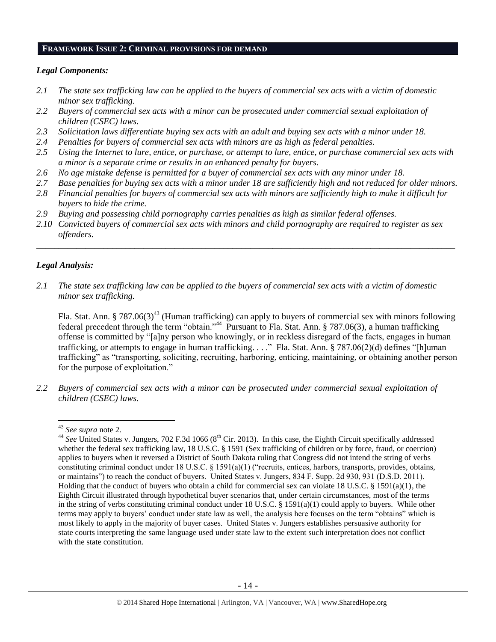### **FRAMEWORK ISSUE 2: CRIMINAL PROVISIONS FOR DEMAND**

## *Legal Components:*

- *2.1 The state sex trafficking law can be applied to the buyers of commercial sex acts with a victim of domestic minor sex trafficking.*
- *2.2 Buyers of commercial sex acts with a minor can be prosecuted under commercial sexual exploitation of children (CSEC) laws.*
- *2.3 Solicitation laws differentiate buying sex acts with an adult and buying sex acts with a minor under 18.*
- *2.4 Penalties for buyers of commercial sex acts with minors are as high as federal penalties.*
- *2.5 Using the Internet to lure, entice, or purchase, or attempt to lure, entice, or purchase commercial sex acts with a minor is a separate crime or results in an enhanced penalty for buyers.*
- *2.6 No age mistake defense is permitted for a buyer of commercial sex acts with any minor under 18.*
- *2.7 Base penalties for buying sex acts with a minor under 18 are sufficiently high and not reduced for older minors.*
- *2.8 Financial penalties for buyers of commercial sex acts with minors are sufficiently high to make it difficult for buyers to hide the crime.*
- *2.9 Buying and possessing child pornography carries penalties as high as similar federal offenses.*
- *2.10 Convicted buyers of commercial sex acts with minors and child pornography are required to register as sex offenders.*

\_\_\_\_\_\_\_\_\_\_\_\_\_\_\_\_\_\_\_\_\_\_\_\_\_\_\_\_\_\_\_\_\_\_\_\_\_\_\_\_\_\_\_\_\_\_\_\_\_\_\_\_\_\_\_\_\_\_\_\_\_\_\_\_\_\_\_\_\_\_\_\_\_\_\_\_\_\_\_\_\_\_\_\_\_\_\_\_\_\_\_\_\_\_

## *Legal Analysis:*

*2.1 The state sex trafficking law can be applied to the buyers of commercial sex acts with a victim of domestic minor sex trafficking.*

Fla. Stat. Ann. § 787.06(3)<sup>43</sup> (Human trafficking) can apply to buyers of commercial sex with minors following federal precedent through the term "obtain."<sup>44</sup> Pursuant to Fla. Stat. Ann. § 787.06(3), a human trafficking offense is committed by "[a]ny person who knowingly, or in reckless disregard of the facts, engages in human trafficking, or attempts to engage in human trafficking. . . ." Fla. Stat. Ann. § 787.06(2)(d) defines "[h]uman trafficking" as "transporting, soliciting, recruiting, harboring, enticing, maintaining, or obtaining another person for the purpose of exploitation."

*2.2 Buyers of commercial sex acts with a minor can be prosecuted under commercial sexual exploitation of children (CSEC) laws.*

<sup>43</sup> *See supra* note [2.](#page-0-0)

 $^{44}$  *See* United States v. Jungers, 702 F.3d 1066 (8<sup>th</sup> Cir. 2013). In this case, the Eighth Circuit specifically addressed whether the federal sex trafficking law, 18 U.S.C. § 1591 (Sex trafficking of children or by force, fraud, or coercion) applies to buyers when it reversed a District of South Dakota ruling that Congress did not intend the string of verbs constituting criminal conduct under 18 U.S.C. § 1591(a)(1) ("recruits, entices, harbors, transports, provides, obtains, or maintains") to reach the conduct of buyers. United States v. Jungers, 834 F. Supp. 2d 930, 931 (D.S.D. 2011). Holding that the conduct of buyers who obtain a child for commercial sex can violate 18 U.S.C. § 1591(a)(1), the Eighth Circuit illustrated through hypothetical buyer scenarios that, under certain circumstances, most of the terms in the string of verbs constituting criminal conduct under 18 U.S.C. § 1591(a)(1) could apply to buyers. While other terms may apply to buyers' conduct under state law as well, the analysis here focuses on the term "obtains" which is most likely to apply in the majority of buyer cases. United States v. Jungers establishes persuasive authority for state courts interpreting the same language used under state law to the extent such interpretation does not conflict with the state constitution.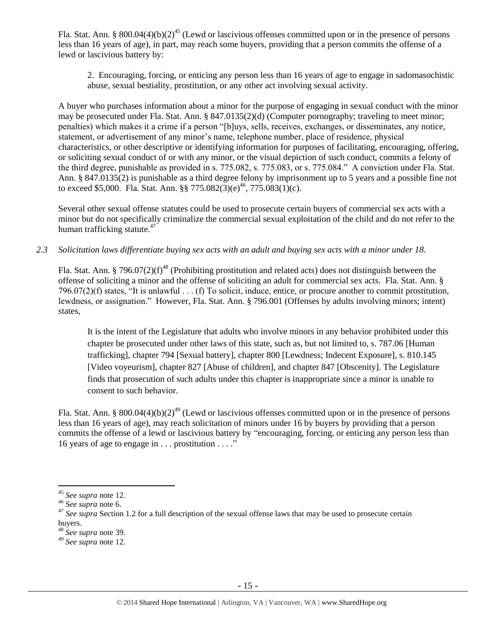Fla. Stat. Ann. § 800.04(4)(b)(2)<sup>45</sup> (Lewd or lascivious offenses committed upon or in the presence of persons less than 16 years of age), in part, may reach some buyers, providing that a person commits the offense of a lewd or lascivious battery by:

2. Encouraging, forcing, or enticing any person less than 16 years of age to engage in sadomasochistic abuse, sexual bestiality, prostitution, or any other act involving sexual activity.

A buyer who purchases information about a minor for the purpose of engaging in sexual conduct with the minor may be prosecuted under Fla. Stat. Ann. § 847.0135(2)(d) (Computer pornography; traveling to meet minor; penalties) which makes it a crime if a person "[b]uys, sells, receives, exchanges, or disseminates, any notice, statement, or advertisement of any minor's name, telephone number, place of residence, physical characteristics, or other descriptive or identifying information for purposes of facilitating, encouraging, offering, or soliciting sexual conduct of or with any minor, or the visual depiction of such conduct, commits a felony of the third degree, punishable as provided in s. 775.082, s. 775.083, or s. 775.084." A conviction under Fla. Stat. Ann. § 847.0135(2) is punishable as a third degree felony by imprisonment up to 5 years and a possible fine not to exceed \$5,000. Fla. Stat. Ann. §§ 775.082(3)(e)<sup>46</sup>, 775.083(1)(c).

Several other sexual offense statutes could be used to prosecute certain buyers of commercial sex acts with a minor but do not specifically criminalize the commercial sexual exploitation of the child and do not refer to the human trafficking statute. $47$ 

*2.3 Solicitation laws differentiate buying sex acts with an adult and buying sex acts with a minor under 18.*

Fla. Stat. Ann. § 796.07(2)(f)<sup>48</sup> (Prohibiting prostitution and related acts) does not distinguish between the offense of soliciting a minor and the offense of soliciting an adult for commercial sex acts. Fla. Stat. Ann. § 796.07(2)(f) states, "It is unlawful . . . (f) To solicit, induce, entice, or procure another to commit prostitution, lewdness, or assignation." However, Fla. Stat. Ann. § 796.001 (Offenses by adults involving minors; intent) states,

It is the intent of the Legislature that adults who involve minors in any behavior prohibited under this chapter be prosecuted under other laws of this state, such as, but not limited to, s. 787.06 [Human trafficking], chapter 794 [Sexual battery], chapter 800 [Lewdness; Indecent Exposure], s. 810.145 [Video voyeurism], chapter 827 [Abuse of children], and chapter 847 [Obscenity]. The Legislature finds that prosecution of such adults under this chapter is inappropriate since a minor is unable to consent to such behavior.

Fla. Stat. Ann. § 800.04(4)(b)(2)<sup>49</sup> (Lewd or lascivious offenses committed upon or in the presence of persons less than 16 years of age), may reach solicitation of minors under 16 by buyers by providing that a person commits the offense of a lewd or lascivious battery by "encouraging, forcing, or enticing any person less than 16 years of age to engage in . . . prostitution . . . ."

<sup>45</sup> *See supra* note [12.](#page-3-0) 

<sup>46</sup> *See supra* note [6.](#page-1-0)

<sup>&</sup>lt;sup>47</sup> See supra Section 1.2 for a full description of the sexual offense laws that may be used to prosecute certain buyers.

<sup>48</sup> *See supra* note [39.](#page-10-0)

<sup>49</sup> *See supra* note [12.](#page-3-0)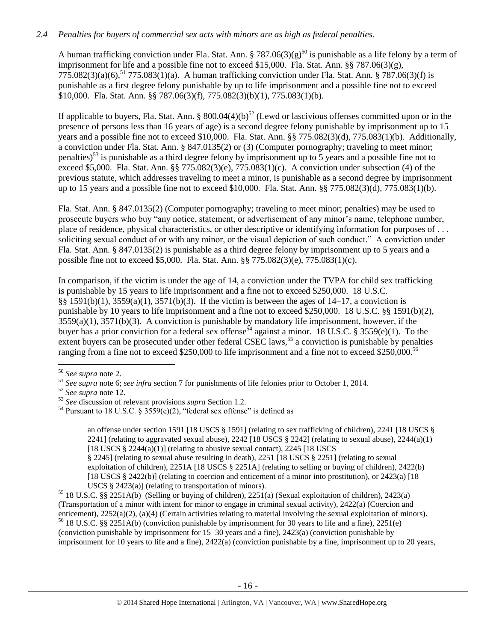## *2.4 Penalties for buyers of commercial sex acts with minors are as high as federal penalties.*

A human trafficking conviction under Fla. Stat. Ann. § 787.06(3)(g)<sup>50</sup> is punishable as a life felony by a term of imprisonment for life and a possible fine not to exceed \$15,000. Fla. Stat. Ann. §§ 787.06(3)(g),  $775.082(3)(a)(6)$ ,  $^{51}775.083(1)(a)$ . A human trafficking conviction under Fla. Stat. Ann. § 787.06(3)(f) is punishable as a first degree felony punishable by up to life imprisonment and a possible fine not to exceed \$10,000. Fla. Stat. Ann. §§ 787.06(3)(f), 775.082(3)(b)(1), 775.083(1)(b).

If applicable to buyers, Fla. Stat. Ann. §  $800.04(4)(b)^{52}$  (Lewd or lascivious offenses committed upon or in the presence of persons less than 16 years of age) is a second degree felony punishable by imprisonment up to 15 years and a possible fine not to exceed \$10,000. Fla. Stat. Ann. §§ 775.082(3)(d), 775.083(1)(b). Additionally, a conviction under Fla. Stat. Ann. § 847.0135(2) or (3) (Computer pornography; traveling to meet minor; penalties)<sup>53</sup> is punishable as a third degree felony by imprisonment up to 5 years and a possible fine not to exceed \$5,000. Fla. Stat. Ann. §§ 775.082(3)(e), 775.083(1)(c). A conviction under subsection (4) of the previous statute, which addresses traveling to meet a minor, is punishable as a second degree by imprisonment up to 15 years and a possible fine not to exceed \$10,000. Fla. Stat. Ann. §§ 775.082(3)(d), 775.083(1)(b).

Fla. Stat. Ann. § 847.0135(2) (Computer pornography; traveling to meet minor; penalties) may be used to prosecute buyers who buy "any notice, statement, or advertisement of any minor's name, telephone number, place of residence, physical characteristics, or other descriptive or identifying information for purposes of . . . soliciting sexual conduct of or with any minor, or the visual depiction of such conduct." A conviction under Fla. Stat. Ann. § 847.0135(2) is punishable as a third degree felony by imprisonment up to 5 years and a possible fine not to exceed \$5,000. Fla. Stat. Ann. §§ 775.082(3)(e), 775.083(1)(c).

In comparison, if the victim is under the age of 14, a conviction under the TVPA for child sex trafficking is punishable by 15 years to life imprisonment and a fine not to exceed \$250,000. 18 U.S.C. §§ 1591(b)(1), 3559(a)(1), 3571(b)(3). If the victim is between the ages of 14–17, a conviction is punishable by 10 years to life imprisonment and a fine not to exceed \$250,000. 18 U.S.C. §§ 1591(b)(2), 3559(a)(1), 3571(b)(3). A conviction is punishable by mandatory life imprisonment, however, if the buyer has a prior conviction for a federal sex offense<sup>54</sup> against a minor. 18 U.S.C. § 3559(e)(1). To the extent buyers can be prosecuted under other federal CSEC laws,<sup>55</sup> a conviction is punishable by penalties ranging from a fine not to exceed \$250,000 to life imprisonment and a fine not to exceed \$250,000.<sup>56</sup>

<span id="page-15-0"></span>an offense under section 1591 [18 USCS § 1591] (relating to sex trafficking of children), 2241 [18 USCS § 2241] (relating to aggravated sexual abuse),  $2242$  [18 USCS § 2242] (relating to sexual abuse),  $2244(a)(1)$ [18 USCS  $\S$  2244(a)(1)] (relating to abusive sexual contact), 2245 [18 USCS] § 2245] (relating to sexual abuse resulting in death), 2251 [18 USCS § 2251] (relating to sexual exploitation of children), 2251A [18 USCS § 2251A] (relating to selling or buying of children), 2422(b)

[18 USCS § 2422(b)] (relating to coercion and enticement of a minor into prostitution), or 2423(a) [18 USCS § 2423(a)] (relating to transportation of minors).

<sup>55</sup> 18 U.S.C. §§ 2251A(b) (Selling or buying of children), 2251(a) (Sexual exploitation of children), 2423(a) (Transportation of a minor with intent for minor to engage in criminal sexual activity), 2422(a) (Coercion and enticement), 2252(a)(2), (a)(4) (Certain activities relating to material involving the sexual exploitation of minors). <sup>56</sup> 18 U.S.C. §§ 2251A(b) (conviction punishable by imprisonment for 30 years to life and a fine), 2251(e) (conviction punishable by imprisonment for 15–30 years and a fine), 2423(a) (conviction punishable by imprisonment for 10 years to life and a fine), 2422(a) (conviction punishable by a fine, imprisonment up to 20 years,

 $\overline{a}$ <sup>50</sup> *See supra* note [2.](#page-0-0)

<sup>51</sup> *See supra* note [6;](#page-1-0) *see infra* sectio[n 7](#page-1-1) for punishments of life felonies prior to October 1, 2014.

<sup>52</sup> *See supra* note [12.](#page-3-0) 

<sup>53</sup> *See* discussion of relevant provisions *supra* Section 1.2.

 $54$  Pursuant to 18 U.S.C. § 3559(e)(2), "federal sex offense" is defined as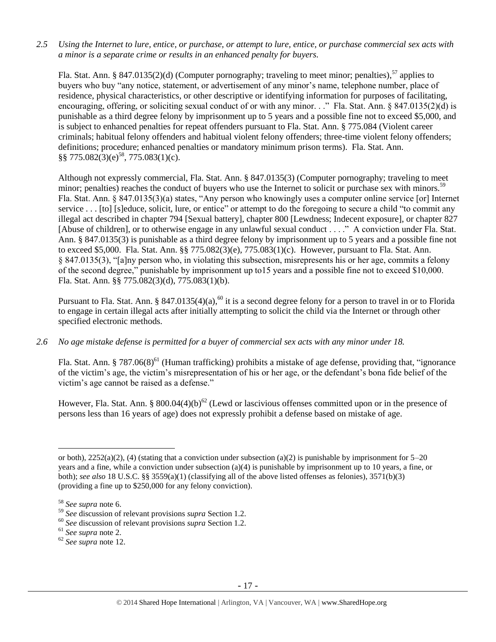*2.5 Using the Internet to lure, entice, or purchase, or attempt to lure, entice, or purchase commercial sex acts with a minor is a separate crime or results in an enhanced penalty for buyers.*

Fla. Stat. Ann. § 847.0135(2)(d) (Computer pornography; traveling to meet minor; penalties),<sup>57</sup> applies to buyers who buy "any notice, statement, or advertisement of any minor's name, telephone number, place of residence, physical characteristics, or other descriptive or identifying information for purposes of facilitating, encouraging, offering, or soliciting sexual conduct of or with any minor. . ." Fla. Stat. Ann. § 847.0135(2)(d) is punishable as a third degree felony by imprisonment up to 5 years and a possible fine not to exceed \$5,000, and is subject to enhanced penalties for repeat offenders pursuant to Fla. Stat. Ann. § 775.084 (Violent career criminals; habitual felony offenders and habitual violent felony offenders; three-time violent felony offenders; definitions; procedure; enhanced penalties or mandatory minimum prison terms). Fla. Stat. Ann.  $\S$ § 775.082(3)(e)<sup>58</sup>, 775.083(1)(c).

Although not expressly commercial, Fla. Stat. Ann. § 847.0135(3) (Computer pornography; traveling to meet minor; penalties) reaches the conduct of buyers who use the Internet to solicit or purchase sex with minors.<sup>59</sup> Fla. Stat. Ann. § 847.0135(3)(a) states, "Any person who knowingly uses a computer online service [or] Internet service . . . [to] [s]educe, solicit, lure, or entice" or attempt to do the foregoing to secure a child "to commit any illegal act described in chapter 794 [Sexual battery], chapter 800 [Lewdness; Indecent exposure], or chapter 827 [Abuse of children], or to otherwise engage in any unlawful sexual conduct . . . ." A conviction under Fla. Stat. Ann. § 847.0135(3) is punishable as a third degree felony by imprisonment up to 5 years and a possible fine not to exceed \$5,000. Fla. Stat. Ann. §§ 775.082(3)(e), 775.083(1)(c). However, pursuant to Fla. Stat. Ann. § 847.0135(3), "[a]ny person who, in violating this subsection, misrepresents his or her age, commits a felony of the second degree," punishable by imprisonment up to15 years and a possible fine not to exceed \$10,000. Fla. Stat. Ann. §§ 775.082(3)(d), 775.083(1)(b).

Pursuant to Fla. Stat. Ann. § 847.0135(4)(a),<sup>60</sup> it is a second degree felony for a person to travel in or to Florida to engage in certain illegal acts after initially attempting to solicit the child via the Internet or through other specified electronic methods.

*2.6 No age mistake defense is permitted for a buyer of commercial sex acts with any minor under 18.*

Fla. Stat. Ann. § 787.06(8)<sup>61</sup> (Human trafficking) prohibits a mistake of age defense, providing that, "ignorance of the victim's age, the victim's misrepresentation of his or her age, or the defendant's bona fide belief of the victim's age cannot be raised as a defense."

However, Fla. Stat. Ann. § 800.04(4)(b)<sup>62</sup> (Lewd or lascivious offenses committed upon or in the presence of persons less than 16 years of age) does not expressly prohibit a defense based on mistake of age.

or both),  $2252(a)(2)$ , (4) (stating that a conviction under subsection (a)(2) is punishable by imprisonment for  $5-20$ years and a fine, while a conviction under subsection (a)(4) is punishable by imprisonment up to 10 years, a fine, or both); *see also* 18 U.S.C. §§ 3559(a)(1) (classifying all of the above listed offenses as felonies), 3571(b)(3) (providing a fine up to \$250,000 for any felony conviction).

<sup>58</sup> *See supra* note [6.](#page-1-0)

<sup>59</sup> *See* discussion of relevant provisions *supra* Section 1.2.

<sup>60</sup> *See* discussion of relevant provisions *supra* Section 1.2.

<sup>61</sup> *See supra* note [2.](#page-0-0)

<sup>62</sup> *See supra* note [12.](#page-3-0)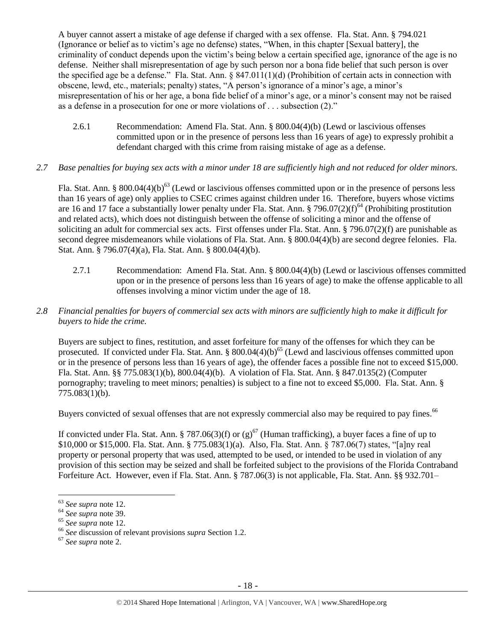A buyer cannot assert a mistake of age defense if charged with a sex offense. Fla. Stat. Ann. § 794.021 (Ignorance or belief as to victim's age no defense) states, "When, in this chapter [Sexual battery], the criminality of conduct depends upon the victim's being below a certain specified age, ignorance of the age is no defense. Neither shall misrepresentation of age by such person nor a bona fide belief that such person is over the specified age be a defense." Fla. Stat. Ann. § 847.011(1)(d) (Prohibition of certain acts in connection with obscene, lewd, etc., materials; penalty) states, "A person's ignorance of a minor's age, a minor's misrepresentation of his or her age, a bona fide belief of a minor's age, or a minor's consent may not be raised as a defense in a prosecution for one or more violations of . . . subsection (2)."

- 2.6.1 Recommendation: Amend Fla. Stat. Ann. § 800.04(4)(b) (Lewd or lascivious offenses committed upon or in the presence of persons less than 16 years of age) to expressly prohibit a defendant charged with this crime from raising mistake of age as a defense.
- *2.7 Base penalties for buying sex acts with a minor under 18 are sufficiently high and not reduced for older minors.*

Fla. Stat. Ann. § 800.04(4)(b)<sup>63</sup> (Lewd or lascivious offenses committed upon or in the presence of persons less than 16 years of age) only applies to CSEC crimes against children under 16. Therefore, buyers whose victims are 16 and 17 face a substantially lower penalty under Fla. Stat. Ann. § 796.07(2)(f)<sup>64</sup> (Prohibiting prostitution and related acts), which does not distinguish between the offense of soliciting a minor and the offense of soliciting an adult for commercial sex acts. First offenses under Fla. Stat. Ann. § 796.07(2)(f) are punishable as second degree misdemeanors while violations of Fla. Stat. Ann. § 800.04(4)(b) are second degree felonies. Fla. Stat. Ann. § 796.07(4)(a), Fla. Stat. Ann. § 800.04(4)(b).

- 2.7.1 Recommendation: Amend Fla. Stat. Ann. § 800.04(4)(b) (Lewd or lascivious offenses committed upon or in the presence of persons less than 16 years of age) to make the offense applicable to all offenses involving a minor victim under the age of 18.
- *2.8 Financial penalties for buyers of commercial sex acts with minors are sufficiently high to make it difficult for buyers to hide the crime.*

Buyers are subject to fines, restitution, and asset forfeiture for many of the offenses for which they can be prosecuted. If convicted under Fla. Stat. Ann.  $\S 800.04(4)(b)^{65}$  (Lewd and lascivious offenses committed upon or in the presence of persons less than 16 years of age), the offender faces a possible fine not to exceed \$15,000. Fla. Stat. Ann. §§ 775.083(1)(b), 800.04(4)(b). A violation of Fla. Stat. Ann. § 847.0135(2) (Computer pornography; traveling to meet minors; penalties) is subject to a fine not to exceed \$5,000. Fla. Stat. Ann. § 775.083(1)(b).

Buyers convicted of sexual offenses that are not expressly commercial also may be required to pay fines.<sup>66</sup>

If convicted under Fla. Stat. Ann. § 787.06(3)(f) or (g)<sup>67</sup> (Human trafficking), a buyer faces a fine of up to \$10,000 or \$15,000. Fla. Stat. Ann. § 775.083(1)(a). Also, Fla. Stat. Ann. § 787.06(7) states, "[a]ny real property or personal property that was used, attempted to be used, or intended to be used in violation of any provision of this section may be seized and shall be forfeited subject to the provisions of the Florida Contraband Forfeiture Act. However, even if Fla. Stat. Ann. § 787.06(3) is not applicable, Fla. Stat. Ann. §§ 932.701–

 $\overline{a}$ 

<sup>67</sup> *See supra* note [2.](#page-0-0)

<sup>63</sup> *See supra* note [12.](#page-3-0) 

<sup>64</sup> *See supra* note [39.](#page-10-0)

<sup>65</sup> *See supra* note [12.](#page-3-0) 

<sup>66</sup> *See* discussion of relevant provisions *supra* Section 1.2.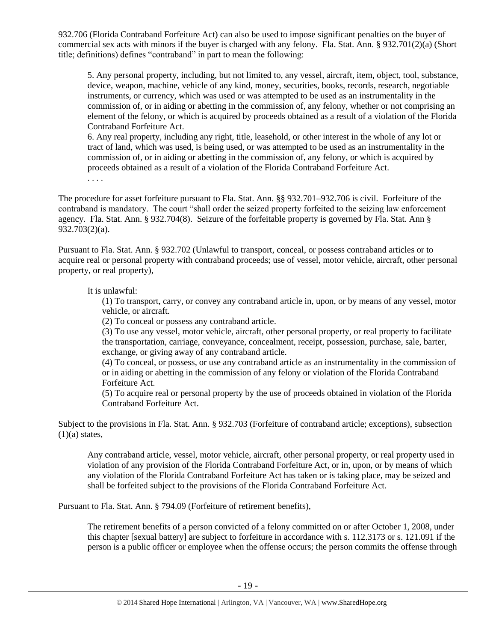932.706 (Florida Contraband Forfeiture Act) can also be used to impose significant penalties on the buyer of commercial sex acts with minors if the buyer is charged with any felony. Fla. Stat. Ann. § 932.701(2)(a) (Short title; definitions) defines "contraband" in part to mean the following:

5. Any personal property, including, but not limited to, any vessel, aircraft, item, object, tool, substance, device, weapon, machine, vehicle of any kind, money, securities, books, records, research, negotiable instruments, or currency, which was used or was attempted to be used as an instrumentality in the commission of, or in aiding or abetting in the commission of, any felony, whether or not comprising an element of the felony, or which is acquired by proceeds obtained as a result of a violation of the Florida Contraband Forfeiture Act.

6. Any real property, including any right, title, leasehold, or other interest in the whole of any lot or tract of land, which was used, is being used, or was attempted to be used as an instrumentality in the commission of, or in aiding or abetting in the commission of, any felony, or which is acquired by proceeds obtained as a result of a violation of the Florida Contraband Forfeiture Act. . . . .

The procedure for asset forfeiture pursuant to Fla. Stat. Ann. §§ 932.701–932.706 is civil. Forfeiture of the contraband is mandatory. The court "shall order the seized property forfeited to the seizing law enforcement agency. Fla. Stat. Ann. § 932.704(8). Seizure of the forfeitable property is governed by Fla. Stat. Ann § 932.703(2)(a).

Pursuant to Fla. Stat. Ann. § 932.702 (Unlawful to transport, conceal, or possess contraband articles or to acquire real or personal property with contraband proceeds; use of vessel, motor vehicle, aircraft, other personal property, or real property),

## It is unlawful:

(1) To transport, carry, or convey any contraband article in, upon, or by means of any vessel, motor vehicle, or aircraft.

(2) To conceal or possess any contraband article.

(3) To use any vessel, motor vehicle, aircraft, other personal property, or real property to facilitate the transportation, carriage, conveyance, concealment, receipt, possession, purchase, sale, barter, exchange, or giving away of any contraband article.

(4) To conceal, or possess, or use any contraband article as an instrumentality in the commission of or in aiding or abetting in the commission of any felony or violation of the Florida Contraband Forfeiture Act.

(5) To acquire real or personal property by the use of proceeds obtained in violation of the Florida Contraband Forfeiture Act.

Subject to the provisions in Fla. Stat. Ann. § 932.703 (Forfeiture of contraband article; exceptions), subsection  $(1)(a)$  states,

Any contraband article, vessel, motor vehicle, aircraft, other personal property, or real property used in violation of any provision of the Florida Contraband Forfeiture Act, or in, upon, or by means of which any violation of the Florida Contraband Forfeiture Act has taken or is taking place, may be seized and shall be forfeited subject to the provisions of the Florida Contraband Forfeiture Act.

Pursuant to Fla. Stat. Ann. § 794.09 (Forfeiture of retirement benefits),

The retirement benefits of a person convicted of a felony committed on or after October 1, 2008, under this chapter [sexual battery] are subject to forfeiture in accordance with s. 112.3173 or s. 121.091 if the person is a public officer or employee when the offense occurs; the person commits the offense through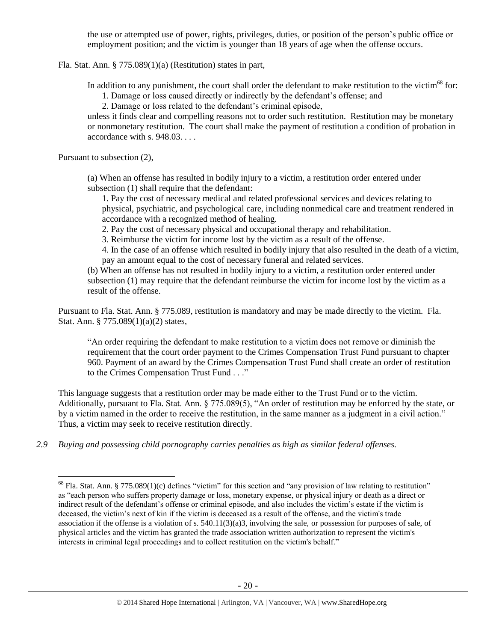the use or attempted use of power, rights, privileges, duties, or position of the person's public office or employment position; and the victim is younger than 18 years of age when the offense occurs.

Fla. Stat. Ann. § 775.089(1)(a) (Restitution) states in part,

In addition to any punishment, the court shall order the defendant to make restitution to the victim<sup>68</sup> for:

<span id="page-19-0"></span>1. Damage or loss caused directly or indirectly by the defendant's offense; and

2. Damage or loss related to the defendant's criminal episode,

unless it finds clear and compelling reasons not to order such restitution. Restitution may be monetary or nonmonetary restitution. The court shall make the payment of restitution a condition of probation in accordance with s. 948.03. . . .

Pursuant to subsection (2),

 $\overline{a}$ 

(a) When an offense has resulted in bodily injury to a victim, a restitution order entered under subsection (1) shall require that the defendant:

1. Pay the cost of necessary medical and related professional services and devices relating to physical, psychiatric, and psychological care, including nonmedical care and treatment rendered in accordance with a recognized method of healing.

2. Pay the cost of necessary physical and occupational therapy and rehabilitation.

3. Reimburse the victim for income lost by the victim as a result of the offense.

4. In the case of an offense which resulted in bodily injury that also resulted in the death of a victim, pay an amount equal to the cost of necessary funeral and related services.

(b) When an offense has not resulted in bodily injury to a victim, a restitution order entered under subsection (1) may require that the defendant reimburse the victim for income lost by the victim as a result of the offense.

Pursuant to Fla. Stat. Ann. § 775.089, restitution is mandatory and may be made directly to the victim. Fla. Stat. Ann. § 775.089(1)(a)(2) states,

"An order requiring the defendant to make restitution to a victim does not remove or diminish the requirement that the court order payment to the Crimes Compensation Trust Fund pursuant to chapter 960. Payment of an award by the Crimes Compensation Trust Fund shall create an order of restitution to the Crimes Compensation Trust Fund . . ."

This language suggests that a restitution order may be made either to the Trust Fund or to the victim. Additionally, pursuant to Fla. Stat. Ann. § 775.089(5), "An order of restitution may be enforced by the state, or by a victim named in the order to receive the restitution, in the same manner as a judgment in a civil action." Thus, a victim may seek to receive restitution directly.

*2.9 Buying and possessing child pornography carries penalties as high as similar federal offenses.*

 $^{68}$  Fla. Stat. Ann. § 775.089(1)(c) defines "victim" for this section and "any provision of law relating to restitution" as "each person who suffers property damage or loss, monetary expense, or physical injury or death as a direct or indirect result of the defendant's offense or criminal episode, and also includes the victim's estate if the victim is deceased, the victim's next of kin if the victim is deceased as a result of the offense, and the victim's trade association if the offense is a violation of s.  $540.11(3)(a)3$ , involving the sale, or possession for purposes of sale, of physical articles and the victim has granted the trade association written authorization to represent the victim's interests in criminal legal proceedings and to collect restitution on the victim's behalf."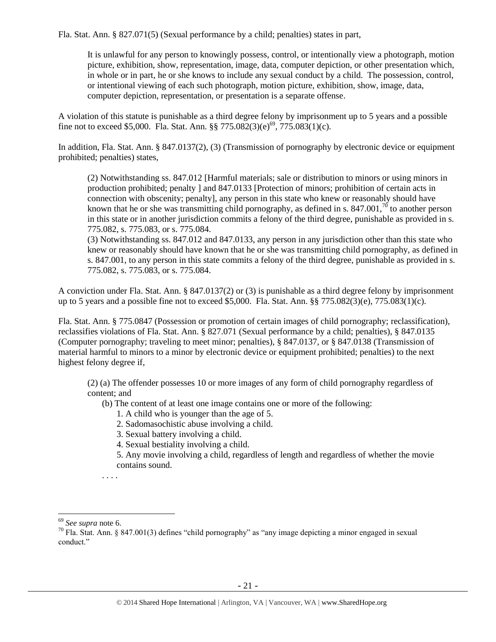Fla. Stat. Ann. § 827.071(5) (Sexual performance by a child; penalties) states in part,

It is unlawful for any person to knowingly possess, control, or intentionally view a photograph, motion picture, exhibition, show, representation, image, data, computer depiction, or other presentation which, in whole or in part, he or she knows to include any sexual conduct by a child. The possession, control, or intentional viewing of each such photograph, motion picture, exhibition, show, image, data, computer depiction, representation, or presentation is a separate offense.

A violation of this statute is punishable as a third degree felony by imprisonment up to 5 years and a possible fine not to exceed \$5,000. Fla. Stat. Ann. §§ 775.082(3)(e)<sup>69</sup>, 775.083(1)(c).

In addition, Fla. Stat. Ann. § 847.0137(2), (3) (Transmission of pornography by electronic device or equipment prohibited; penalties) states,

(2) Notwithstanding ss. 847.012 [Harmful materials; sale or distribution to minors or using minors in production prohibited; penalty ] and 847.0133 [Protection of minors; prohibition of certain acts in connection with obscenity; penalty], any person in this state who knew or reasonably should have known that he or she was transmitting child pornography, as defined in s. 847.001,<sup>70</sup> to another person in this state or in another jurisdiction commits a felony of the third degree, punishable as provided in s. 775.082, s. 775.083, or s. 775.084.

(3) Notwithstanding ss. 847.012 and 847.0133, any person in any jurisdiction other than this state who knew or reasonably should have known that he or she was transmitting child pornography, as defined in s. 847.001, to any person in this state commits a felony of the third degree, punishable as provided in s. 775.082, s. 775.083, or s. 775.084.

A conviction under Fla. Stat. Ann. § 847.0137(2) or (3) is punishable as a third degree felony by imprisonment up to 5 years and a possible fine not to exceed \$5,000. Fla. Stat. Ann. §§ 775.082(3)(e), 775.083(1)(c).

Fla. Stat. Ann. § 775.0847 (Possession or promotion of certain images of child pornography; reclassification), reclassifies violations of Fla. Stat. Ann. § 827.071 (Sexual performance by a child; penalties), § 847.0135 (Computer pornography; traveling to meet minor; penalties), § 847.0137, or § 847.0138 (Transmission of material harmful to minors to a minor by electronic device or equipment prohibited; penalties) to the next highest felony degree if,

(2) (a) The offender possesses 10 or more images of any form of child pornography regardless of content; and

(b) The content of at least one image contains one or more of the following:

- 1. A child who is younger than the age of 5.
- 2. Sadomasochistic abuse involving a child.
- 3. Sexual battery involving a child.
- 4. Sexual bestiality involving a child.

5. Any movie involving a child, regardless of length and regardless of whether the movie contains sound.

. . . .

<sup>69</sup> *See supra* note [6.](#page-1-0)

 $70$  Fla. Stat. Ann. § 847.001(3) defines "child pornography" as "any image depicting a minor engaged in sexual conduct."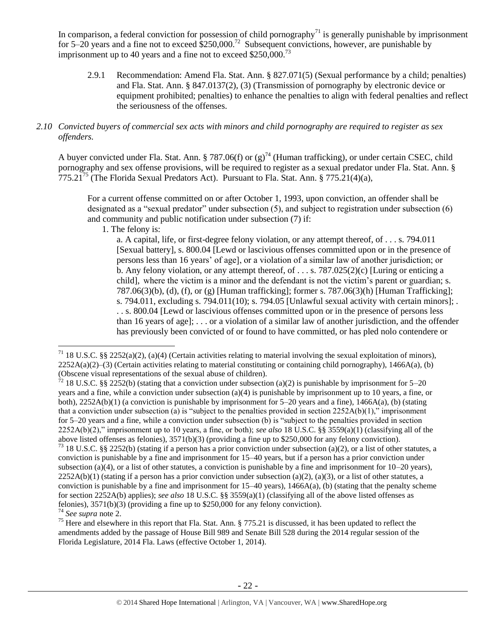In comparison, a federal conviction for possession of child pornography<sup>71</sup> is generally punishable by imprisonment for 5–20 years and a fine not to exceed  $$250,000.<sup>72</sup>$  Subsequent convictions, however, are punishable by imprisonment up to 40 years and a fine not to exceed  $$250,000$ <sup>73</sup>

2.9.1 Recommendation: Amend Fla. Stat. Ann. § 827.071(5) (Sexual performance by a child; penalties) and Fla. Stat. Ann. § 847.0137(2), (3) (Transmission of pornography by electronic device or equipment prohibited; penalties) to enhance the penalties to align with federal penalties and reflect the seriousness of the offenses.

## *2.10 Convicted buyers of commercial sex acts with minors and child pornography are required to register as sex offenders.*

A buyer convicted under Fla. Stat. Ann. § 787.06(f) or  $(g)^{74}$  (Human trafficking), or under certain CSEC, child pornography and sex offense provisions, will be required to register as a sexual predator under Fla. Stat. Ann. § 775.21<sup>75</sup> (The Florida Sexual Predators Act). Pursuant to Fla. Stat. Ann. § 775.21(4)(a),

<span id="page-21-0"></span>For a current offense committed on or after October 1, 1993, upon conviction, an offender shall be designated as a "sexual predator" under subsection (5), and subject to registration under subsection (6) and community and public notification under subsection (7) if:

1. The felony is:

a. A capital, life, or first-degree felony violation, or any attempt thereof, of . . . s. 794.011 [Sexual battery], s. 800.04 [Lewd or lascivious offenses committed upon or in the presence of persons less than 16 years' of age], or a violation of a similar law of another jurisdiction; or b. Any felony violation, or any attempt thereof, of ... s.  $787.025(2)(c)$  [Luring or enticing a child], where the victim is a minor and the defendant is not the victim's parent or guardian; s. 787.06(3)(b), (d), (f), or (g) [Human trafficking]; former s. 787.06(3)(h) [Human Trafficking]; s. 794.011, excluding s. 794.011(10); s. 794.05 [Unlawful sexual activity with certain minors]; . . s. 800.04 [Lewd or lascivious offenses committed upon or in the presence of persons less than 16 years of age]; . . . or a violation of a similar law of another jurisdiction, and the offender has previously been convicted of or found to have committed, or has pled nolo contendere or

<sup>72</sup> 18 U.S.C. §§ 2252(b) (stating that a conviction under subsection (a)(2) is punishable by imprisonment for 5–20 years and a fine, while a conviction under subsection (a)(4) is punishable by imprisonment up to 10 years, a fine, or both), 2252A(b)(1) (a conviction is punishable by imprisonment for 5–20 years and a fine), 1466A(a), (b) (stating that a conviction under subsection (a) is "subject to the penalties provided in section  $2252A(b)(1)$ ," imprisonment for 5–20 years and a fine, while a conviction under subsection (b) is "subject to the penalties provided in section 2252A(b)(2)," imprisonment up to 10 years, a fine, or both); *see also* 18 U.S.C. §§ 3559(a)(1) (classifying all of the above listed offenses as felonies), 3571(b)(3) (providing a fine up to \$250,000 for any felony conviction).

<sup>&</sup>lt;sup>71</sup> 18 U.S.C. §§ 2252(a)(2), (a)(4) (Certain activities relating to material involving the sexual exploitation of minors),  $2252A(a)(2)$ –(3) (Certain activities relating to material constituting or containing child pornography), 1466A(a), (b) (Obscene visual representations of the sexual abuse of children).

<sup>&</sup>lt;sup>73</sup> 18 U.S.C. §§ 2252(b) (stating if a person has a prior conviction under subsection (a)(2), or a list of other statutes, a conviction is punishable by a fine and imprisonment for 15–40 years, but if a person has a prior conviction under subsection (a)(4), or a list of other statutes, a conviction is punishable by a fine and imprisonment for  $10-20$  years),  $2252A(b)(1)$  (stating if a person has a prior conviction under subsection (a)(2), (a)(3), or a list of other statutes, a conviction is punishable by a fine and imprisonment for  $15-40$  years),  $1466A(a)$ , (b) (stating that the penalty scheme for section 2252A(b) applies); *see also* 18 U.S.C. §§ 3559(a)(1) (classifying all of the above listed offenses as felonies), 3571(b)(3) (providing a fine up to \$250,000 for any felony conviction).

<sup>74</sup> *See supra* note [2.](#page-0-0)

<sup>&</sup>lt;sup>75</sup> Here and elsewhere in this report that Fla. Stat. Ann. § 775.21 is discussed, it has been updated to reflect the amendments added by the passage of House Bill 989 and Senate Bill 528 during the 2014 regular session of the Florida Legislature, 2014 Fla. Laws (effective October 1, 2014).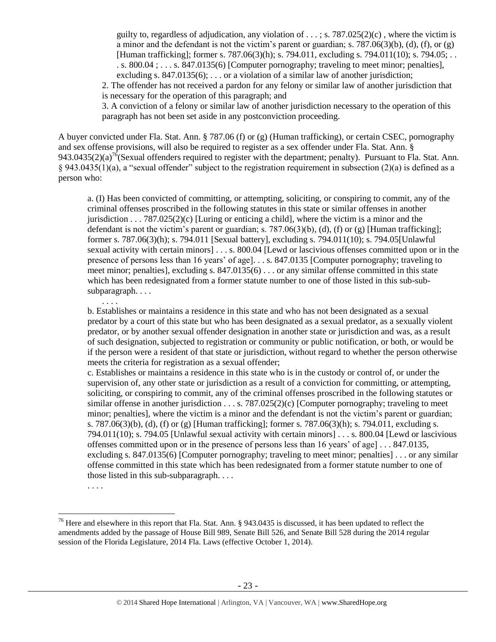guilty to, regardless of adjudication, any violation of ...; s.  $787.025(2)(c)$ , where the victim is a minor and the defendant is not the victim's parent or guardian; s.  $787.06(3)(b)$ , (d), (f), or (g) [Human trafficking]; former s. 787.06(3)(h); s. 794.011, excluding s. 794.011(10); s. 794.05; . .  $s. 800.04$ ;  $\ldots$  s. 847.0135(6) [Computer pornography; traveling to meet minor; penalties], excluding s.  $847.0135(6)$ ; ... or a violation of a similar law of another jurisdiction;

2. The offender has not received a pardon for any felony or similar law of another jurisdiction that is necessary for the operation of this paragraph; and

3. A conviction of a felony or similar law of another jurisdiction necessary to the operation of this paragraph has not been set aside in any postconviction proceeding.

A buyer convicted under Fla. Stat. Ann. § 787.06 (f) or (g) (Human trafficking), or certain CSEC, pornography and sex offense provisions, will also be required to register as a sex offender under Fla. Stat. Ann. § 943.0435(2)(a)<sup>76</sup>(Sexual offenders required to register with the department; penalty). Pursuant to Fla. Stat. Ann. § 943.0435(1)(a), a "sexual offender" subject to the registration requirement in subsection (2)(a) is defined as a person who:

<span id="page-22-0"></span>a. (I) Has been convicted of committing, or attempting, soliciting, or conspiring to commit, any of the criminal offenses proscribed in the following statutes in this state or similar offenses in another jurisdiction  $\ldots$  787.025(2)(c) [Luring or enticing a child], where the victim is a minor and the defendant is not the victim's parent or guardian; s. 787.06(3)(b), (d), (f) or (g) [Human trafficking]; former s. 787.06(3)(h); s. 794.011 [Sexual battery], excluding s. 794.011(10); s. 794.05[Unlawful sexual activity with certain minors] . . . s. 800.04 [Lewd or lascivious offenses committed upon or in the presence of persons less than 16 years' of age]. . . s. 847.0135 [Computer pornography; traveling to meet minor; penalties], excluding s. 847.0135(6) . . . or any similar offense committed in this state which has been redesignated from a former statute number to one of those listed in this sub-subsubparagraph. . . .

b. Establishes or maintains a residence in this state and who has not been designated as a sexual predator by a court of this state but who has been designated as a sexual predator, as a sexually violent predator, or by another sexual offender designation in another state or jurisdiction and was, as a result of such designation, subjected to registration or community or public notification, or both, or would be if the person were a resident of that state or jurisdiction, without regard to whether the person otherwise meets the criteria for registration as a sexual offender;

c. Establishes or maintains a residence in this state who is in the custody or control of, or under the supervision of, any other state or jurisdiction as a result of a conviction for committing, or attempting, soliciting, or conspiring to commit, any of the criminal offenses proscribed in the following statutes or similar offense in another jurisdiction . . . s. 787.025(2)(c) [Computer pornography; traveling to meet minor; penalties], where the victim is a minor and the defendant is not the victim's parent or guardian; s. 787.06(3)(b), (d), (f) or (g) [Human trafficking]; former s. 787.06(3)(h); s. 794.011, excluding s. 794.011(10); s. 794.05 [Unlawful sexual activity with certain minors] . . . s. 800.04 [Lewd or lascivious offenses committed upon or in the presence of persons less than 16 years' of age] . . . 847.0135, excluding s. 847.0135(6) [Computer pornography; traveling to meet minor; penalties] . . . or any similar offense committed in this state which has been redesignated from a former statute number to one of those listed in this sub-subparagraph. . . .

. . . .

 $\overline{a}$ 

. . . .

 $76$  Here and elsewhere in this report that Fla. Stat. Ann. § 943.0435 is discussed, it has been updated to reflect the amendments added by the passage of House Bill 989, Senate Bill 526, and Senate Bill 528 during the 2014 regular session of the Florida Legislature, 2014 Fla. Laws (effective October 1, 2014).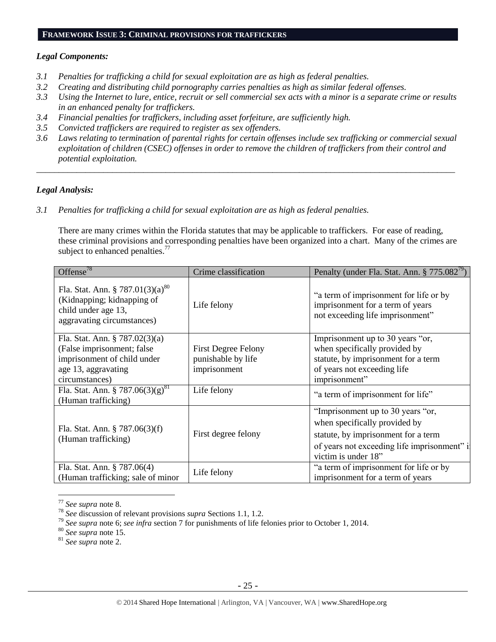#### **FRAMEWORK ISSUE 3: CRIMINAL PROVISIONS FOR TRAFFICKERS**

#### *Legal Components:*

- *3.1 Penalties for trafficking a child for sexual exploitation are as high as federal penalties.*
- *3.2 Creating and distributing child pornography carries penalties as high as similar federal offenses.*
- *3.3 Using the Internet to lure, entice, recruit or sell commercial sex acts with a minor is a separate crime or results in an enhanced penalty for traffickers.*
- *3.4 Financial penalties for traffickers, including asset forfeiture, are sufficiently high.*
- *3.5 Convicted traffickers are required to register as sex offenders.*
- *3.6 Laws relating to termination of parental rights for certain offenses include sex trafficking or commercial sexual exploitation of children (CSEC) offenses in order to remove the children of traffickers from their control and potential exploitation.*

*\_\_\_\_\_\_\_\_\_\_\_\_\_\_\_\_\_\_\_\_\_\_\_\_\_\_\_\_\_\_\_\_\_\_\_\_\_\_\_\_\_\_\_\_\_\_\_\_\_\_\_\_\_\_\_\_\_\_\_\_\_\_\_\_\_\_\_\_\_\_\_\_\_\_\_\_\_\_\_\_\_\_\_\_\_\_\_\_\_\_\_\_\_\_*

## *Legal Analysis:*

*3.1 Penalties for trafficking a child for sexual exploitation are as high as federal penalties.* 

There are many crimes within the Florida statutes that may be applicable to traffickers. For ease of reading, these criminal provisions and corresponding penalties have been organized into a chart. Many of the crimes are subject to enhanced penalties.<sup>77</sup>

| Offense <sup>78</sup>                                                                                                  | Crime classification                             | Penalty (under Fla. Stat. Ann. $\S 775.082^{79}$ )                                                                                                                               |
|------------------------------------------------------------------------------------------------------------------------|--------------------------------------------------|----------------------------------------------------------------------------------------------------------------------------------------------------------------------------------|
| Fla. Stat. Ann. § 787.01(3)(a) $80$<br>(Kidnapping; kidnapping of<br>child under age 13,<br>aggravating circumstances) | Life felony                                      | "a term of imprisonment for life or by<br>imprisonment for a term of years<br>not exceeding life imprisonment"                                                                   |
| Fla. Stat. Ann. $\S 787.02(3)(a)$<br>(False imprisonment; false<br>imprisonment of child under                         | <b>First Degree Felony</b><br>punishable by life | Imprisonment up to 30 years "or,<br>when specifically provided by<br>statute, by imprisonment for a term                                                                         |
| age 13, aggravating<br>circumstances)                                                                                  | imprisonment                                     | of years not exceeding life<br>imprisonment"                                                                                                                                     |
| Fla. Stat. Ann. § 787.06(3)( $\overline{g}$ ) <sup>81</sup><br>(Human trafficking)                                     | Life felony                                      | "a term of imprisonment for life"                                                                                                                                                |
| Fla. Stat. Ann. $\S 787.06(3)(f)$<br>(Human trafficking)                                                               | First degree felony                              | "Imprisonment up to 30 years "or,<br>when specifically provided by<br>statute, by imprisonment for a term<br>of years not exceeding life imprisonment" is<br>victim is under 18" |
| Fla. Stat. Ann. § 787.06(4)<br>(Human trafficking; sale of minor                                                       | Life felony                                      | "a term of imprisonment for life or by<br>imprisonment for a term of years                                                                                                       |

<sup>77</sup> *See supra* note [8.](#page-1-2)

<sup>78</sup> *See* discussion of relevant provisions *supra* Sections 1.1, 1.2.

<sup>79</sup> *See supra* note [6;](#page-1-0) *see infra* sectio[n 7](#page-1-1) for punishments of life felonies prior to October 1, 2014.

<sup>80</sup> *See supra* note [15.](#page-3-1) 

<sup>81</sup> *See supra* note [2.](#page-0-0)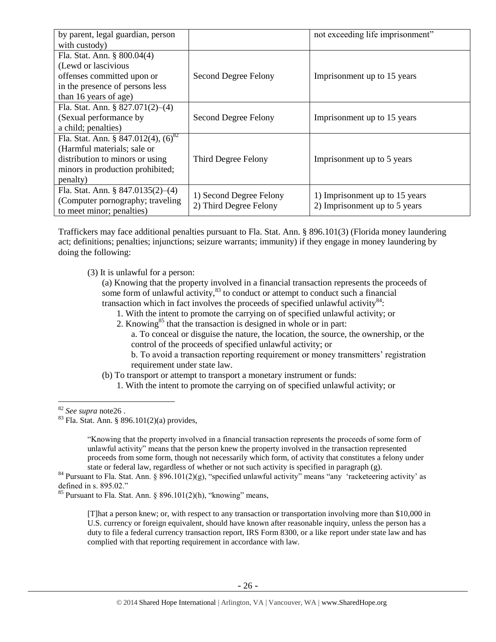| by parent, legal guardian, person        |                             | not exceeding life imprisonment" |
|------------------------------------------|-----------------------------|----------------------------------|
| with custody)                            |                             |                                  |
| Fla. Stat. Ann. § 800.04(4)              |                             |                                  |
| (Lewd or lascivious                      |                             |                                  |
| offenses committed upon or               | <b>Second Degree Felony</b> | Imprisonment up to 15 years      |
| in the presence of persons less          |                             |                                  |
| than 16 years of age)                    |                             |                                  |
| Fla. Stat. Ann. § $827.071(2)–(4)$       |                             |                                  |
| (Sexual performance by                   | Second Degree Felony        | Imprisonment up to 15 years      |
| a child; penalties)                      |                             |                                  |
| Fla. Stat. Ann. § 847.012(4), $(6)^{82}$ |                             |                                  |
| (Harmful materials; sale or              |                             |                                  |
| distribution to minors or using          | Third Degree Felony         | Imprisonment up to 5 years       |
| minors in production prohibited;         |                             |                                  |
| penalty)                                 |                             |                                  |
| Fla. Stat. Ann. $\S 847.0135(2)–(4)$     | 1) Second Degree Felony     | 1) Imprisonment up to 15 years   |
| (Computer pornography; traveling)        |                             |                                  |
| to meet minor; penalties)                | 2) Third Degree Felony      | 2) Imprisonment up to 5 years    |

Traffickers may face additional penalties pursuant to Fla. Stat. Ann. § 896.101(3) (Florida money laundering act; definitions; penalties; injunctions; seizure warrants; immunity) if they engage in money laundering by doing the following:

(3) It is unlawful for a person:

(a) Knowing that the property involved in a financial transaction represents the proceeds of some form of unlawful activity, $83$  to conduct or attempt to conduct such a financial transaction which in fact involves the proceeds of specified unlawful activity $84$ :

- 1. With the intent to promote the carrying on of specified unlawful activity; or
- 2. Knowing<sup>85</sup> that the transaction is designed in whole or in part:
	- a. To conceal or disguise the nature, the location, the source, the ownership, or the control of the proceeds of specified unlawful activity; or
	- b. To avoid a transaction reporting requirement or money transmitters' registration requirement under state law.
- (b) To transport or attempt to transport a monetary instrument or funds:
	- 1. With the intent to promote the carrying on of specified unlawful activity; or

 $\overline{a}$ 

[T]hat a person knew; or, with respect to any transaction or transportation involving more than \$10,000 in U.S. currency or foreign equivalent, should have known after reasonable inquiry, unless the person has a duty to file a federal currency transaction report, IRS Form 8300, or a like report under state law and has complied with that reporting requirement in accordance with law.

<sup>82</sup> *See supra* not[e26](#page-6-0) .

 $83$  Fla. Stat. Ann. § 896.101(2)(a) provides,

<sup>&</sup>quot;Knowing that the property involved in a financial transaction represents the proceeds of some form of unlawful activity" means that the person knew the property involved in the transaction represented proceeds from some form, though not necessarily which form, of activity that constitutes a felony under state or federal law, regardless of whether or not such activity is specified in paragraph (g).

 $84$  Pursuant to Fla. Stat. Ann. § 896.101(2)(g), "specified unlawful activity" means "any 'racketeering activity' as defined in s. 895.02."

 $85$  Pursuant to Fla. Stat. Ann. § 896.101(2)(h), "knowing" means,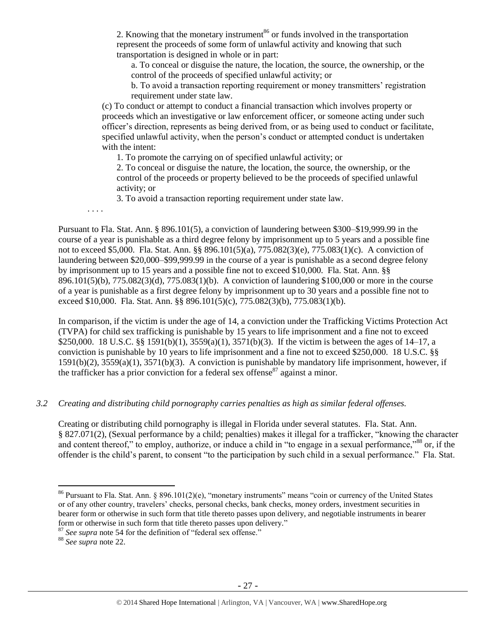2. Knowing that the monetary instrument<sup>86</sup> or funds involved in the transportation represent the proceeds of some form of unlawful activity and knowing that such transportation is designed in whole or in part:

a. To conceal or disguise the nature, the location, the source, the ownership, or the control of the proceeds of specified unlawful activity; or

b. To avoid a transaction reporting requirement or money transmitters' registration requirement under state law.

(c) To conduct or attempt to conduct a financial transaction which involves property or proceeds which an investigative or law enforcement officer, or someone acting under such officer's direction, represents as being derived from, or as being used to conduct or facilitate, specified unlawful activity, when the person's conduct or attempted conduct is undertaken with the intent:

1. To promote the carrying on of specified unlawful activity; or

2. To conceal or disguise the nature, the location, the source, the ownership, or the control of the proceeds or property believed to be the proceeds of specified unlawful activity; or

3. To avoid a transaction reporting requirement under state law.

. . . .

Pursuant to Fla. Stat. Ann. § 896.101(5), a conviction of laundering between \$300–\$19,999.99 in the course of a year is punishable as a third degree felony by imprisonment up to 5 years and a possible fine not to exceed \$5,000. Fla. Stat. Ann. §§ 896.101(5)(a), 775.082(3)(e), 775.083(1)(c). A conviction of laundering between \$20,000–\$99,999.99 in the course of a year is punishable as a second degree felony by imprisonment up to 15 years and a possible fine not to exceed \$10,000. Fla. Stat. Ann. §§ 896.101(5)(b), 775.082(3)(d), 775.083(1)(b). A conviction of laundering \$100,000 or more in the course of a year is punishable as a first degree felony by imprisonment up to 30 years and a possible fine not to exceed \$10,000. Fla. Stat. Ann. §§ 896.101(5)(c), 775.082(3)(b), 775.083(1)(b).

In comparison, if the victim is under the age of 14, a conviction under the Trafficking Victims Protection Act (TVPA) for child sex trafficking is punishable by 15 years to life imprisonment and a fine not to exceed \$250,000. 18 U.S.C. §§ 1591(b)(1), 3559(a)(1), 3571(b)(3). If the victim is between the ages of 14–17, a conviction is punishable by 10 years to life imprisonment and a fine not to exceed \$250,000. 18 U.S.C. §§ 1591(b)(2), 3559(a)(1), 3571(b)(3). A conviction is punishable by mandatory life imprisonment, however, if the trafficker has a prior conviction for a federal sex offense<sup>87</sup> against a minor.

## *3.2 Creating and distributing child pornography carries penalties as high as similar federal offenses.*

Creating or distributing child pornography is illegal in Florida under several statutes. Fla. Stat. Ann. § 827.071(2), (Sexual performance by a child; penalties) makes it illegal for a trafficker, "knowing the character and content thereof," to employ, authorize, or induce a child in "to engage in a sexual performance,"<sup>88</sup> or, if the offender is the child's parent, to consent "to the participation by such child in a sexual performance." Fla. Stat.

<sup>&</sup>lt;sup>86</sup> Pursuant to Fla. Stat. Ann. § 896.101(2)(e), "monetary instruments" means "coin or currency of the United States or of any other country, travelers' checks, personal checks, bank checks, money orders, investment securities in bearer form or otherwise in such form that title thereto passes upon delivery, and negotiable instruments in bearer form or otherwise in such form that title thereto passes upon delivery."

<sup>87</sup> *See supra* note [54](#page-15-0) for the definition of "federal sex offense."

<sup>88</sup> *See supra* note [22.](#page-5-1)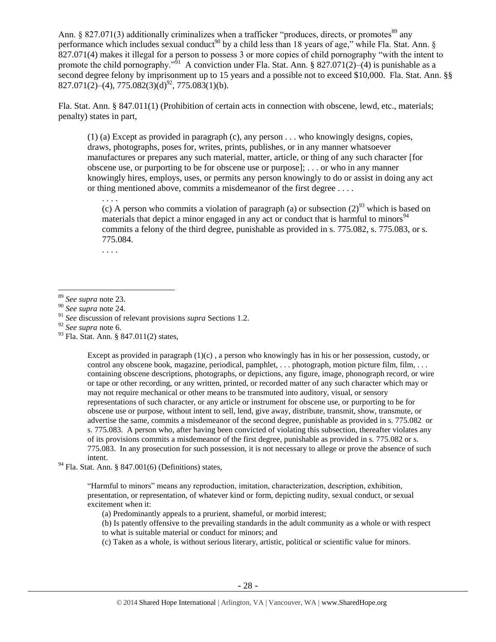Ann. § 827.071(3) additionally criminalizes when a trafficker "produces, directs, or promotes<sup>89</sup> any performance which includes sexual conduct<sup>90</sup> by a child less than 18 years of age," while Fla. Stat. Ann.  $\S$ 827.071(4) makes it illegal for a person to possess 3 or more copies of child pornography "with the intent to promote the child pornography.<sup>"91</sup> A conviction under Fla. Stat. Ann. § 827.071(2)–(4) is punishable as a second degree felony by imprisonment up to 15 years and a possible not to exceed \$10,000. Fla. Stat. Ann. §§  $827.071(2)$  –(4),  $775.082(3)$  $(d)^{92}$ ,  $775.083(1)(b)$ .

Fla. Stat. Ann. § 847.011(1) (Prohibition of certain acts in connection with obscene, lewd, etc., materials; penalty) states in part,

(1) (a) Except as provided in paragraph (c), any person . . . who knowingly designs, copies, draws, photographs, poses for, writes, prints, publishes, or in any manner whatsoever manufactures or prepares any such material, matter, article, or thing of any such character [for obscene use, or purporting to be for obscene use or purpose]; . . . or who in any manner knowingly hires, employs, uses, or permits any person knowingly to do or assist in doing any act or thing mentioned above, commits a misdemeanor of the first degree . . . .

. . . .

(c) A person who commits a violation of paragraph (a) or subsection  $(2)^{93}$  which is based on materials that depict a minor engaged in any act or conduct that is harmful to minors<sup>94</sup> commits a felony of the third degree, punishable as provided in s. 775.082, s. 775.083, or s. 775.084.

. . . .

 $\overline{a}$ 

Except as provided in paragraph  $(1)(c)$ , a person who knowingly has in his or her possession, custody, or control any obscene book, magazine, periodical, pamphlet, . . . photograph, motion picture film, film, . . . containing obscene descriptions, photographs, or depictions, any figure, image, phonograph record, or wire or tape or other recording, or any written, printed, or recorded matter of any such character which may or may not require mechanical or other means to be transmuted into auditory, visual, or sensory representations of such character, or any article or instrument for obscene use, or purporting to be for obscene use or purpose, without intent to sell, lend, give away, distribute, transmit, show, transmute, or advertise the same, commits a misdemeanor of the second degree, punishable as provided in s. 775.082 or s. 775.083. A person who, after having been convicted of violating this subsection, thereafter violates any of its provisions commits a misdemeanor of the first degree, punishable as provided in s. 775.082 or s. 775.083. In any prosecution for such possession, it is not necessary to allege or prove the absence of such intent.

 $94$  Fla. Stat. Ann. § 847.001(6) (Definitions) states,

"Harmful to minors" means any reproduction, imitation, characterization, description, exhibition, presentation, or representation, of whatever kind or form, depicting nudity, sexual conduct, or sexual excitement when it:

(a) Predominantly appeals to a prurient, shameful, or morbid interest;

(b) Is patently offensive to the prevailing standards in the adult community as a whole or with respect to what is suitable material or conduct for minors; and

(c) Taken as a whole, is without serious literary, artistic, political or scientific value for minors.

<sup>89</sup> *See supra* note [23.](#page-5-2)

<sup>90</sup> *See supra* note [24.](#page-5-0)

<sup>91</sup> *See* discussion of relevant provisions *supra* Sections 1.2.

<sup>92</sup> *See supra* note [6.](#page-1-0)

<sup>&</sup>lt;sup>93</sup> Fla. Stat. Ann. § 847.011(2) states,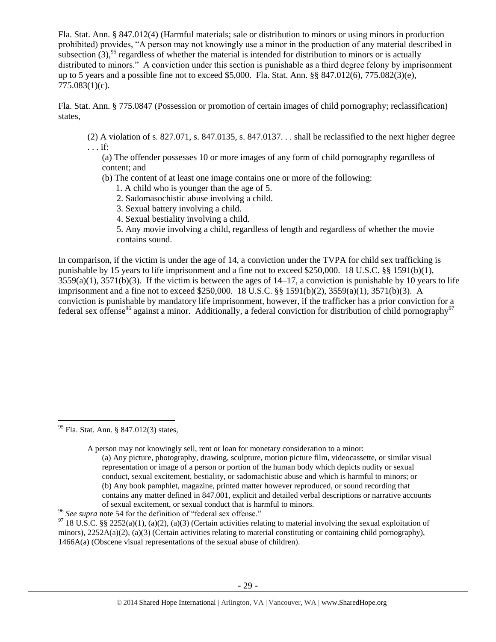Fla. Stat. Ann. § 847.012(4) (Harmful materials; sale or distribution to minors or using minors in production prohibited) provides, "A person may not knowingly use a minor in the production of any material described in subsection  $(3)$ ,<sup>95</sup> regardless of whether the material is intended for distribution to minors or is actually distributed to minors." A conviction under this section is punishable as a third degree felony by imprisonment up to 5 years and a possible fine not to exceed \$5,000. Fla. Stat. Ann. §§ 847.012(6), 775.082(3)(e), 775.083(1)(c).

Fla. Stat. Ann. § 775.0847 (Possession or promotion of certain images of child pornography; reclassification) states,

(2) A violation of s. 827.071, s. 847.0135, s. 847.0137. . . shall be reclassified to the next higher degree . . . if:

(a) The offender possesses 10 or more images of any form of child pornography regardless of content; and

- (b) The content of at least one image contains one or more of the following:
	- 1. A child who is younger than the age of 5.
	- 2. Sadomasochistic abuse involving a child.
	- 3. Sexual battery involving a child.
	- 4. Sexual bestiality involving a child.

5. Any movie involving a child, regardless of length and regardless of whether the movie contains sound.

In comparison, if the victim is under the age of 14, a conviction under the TVPA for child sex trafficking is punishable by 15 years to life imprisonment and a fine not to exceed \$250,000. 18 U.S.C. §§ 1591(b)(1),  $3559(a)(1)$ ,  $3571(b)(3)$ . If the victim is between the ages of  $14-17$ , a conviction is punishable by 10 years to life imprisonment and a fine not to exceed \$250,000. 18 U.S.C. §§ 1591(b)(2), 3559(a)(1), 3571(b)(3). A conviction is punishable by mandatory life imprisonment, however, if the trafficker has a prior conviction for a federal sex offense<sup>96</sup> against a minor. Additionally, a federal conviction for distribution of child pornography<sup>97</sup>

<sup>95</sup> Fla. Stat. Ann. § 847.012(3) states,

 $\overline{a}$ 

A person may not knowingly sell, rent or loan for monetary consideration to a minor:

(a) Any picture, photography, drawing, sculpture, motion picture film, videocassette, or similar visual representation or image of a person or portion of the human body which depicts nudity or sexual conduct, sexual excitement, bestiality, or sadomachistic abuse and which is harmful to minors; or (b) Any book pamphlet, magazine, printed matter however reproduced, or sound recording that contains any matter defined in 847.001, explicit and detailed verbal descriptions or narrative accounts of sexual excitement, or sexual conduct that is harmful to minors.

<sup>96</sup> *See supra* note [54](#page-15-0) for the definition of "federal sex offense."

<sup>97</sup> 18 U.S.C. §§ 2252(a)(1), (a)(2), (a)(3) (Certain activities relating to material involving the sexual exploitation of minors),  $2252A(a)(2)$ ,  $(a)(3)$  (Certain activities relating to material constituting or containing child pornography), 1466A(a) (Obscene visual representations of the sexual abuse of children).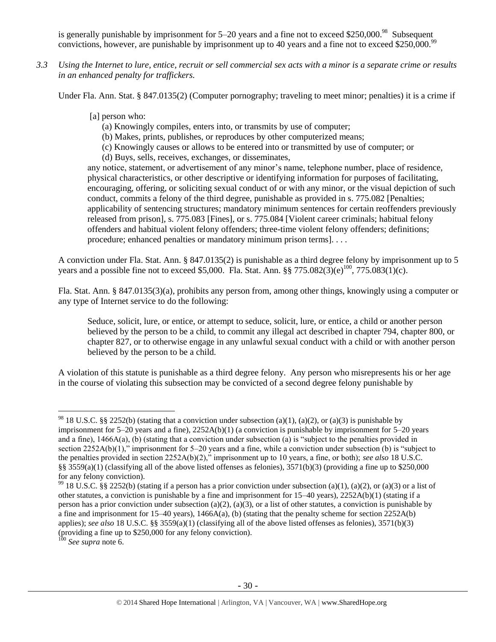is generally punishable by imprisonment for  $5-20$  years and a fine not to exceed \$250,000.<sup>98</sup> Subsequent convictions, however, are punishable by imprisonment up to 40 years and a fine not to exceed \$250,000.<sup>99</sup>

*3.3 Using the Internet to lure, entice, recruit or sell commercial sex acts with a minor is a separate crime or results in an enhanced penalty for traffickers.*

Under Fla. Ann. Stat. § 847.0135(2) (Computer pornography; traveling to meet minor; penalties) it is a crime if

## [a] person who:

- (a) Knowingly compiles, enters into, or transmits by use of computer;
- (b) Makes, prints, publishes, or reproduces by other computerized means;
- (c) Knowingly causes or allows to be entered into or transmitted by use of computer; or
- (d) Buys, sells, receives, exchanges, or disseminates,

any notice, statement, or advertisement of any minor's name, telephone number, place of residence, physical characteristics, or other descriptive or identifying information for purposes of facilitating, encouraging, offering, or soliciting sexual conduct of or with any minor, or the visual depiction of such conduct, commits a felony of the third degree, punishable as provided in s. 775.082 [Penalties; applicability of sentencing structures; mandatory minimum sentences for certain reoffenders previously released from prison], s. 775.083 [Fines], or s. 775.084 [Violent career criminals; habitual felony offenders and habitual violent felony offenders; three-time violent felony offenders; definitions; procedure; enhanced penalties or mandatory minimum prison terms]. . . .

A conviction under Fla. Stat. Ann. § 847.0135(2) is punishable as a third degree felony by imprisonment up to 5 years and a possible fine not to exceed \$5,000. Fla. Stat. Ann.  $\S$  775.082(3)(e)<sup>100</sup>, 775.083(1)(c).

Fla. Stat. Ann. § 847.0135(3)(a), prohibits any person from, among other things, knowingly using a computer or any type of Internet service to do the following:

Seduce, solicit, lure, or entice, or attempt to seduce, solicit, lure, or entice, a child or another person believed by the person to be a child, to commit any illegal act described in chapter 794, chapter 800, or chapter 827, or to otherwise engage in any unlawful sexual conduct with a child or with another person believed by the person to be a child.

A violation of this statute is punishable as a third degree felony. Any person who misrepresents his or her age in the course of violating this subsection may be convicted of a second degree felony punishable by

<sup>&</sup>lt;sup>98</sup> 18 U.S.C. §§ 2252(b) (stating that a conviction under subsection (a)(1), (a)(2), or (a)(3) is punishable by imprisonment for 5–20 years and a fine), 2252A(b)(1) (a conviction is punishable by imprisonment for 5–20 years and a fine), 1466A(a), (b) (stating that a conviction under subsection (a) is "subject to the penalties provided in section 2252A(b)(1)," imprisonment for 5–20 years and a fine, while a conviction under subsection (b) is "subject to the penalties provided in section 2252A(b)(2)," imprisonment up to 10 years, a fine, or both); *see also* 18 U.S.C. §§ 3559(a)(1) (classifying all of the above listed offenses as felonies),  $3571(b)(3)$  (providing a fine up to \$250,000 for any felony conviction).

<sup>&</sup>lt;sup>99</sup> 18 U.S.C. §§ 2252(b) (stating if a person has a prior conviction under subsection (a)(1), (a)(2), or (a)(3) or a list of other statutes, a conviction is punishable by a fine and imprisonment for 15–40 years), 2252A(b)(1) (stating if a person has a prior conviction under subsection (a)(2), (a)(3), or a list of other statutes, a conviction is punishable by a fine and imprisonment for  $15-40$  years),  $1466A(a)$ , (b) (stating that the penalty scheme for section  $2252A(b)$ applies); *see also* 18 U.S.C. §§ 3559(a)(1) (classifying all of the above listed offenses as felonies), 3571(b)(3) (providing a fine up to \$250,000 for any felony conviction).

<sup>100</sup> *See supra* not[e 6.](#page-1-0)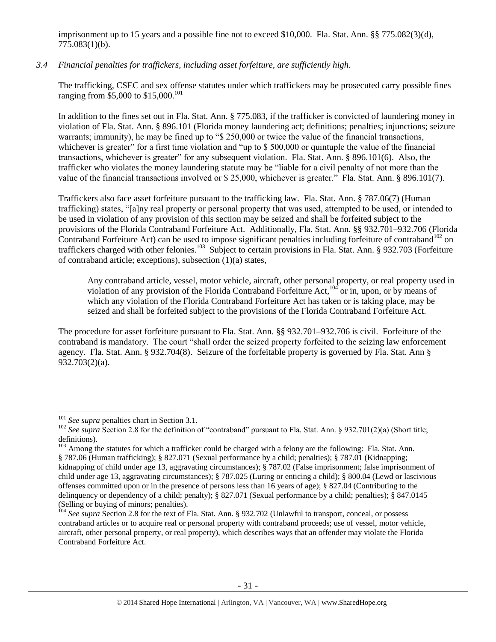imprisonment up to 15 years and a possible fine not to exceed \$10,000. Fla. Stat. Ann. §§ 775.082(3)(d), 775.083(1)(b).

## *3.4 Financial penalties for traffickers, including asset forfeiture, are sufficiently high.*

The trafficking, CSEC and sex offense statutes under which traffickers may be prosecuted carry possible fines ranging from \$5,000 to \$15,000.<sup>101</sup>

In addition to the fines set out in Fla. Stat. Ann. § 775.083, if the trafficker is convicted of laundering money in violation of Fla. Stat. Ann. § 896.101 (Florida money laundering act; definitions; penalties; injunctions; seizure warrants; immunity), he may be fined up to "\$ 250,000 or twice the value of the financial transactions, whichever is greater" for a first time violation and "up to \$500,000 or quintuple the value of the financial transactions, whichever is greater" for any subsequent violation. Fla. Stat. Ann. § 896.101(6). Also, the trafficker who violates the money laundering statute may be "liable for a civil penalty of not more than the value of the financial transactions involved or \$ 25,000, whichever is greater." Fla. Stat. Ann. § 896.101(7).

Traffickers also face asset forfeiture pursuant to the trafficking law. Fla. Stat. Ann. § 787.06(7) (Human trafficking) states, "[a]ny real property or personal property that was used, attempted to be used, or intended to be used in violation of any provision of this section may be seized and shall be forfeited subject to the provisions of the Florida Contraband Forfeiture Act. Additionally, Fla. Stat. Ann. §§ 932.701–932.706 (Florida Contraband Forfeiture Act) can be used to impose significant penalties including forfeiture of contraband<sup>102</sup> on traffickers charged with other felonies.<sup>103</sup> Subject to certain provisions in Fla. Stat. Ann. § 932.703 (Forfeiture of contraband article; exceptions), subsection (1)(a) states,

Any contraband article, vessel, motor vehicle, aircraft, other personal property, or real property used in violation of any provision of the Florida Contraband Forfeiture Act,<sup>104</sup> or in, upon, or by means of which any violation of the Florida Contraband Forfeiture Act has taken or is taking place, may be seized and shall be forfeited subject to the provisions of the Florida Contraband Forfeiture Act.

The procedure for asset forfeiture pursuant to Fla. Stat. Ann. §§ 932.701–932.706 is civil. Forfeiture of the contraband is mandatory. The court "shall order the seized property forfeited to the seizing law enforcement agency. Fla. Stat. Ann. § 932.704(8). Seizure of the forfeitable property is governed by Fla. Stat. Ann § 932.703(2)(a).

<sup>101</sup> *See supra* penalties chart in Section 3.1.

<sup>&</sup>lt;sup>102</sup> See supra Section 2.8 for the definition of "contraband" pursuant to Fla. Stat. Ann. § 932.701(2)(a) (Short title; definitions).

<sup>&</sup>lt;sup>103</sup> Among the statutes for which a trafficker could be charged with a felony are the following: Fla. Stat. Ann. § 787.06 (Human trafficking); § 827.071 (Sexual performance by a child; penalties); § 787.01 (Kidnapping; kidnapping of child under age 13, aggravating circumstances); § 787.02 (False imprisonment; false imprisonment of child under age 13, aggravating circumstances); § 787.025 (Luring or enticing a child); § 800.04 (Lewd or lascivious offenses committed upon or in the presence of persons less than 16 years of age); § 827.04 (Contributing to the delinquency or dependency of a child; penalty); § 827.071 (Sexual performance by a child; penalties); § 847.0145 (Selling or buying of minors; penalties).

<sup>&</sup>lt;sup>104</sup> *See supra Section 2.8 for the text of Fla. Stat. Ann. § 932.702 (Unlawful to transport, conceal, or possess* contraband articles or to acquire real or personal property with contraband proceeds; use of vessel, motor vehicle, aircraft, other personal property, or real property), which describes ways that an offender may violate the Florida Contraband Forfeiture Act.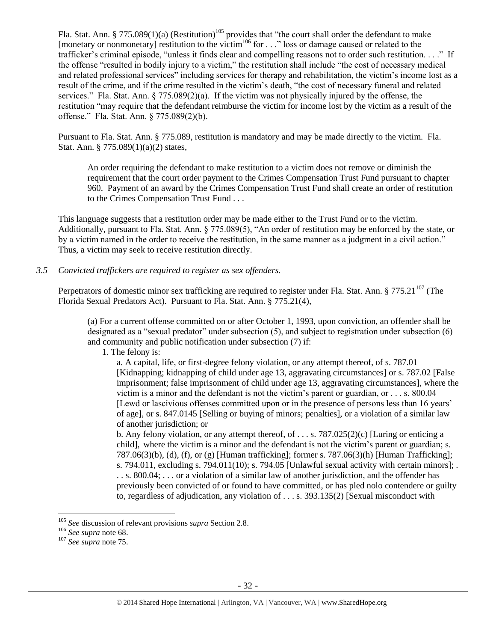Fla. Stat. Ann. § 775.089(1)(a) (Restitution)<sup>105</sup> provides that "the court shall order the defendant to make [monetary or nonmonetary] restitution to the victim<sup>106</sup> for  $\dots$  " loss or damage caused or related to the trafficker's criminal episode, "unless it finds clear and compelling reasons not to order such restitution. . . ." If the offense "resulted in bodily injury to a victim," the restitution shall include "the cost of necessary medical and related professional services" including services for therapy and rehabilitation, the victim's income lost as a result of the crime, and if the crime resulted in the victim's death, "the cost of necessary funeral and related services." Fla. Stat. Ann. § 775.089(2)(a). If the victim was not physically injured by the offense, the restitution "may require that the defendant reimburse the victim for income lost by the victim as a result of the offense." Fla. Stat. Ann. § 775.089(2)(b).

Pursuant to Fla. Stat. Ann. § 775.089, restitution is mandatory and may be made directly to the victim. Fla. Stat. Ann. § 775.089(1)(a)(2) states,

An order requiring the defendant to make restitution to a victim does not remove or diminish the requirement that the court order payment to the Crimes Compensation Trust Fund pursuant to chapter 960. Payment of an award by the Crimes Compensation Trust Fund shall create an order of restitution to the Crimes Compensation Trust Fund . . .

This language suggests that a restitution order may be made either to the Trust Fund or to the victim. Additionally, pursuant to Fla. Stat. Ann. § 775.089(5), "An order of restitution may be enforced by the state, or by a victim named in the order to receive the restitution, in the same manner as a judgment in a civil action." Thus, a victim may seek to receive restitution directly.

*3.5 Convicted traffickers are required to register as sex offenders.*

Perpetrators of domestic minor sex trafficking are required to register under Fla. Stat. Ann.  $\S 775.21^{107}$  (The Florida Sexual Predators Act). Pursuant to Fla. Stat. Ann. § 775.21(4),

(a) For a current offense committed on or after October 1, 1993, upon conviction, an offender shall be designated as a "sexual predator" under subsection (5), and subject to registration under subsection (6) and community and public notification under subsection (7) if:

1. The felony is:

a. A capital, life, or first-degree felony violation, or any attempt thereof, of s. 787.01 [Kidnapping; kidnapping of child under age 13, aggravating circumstances] or s. 787.02 [False imprisonment; false imprisonment of child under age 13, aggravating circumstances], where the victim is a minor and the defendant is not the victim's parent or guardian, or . . . s. 800.04 [Lewd or lascivious offenses committed upon or in the presence of persons less than 16 years' of age], or s. 847.0145 [Selling or buying of minors; penalties], or a violation of a similar law of another jurisdiction; or

b. Any felony violation, or any attempt thereof, of ... s.  $787.025(2)(c)$  [Luring or enticing a child], where the victim is a minor and the defendant is not the victim's parent or guardian; s. 787.06(3)(b), (d), (f), or (g) [Human trafficking]; former s. 787.06(3)(h) [Human Trafficking]; s. 794.011, excluding s. 794.011(10); s. 794.05 [Unlawful sexual activity with certain minors]; . . . s. 800.04; . . . or a violation of a similar law of another jurisdiction, and the offender has previously been convicted of or found to have committed, or has pled nolo contendere or guilty to, regardless of adjudication, any violation of . . . s. 393.135(2) [Sexual misconduct with

<sup>105</sup> *See* discussion of relevant provisions *supra* Section 2.8.

<sup>106</sup> *See supra* not[e 68.](#page-19-0)

<sup>107</sup> *See supra* not[e 75.](#page-21-0)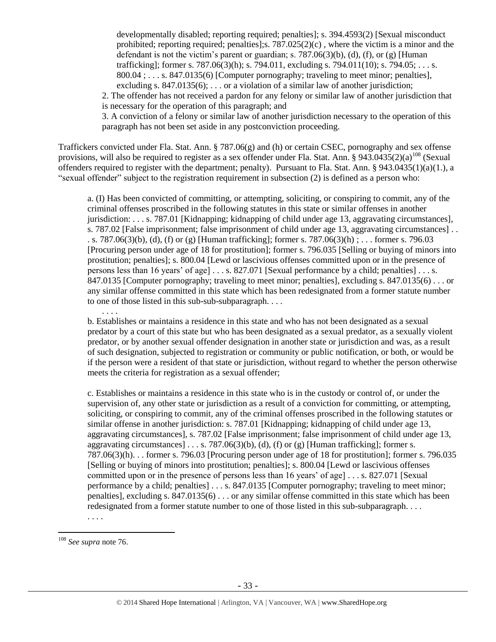developmentally disabled; reporting required; penalties]; s. 394.4593(2) [Sexual misconduct prohibited; reporting required; penalties];s.  $787.025(2)(c)$ , where the victim is a minor and the defendant is not the victim's parent or guardian; s. 787.06(3)(b), (d), (f), or (g) [Human] trafficking]; former s.  $787.06(3)(h)$ ; s.  $794.011$ , excluding s.  $794.011(10)$ ; s.  $794.05$ ; ... s. 800.04 ; . . . s. 847.0135(6) [Computer pornography; traveling to meet minor; penalties], excluding s.  $847.0135(6)$ ; ... or a violation of a similar law of another jurisdiction;

2. The offender has not received a pardon for any felony or similar law of another jurisdiction that is necessary for the operation of this paragraph; and

3. A conviction of a felony or similar law of another jurisdiction necessary to the operation of this paragraph has not been set aside in any postconviction proceeding.

Traffickers convicted under Fla. Stat. Ann. § 787.06(g) and (h) or certain CSEC, pornography and sex offense provisions, will also be required to register as a sex offender under Fla. Stat. Ann. § 943.0435(2)(a)<sup>108</sup> (Sexual offenders required to register with the department; penalty). Pursuant to Fla. Stat. Ann. § 943.0435(1)(a)(1.), a "sexual offender" subject to the registration requirement in subsection (2) is defined as a person who:

a. (I) Has been convicted of committing, or attempting, soliciting, or conspiring to commit, any of the criminal offenses proscribed in the following statutes in this state or similar offenses in another jurisdiction: . . . s. 787.01 [Kidnapping; kidnapping of child under age 13, aggravating circumstances], s. 787.02 [False imprisonment; false imprisonment of child under age 13, aggravating circumstances] . . . s. 787.06(3)(b), (d), (f) or (g) [Human trafficking]; former s. 787.06(3)(h) ; . . . former s. 796.03 [Procuring person under age of 18 for prostitution]; former s. 796.035 [Selling or buying of minors into prostitution; penalties]; s. 800.04 [Lewd or lascivious offenses committed upon or in the presence of persons less than 16 years' of age] . . . s. 827.071 [Sexual performance by a child; penalties] . . . s. 847.0135 [Computer pornography; traveling to meet minor; penalties], excluding s. 847.0135(6) . . . or any similar offense committed in this state which has been redesignated from a former statute number to one of those listed in this sub-sub-subparagraph. . . .

b. Establishes or maintains a residence in this state and who has not been designated as a sexual predator by a court of this state but who has been designated as a sexual predator, as a sexually violent predator, or by another sexual offender designation in another state or jurisdiction and was, as a result of such designation, subjected to registration or community or public notification, or both, or would be if the person were a resident of that state or jurisdiction, without regard to whether the person otherwise meets the criteria for registration as a sexual offender;

c. Establishes or maintains a residence in this state who is in the custody or control of, or under the supervision of, any other state or jurisdiction as a result of a conviction for committing, or attempting, soliciting, or conspiring to commit, any of the criminal offenses proscribed in the following statutes or similar offense in another jurisdiction: s. 787.01 [Kidnapping; kidnapping of child under age 13, aggravating circumstances], s. 787.02 [False imprisonment; false imprisonment of child under age 13, aggravating circumstances $] \ldots$  s. 787.06(3)(b), (d), (f) or (g) [Human trafficking]; former s. 787.06(3)(h). . . former s. 796.03 [Procuring person under age of 18 for prostitution]; former s. 796.035 [Selling or buying of minors into prostitution; penalties]; s. 800.04 [Lewd or lascivious offenses committed upon or in the presence of persons less than 16 years' of age] . . . s. 827.071 [Sexual performance by a child; penalties] . . . s. 847.0135 [Computer pornography; traveling to meet minor; penalties], excluding s. 847.0135(6) . . . or any similar offense committed in this state which has been redesignated from a former statute number to one of those listed in this sub-subparagraph. . . .

 $\overline{a}$ 

. . . .

<sup>. . . .</sup> 

<sup>108</sup> *See supra* not[e 76.](#page-22-0)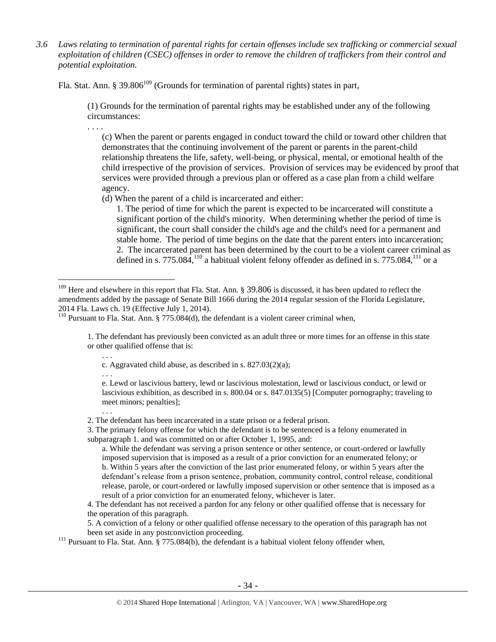*3.6 Laws relating to termination of parental rights for certain offenses include sex trafficking or commercial sexual exploitation of children (CSEC) offenses in order to remove the children of traffickers from their control and potential exploitation.* 

Fla. Stat. Ann. § 39.806<sup>109</sup> (Grounds for termination of parental rights) states in part,

(1) Grounds for the termination of parental rights may be established under any of the following circumstances:

. . . .

(c) When the parent or parents engaged in conduct toward the child or toward other children that demonstrates that the continuing involvement of the parent or parents in the parent-child relationship threatens the life, safety, well-being, or physical, mental, or emotional health of the child irrespective of the provision of services. Provision of services may be evidenced by proof that services were provided through a previous plan or offered as a case plan from a child welfare agency.

(d) When the parent of a child is incarcerated and either:

1. The period of time for which the parent is expected to be incarcerated will constitute a significant portion of the child's minority. When determining whether the period of time is significant, the court shall consider the child's age and the child's need for a permanent and stable home. The period of time begins on the date that the parent enters into incarceration; 2. The incarcerated parent has been determined by the court to be a violent career criminal as defined in s. 775.084,<sup>110</sup> a habitual violent felony offender as defined in s. 775.084,<sup>111</sup> or a

1. The defendant has previously been convicted as an adult three or more times for an offense in this state or other qualified offense that is:

c. Aggravated child abuse, as described in s. 827.03(2)(a);

. . .

. . .

. . .

 $\overline{a}$ 

e. Lewd or lascivious battery, lewd or lascivious molestation, lewd or lascivious conduct, or lewd or lascivious exhibition, as described in s. 800.04 or s. 847.0135(5) [Computer pornography; traveling to meet minors; penalties];

2. The defendant has been incarcerated in a state prison or a federal prison.

3. The primary felony offense for which the defendant is to be sentenced is a felony enumerated in subparagraph 1. and was committed on or after October 1, 1995, and:

a. While the defendant was serving a prison sentence or other sentence, or court-ordered or lawfully imposed supervision that is imposed as a result of a prior conviction for an enumerated felony; or b. Within 5 years after the conviction of the last prior enumerated felony, or within 5 years after the defendant's release from a prison sentence, probation, community control, control release, conditional release, parole, or court-ordered or lawfully imposed supervision or other sentence that is imposed as a result of a prior conviction for an enumerated felony, whichever is later.

4. The defendant has not received a pardon for any felony or other qualified offense that is necessary for the operation of this paragraph.

5. A conviction of a felony or other qualified offense necessary to the operation of this paragraph has not been set aside in any postconviction proceeding.

<sup>111</sup> Pursuant to Fla. Stat. Ann. § 775.084(b), the defendant is a habitual violent felony offender when,

<sup>&</sup>lt;sup>109</sup> Here and elsewhere in this report that Fla. Stat. Ann. § 39.806 is discussed, it has been updated to reflect the amendments added by the passage of Senate Bill 1666 during the 2014 regular session of the Florida Legislature, 2014 Fla. Laws ch. 19 (Effective July 1, 2014).

<sup>&</sup>lt;sup>110</sup> Pursuant to Fla. Stat. Ann. § 775.084(d), the defendant is a violent career criminal when,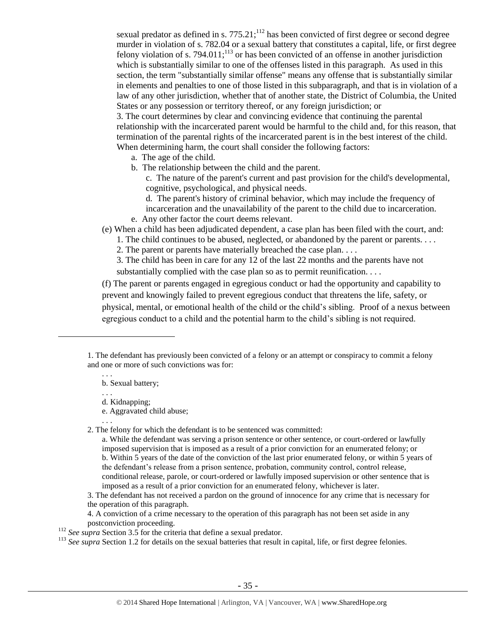sexual predator as defined in s.  $775.21$ ;<sup>112</sup> has been convicted of first degree or second degree murder in violation of s. 782.04 or a sexual battery that constitutes a capital, life, or first degree felony violation of s.  $794.011$ ;<sup>113</sup> or has been convicted of an offense in another jurisdiction which is substantially similar to one of the offenses listed in this paragraph. As used in this section, the term "substantially similar offense" means any offense that is substantially similar in elements and penalties to one of those listed in this subparagraph, and that is in violation of a law of any other jurisdiction, whether that of another state, the District of Columbia, the United States or any possession or territory thereof, or any foreign jurisdiction; or

3. The court determines by clear and convincing evidence that continuing the parental relationship with the incarcerated parent would be harmful to the child and, for this reason, that termination of the parental rights of the incarcerated parent is in the best interest of the child. When determining harm, the court shall consider the following factors:

- a. The age of the child.
- b. The relationship between the child and the parent.

c. The nature of the parent's current and past provision for the child's developmental, cognitive, psychological, and physical needs.

d. The parent's history of criminal behavior, which may include the frequency of incarceration and the unavailability of the parent to the child due to incarceration.

e. Any other factor the court deems relevant.

(e) When a child has been adjudicated dependent, a case plan has been filed with the court, and:

1. The child continues to be abused, neglected, or abandoned by the parent or parents. . . .

2. The parent or parents have materially breached the case plan. . . .

3. The child has been in care for any 12 of the last 22 months and the parents have not substantially complied with the case plan so as to permit reunification. . . .

(f) The parent or parents engaged in egregious conduct or had the opportunity and capability to prevent and knowingly failed to prevent egregious conduct that threatens the life, safety, or physical, mental, or emotional health of the child or the child's sibling. Proof of a nexus between egregious conduct to a child and the potential harm to the child's sibling is not required.

1. The defendant has previously been convicted of a felony or an attempt or conspiracy to commit a felony and one or more of such convictions was for:

. . . b. Sexual battery;

. . .

d. Kidnapping;

e. Aggravated child abuse;

. . .

 $\overline{a}$ 

2. The felony for which the defendant is to be sentenced was committed:

a. While the defendant was serving a prison sentence or other sentence, or court-ordered or lawfully imposed supervision that is imposed as a result of a prior conviction for an enumerated felony; or b. Within 5 years of the date of the conviction of the last prior enumerated felony, or within 5 years of the defendant's release from a prison sentence, probation, community control, control release, conditional release, parole, or court-ordered or lawfully imposed supervision or other sentence that is imposed as a result of a prior conviction for an enumerated felony, whichever is later.

3. The defendant has not received a pardon on the ground of innocence for any crime that is necessary for the operation of this paragraph.

4. A conviction of a crime necessary to the operation of this paragraph has not been set aside in any postconviction proceeding.

<sup>112</sup> *See supra* Section 3.5 for the criteria that define a sexual predator.

<sup>113</sup> See supra Section 1.2 for details on the sexual batteries that result in capital, life, or first degree felonies.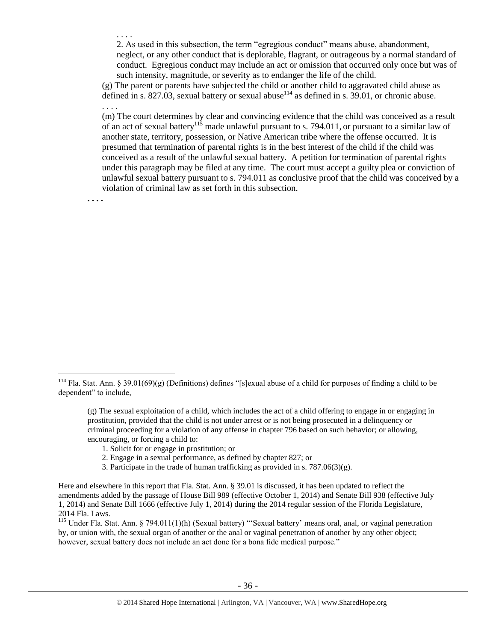. . . .

2. As used in this subsection, the term "egregious conduct" means abuse, abandonment, neglect, or any other conduct that is deplorable, flagrant, or outrageous by a normal standard of conduct. Egregious conduct may include an act or omission that occurred only once but was of such intensity, magnitude, or severity as to endanger the life of the child.

(g) The parent or parents have subjected the child or another child to aggravated child abuse as defined in s. 827.03, sexual battery or sexual abuse<sup>114</sup> as defined in s. 39.01, or chronic abuse. . . . .

(m) The court determines by clear and convincing evidence that the child was conceived as a result of an act of sexual battery<sup>115</sup> made unlawful pursuant to s. 794.011, or pursuant to a similar law of another state, territory, possession, or Native American tribe where the offense occurred. It is presumed that termination of parental rights is in the best interest of the child if the child was conceived as a result of the unlawful sexual battery. A petition for termination of parental rights under this paragraph may be filed at any time. The court must accept a guilty plea or conviction of unlawful sexual battery pursuant to s. 794.011 as conclusive proof that the child was conceived by a violation of criminal law as set forth in this subsection.

**. . . .**

- 1. Solicit for or engage in prostitution; or
- 2. Engage in a sexual performance, as defined by chapter 827; or
- 3. Participate in the trade of human trafficking as provided in s. 787.06(3)(g).

<sup>&</sup>lt;sup>114</sup> Fla. Stat. Ann. § 39.01(69)(g) (Definitions) defines "[s]exual abuse of a child for purposes of finding a child to be dependent" to include,

<sup>(</sup>g) The sexual exploitation of a child, which includes the act of a child offering to engage in or engaging in prostitution, provided that the child is not under arrest or is not being prosecuted in a delinquency or criminal proceeding for a violation of any offense in chapter 796 based on such behavior; or allowing, encouraging, or forcing a child to:

Here and elsewhere in this report that Fla. Stat. Ann. § 39.01 is discussed, it has been updated to reflect the amendments added by the passage of House Bill 989 (effective October 1, 2014) and Senate Bill 938 (effective July 1, 2014) and Senate Bill 1666 (effective July 1, 2014) during the 2014 regular session of the Florida Legislature, 2014 Fla. Laws.

<sup>&</sup>lt;sup>115</sup> Under Fla. Stat. Ann. § 794.011(1)(h) (Sexual battery) "'Sexual battery' means oral, anal, or vaginal penetration by, or union with, the sexual organ of another or the anal or vaginal penetration of another by any other object; however, sexual battery does not include an act done for a bona fide medical purpose."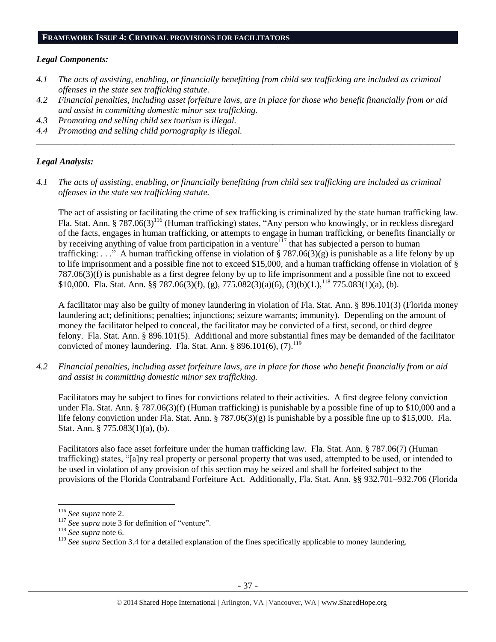#### **FRAMEWORK ISSUE 4: CRIMINAL PROVISIONS FOR FACILITATORS**

#### *Legal Components:*

- *4.1 The acts of assisting, enabling, or financially benefitting from child sex trafficking are included as criminal offenses in the state sex trafficking statute.*
- *4.2 Financial penalties, including asset forfeiture laws, are in place for those who benefit financially from or aid and assist in committing domestic minor sex trafficking.*

*\_\_\_\_\_\_\_\_\_\_\_\_\_\_\_\_\_\_\_\_\_\_\_\_\_\_\_\_\_\_\_\_\_\_\_\_\_\_\_\_\_\_\_\_\_\_\_\_\_\_\_\_\_\_\_\_\_\_\_\_\_\_\_\_\_\_\_\_\_\_\_\_\_\_\_\_\_\_\_\_\_\_\_\_\_\_\_\_\_\_\_\_\_\_*

- *4.3 Promoting and selling child sex tourism is illegal.*
- *4.4 Promoting and selling child pornography is illegal.*

### *Legal Analysis:*

*4.1 The acts of assisting, enabling, or financially benefitting from child sex trafficking are included as criminal offenses in the state sex trafficking statute.*

The act of assisting or facilitating the crime of sex trafficking is criminalized by the state human trafficking law. Fla. Stat. Ann. § 787.06(3)<sup>116</sup> (Human trafficking) states, "Any person who knowingly, or in reckless disregard of the facts, engages in human trafficking, or attempts to engage in human trafficking, or benefits financially or by receiving anything of value from participation in a venture<sup>117</sup> that has subjected a person to human trafficking: ..." A human trafficking offense in violation of  $\S 787.06(3)(g)$  is punishable as a life felony by up to life imprisonment and a possible fine not to exceed \$15,000, and a human trafficking offense in violation of § 787.06(3)(f) is punishable as a first degree felony by up to life imprisonment and a possible fine not to exceed \$10,000. Fla. Stat. Ann. §§ 787.06(3)(f), (g), 775.082(3)(a)(6), (3)(b)(1.),<sup>118</sup> 775.083(1)(a), (b).

A facilitator may also be guilty of money laundering in violation of Fla. Stat. Ann. § 896.101(3) (Florida money laundering act; definitions; penalties; injunctions; seizure warrants; immunity). Depending on the amount of money the facilitator helped to conceal, the facilitator may be convicted of a first, second, or third degree felony. Fla. Stat. Ann. § 896.101(5). Additional and more substantial fines may be demanded of the facilitator convicted of money laundering. Fla. Stat. Ann. §  $896.101(6)$ ,  $(7)$ .<sup>119</sup>

*4.2 Financial penalties, including asset forfeiture laws, are in place for those who benefit financially from or aid and assist in committing domestic minor sex trafficking.*

Facilitators may be subject to fines for convictions related to their activities. A first degree felony conviction under Fla. Stat. Ann. § 787.06(3)(f) (Human trafficking) is punishable by a possible fine of up to \$10,000 and a life felony conviction under Fla. Stat. Ann. § 787.06(3)(g) is punishable by a possible fine up to \$15,000. Fla. Stat. Ann. § 775.083(1)(a), (b).

Facilitators also face asset forfeiture under the human trafficking law. Fla. Stat. Ann. § 787.06(7) (Human trafficking) states, "[a]ny real property or personal property that was used, attempted to be used, or intended to be used in violation of any provision of this section may be seized and shall be forfeited subject to the provisions of the Florida Contraband Forfeiture Act. Additionally, Fla. Stat. Ann. §§ 932.701–932.706 (Florida

<sup>116</sup> *See supra* not[e 2.](#page-0-0)

<sup>&</sup>lt;sup>117</sup> See supra not[e 3](#page-1-0) for definition of "venture".

<sup>118</sup> *See supra* not[e 6.](#page-1-1)

<sup>&</sup>lt;sup>119</sup> See supra Section 3.4 for a detailed explanation of the fines specifically applicable to money laundering.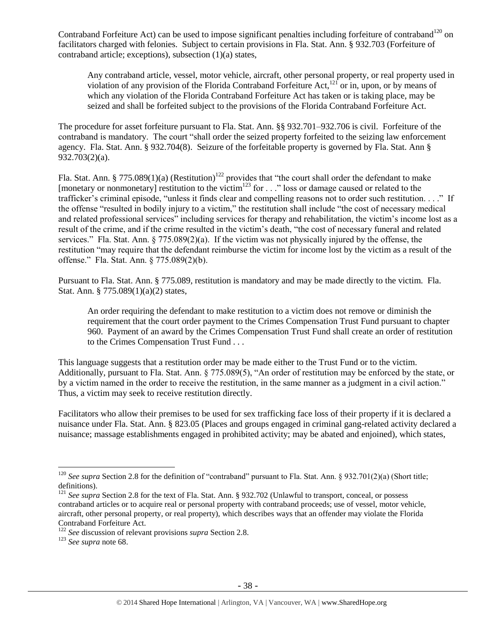Contraband Forfeiture Act) can be used to impose significant penalties including forfeiture of contraband<sup>120</sup> on facilitators charged with felonies. Subject to certain provisions in Fla. Stat. Ann. § 932.703 (Forfeiture of contraband article; exceptions), subsection (1)(a) states,

Any contraband article, vessel, motor vehicle, aircraft, other personal property, or real property used in violation of any provision of the Florida Contraband Forfeiture Act,<sup>121</sup> or in, upon, or by means of which any violation of the Florida Contraband Forfeiture Act has taken or is taking place, may be seized and shall be forfeited subject to the provisions of the Florida Contraband Forfeiture Act.

The procedure for asset forfeiture pursuant to Fla. Stat. Ann. §§ 932.701–932.706 is civil. Forfeiture of the contraband is mandatory. The court "shall order the seized property forfeited to the seizing law enforcement agency. Fla. Stat. Ann. § 932.704(8). Seizure of the forfeitable property is governed by Fla. Stat. Ann § 932.703(2)(a).

Fla. Stat. Ann. § 775.089(1)(a) (Restitution)<sup>122</sup> provides that "the court shall order the defendant to make [monetary or nonmonetary] restitution to the victim<sup>123</sup> for  $\dots$  " loss or damage caused or related to the trafficker's criminal episode, "unless it finds clear and compelling reasons not to order such restitution. . . ." If the offense "resulted in bodily injury to a victim," the restitution shall include "the cost of necessary medical and related professional services" including services for therapy and rehabilitation, the victim's income lost as a result of the crime, and if the crime resulted in the victim's death, "the cost of necessary funeral and related services." Fla. Stat. Ann. § 775.089(2)(a). If the victim was not physically injured by the offense, the restitution "may require that the defendant reimburse the victim for income lost by the victim as a result of the offense." Fla. Stat. Ann. § 775.089(2)(b).

Pursuant to Fla. Stat. Ann. § 775.089, restitution is mandatory and may be made directly to the victim. Fla. Stat. Ann. § 775.089(1)(a)(2) states,

An order requiring the defendant to make restitution to a victim does not remove or diminish the requirement that the court order payment to the Crimes Compensation Trust Fund pursuant to chapter 960. Payment of an award by the Crimes Compensation Trust Fund shall create an order of restitution to the Crimes Compensation Trust Fund . . .

This language suggests that a restitution order may be made either to the Trust Fund or to the victim. Additionally, pursuant to Fla. Stat. Ann. § 775.089(5), "An order of restitution may be enforced by the state, or by a victim named in the order to receive the restitution, in the same manner as a judgment in a civil action." Thus, a victim may seek to receive restitution directly.

Facilitators who allow their premises to be used for sex trafficking face loss of their property if it is declared a nuisance under Fla. Stat. Ann. § 823.05 (Places and groups engaged in criminal gang-related activity declared a nuisance; massage establishments engaged in prohibited activity; may be abated and enjoined), which states,

<sup>&</sup>lt;sup>120</sup> *See supra* Section 2.8 for the definition of "contraband" pursuant to Fla. Stat. Ann. § 932.701(2)(a) (Short title; definitions).

<sup>&</sup>lt;sup>121</sup> *See supra Section 2.8 for the text of Fla. Stat. Ann. § 932.702 (Unlawful to transport, conceal, or possess* contraband articles or to acquire real or personal property with contraband proceeds; use of vessel, motor vehicle, aircraft, other personal property, or real property), which describes ways that an offender may violate the Florida Contraband Forfeiture Act.

<sup>122</sup> *See* discussion of relevant provisions *supra* Section 2.8.

<sup>123</sup> *See supra* not[e 68.](#page-19-0)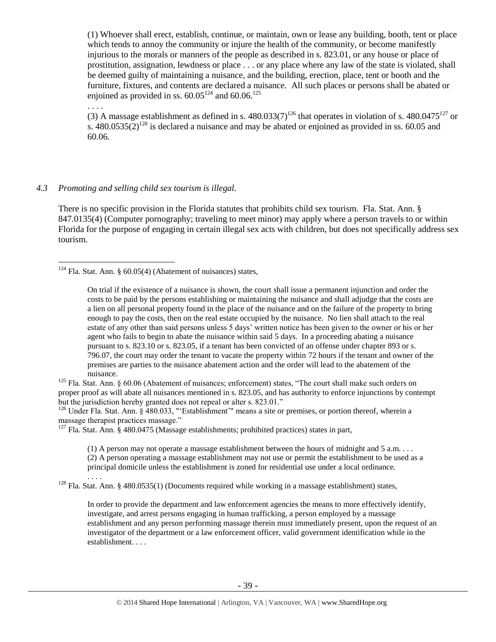(1) Whoever shall erect, establish, continue, or maintain, own or lease any building, booth, tent or place which tends to annoy the community or injure the health of the community, or become manifestly injurious to the morals or manners of the people as described in s. 823.01, or any house or place of prostitution, assignation, lewdness or place . . . or any place where any law of the state is violated, shall be deemed guilty of maintaining a nuisance, and the building, erection, place, tent or booth and the furniture, fixtures, and contents are declared a nuisance. All such places or persons shall be abated or enjoined as provided in ss.  $60.05^{124}$  and  $60.06^{125}$ 

. . . .

 $\overline{a}$ 

(3) A massage establishment as defined in s.  $480.033(7)^{126}$  that operates in violation of s.  $480.0475^{127}$  or s.  $480.0535(2)^{128}$  is declared a nuisance and may be abated or enjoined as provided in ss. 60.05 and 60.06.

## *4.3 Promoting and selling child sex tourism is illegal.*

There is no specific provision in the Florida statutes that prohibits child sex tourism. Fla. Stat. Ann. § 847.0135(4) (Computer pornography; traveling to meet minor) may apply where a person travels to or within Florida for the purpose of engaging in certain illegal sex acts with children, but does not specifically address sex tourism.

<sup>125</sup> Fla. Stat. Ann. § 60.06 (Abatement of nuisances; enforcement) states, "The court shall make such orders on proper proof as will abate all nuisances mentioned in s. 823.05, and has authority to enforce injunctions by contempt but the jurisdiction hereby granted does not repeal or alter s. 823.01."

<sup>126</sup> Under Fla. Stat. Ann. § 480.033, "'Establishment'" means a site or premises, or portion thereof, wherein a massage therapist practices massage."

<sup>127</sup> Fla. Stat. Ann. § 480.0475 (Massage establishments; prohibited practices) states in part,

(1) A person may not operate a massage establishment between the hours of midnight and 5 a.m. . . . (2) A person operating a massage establishment may not use or permit the establishment to be used as a principal domicile unless the establishment is zoned for residential use under a local ordinance.

. . . . <sup>128</sup> Fla. Stat. Ann. § 480.0535(1) (Documents required while working in a massage establishment) states,

In order to provide the department and law enforcement agencies the means to more effectively identify, investigate, and arrest persons engaging in human trafficking, a person employed by a massage establishment and any person performing massage therein must immediately present, upon the request of an investigator of the department or a law enforcement officer, valid government identification while in the establishment. . . .

 $124$  Fla. Stat. Ann. § 60.05(4) (Abatement of nuisances) states,

On trial if the existence of a nuisance is shown, the court shall issue a permanent injunction and order the costs to be paid by the persons establishing or maintaining the nuisance and shall adjudge that the costs are a lien on all personal property found in the place of the nuisance and on the failure of the property to bring enough to pay the costs, then on the real estate occupied by the nuisance. No lien shall attach to the real estate of any other than said persons unless 5 days' written notice has been given to the owner or his or her agent who fails to begin to abate the nuisance within said 5 days. In a proceeding abating a nuisance pursuant to s. 823.10 or s. 823.05, if a tenant has been convicted of an offense under chapter 893 or s. 796.07, the court may order the tenant to vacate the property within 72 hours if the tenant and owner of the premises are parties to the nuisance abatement action and the order will lead to the abatement of the nuisance.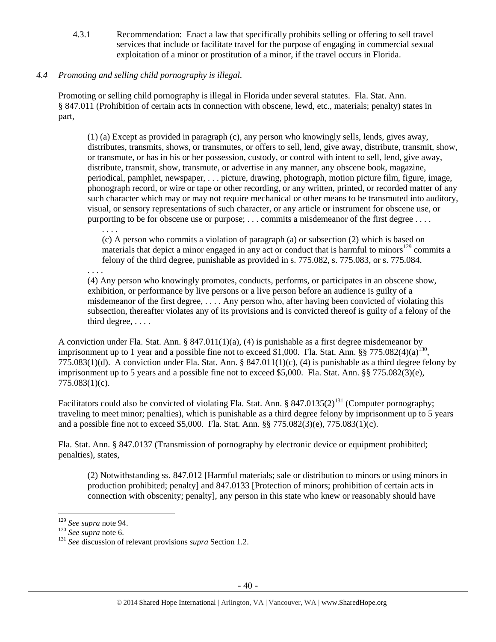4.3.1 Recommendation: Enact a law that specifically prohibits selling or offering to sell travel services that include or facilitate travel for the purpose of engaging in commercial sexual exploitation of a minor or prostitution of a minor, if the travel occurs in Florida.

# *4.4 Promoting and selling child pornography is illegal.*

Promoting or selling child pornography is illegal in Florida under several statutes. Fla. Stat. Ann. § 847.011 (Prohibition of certain acts in connection with obscene, lewd, etc., materials; penalty) states in part,

(1) (a) Except as provided in paragraph (c), any person who knowingly sells, lends, gives away, distributes, transmits, shows, or transmutes, or offers to sell, lend, give away, distribute, transmit, show, or transmute, or has in his or her possession, custody, or control with intent to sell, lend, give away, distribute, transmit, show, transmute, or advertise in any manner, any obscene book, magazine, periodical, pamphlet, newspaper, . . . picture, drawing, photograph, motion picture film, figure, image, phonograph record, or wire or tape or other recording, or any written, printed, or recorded matter of any such character which may or may not require mechanical or other means to be transmuted into auditory, visual, or sensory representations of such character, or any article or instrument for obscene use, or purporting to be for obscene use or purpose; . . . commits a misdemeanor of the first degree . . . .

(c) A person who commits a violation of paragraph (a) or subsection (2) which is based on materials that depict a minor engaged in any act or conduct that is harmful to minors<sup>129</sup> commits a felony of the third degree, punishable as provided in s. 775.082, s. 775.083, or s. 775.084.

. . . .

. . . .

(4) Any person who knowingly promotes, conducts, performs, or participates in an obscene show, exhibition, or performance by live persons or a live person before an audience is guilty of a misdemeanor of the first degree, . . . . Any person who, after having been convicted of violating this subsection, thereafter violates any of its provisions and is convicted thereof is guilty of a felony of the third degree, . . . .

A conviction under Fla. Stat. Ann. § 847.011(1)(a), (4) is punishable as a first degree misdemeanor by imprisonment up to 1 year and a possible fine not to exceed \$1,000. Fla. Stat. Ann.  $\S$ § 775.082(4)(a)<sup>130</sup>, 775.083(1)(d). A conviction under Fla. Stat. Ann. § 847.011(1)(c), (4) is punishable as a third degree felony by imprisonment up to 5 years and a possible fine not to exceed \$5,000. Fla. Stat. Ann. §§ 775.082(3)(e), 775.083(1)(c).

Facilitators could also be convicted of violating Fla. Stat. Ann. § 847.0135(2)<sup>131</sup> (Computer pornography; traveling to meet minor; penalties), which is punishable as a third degree felony by imprisonment up to 5 years and a possible fine not to exceed \$5,000. Fla. Stat. Ann. §§ 775.082(3)(e), 775.083(1)(c).

Fla. Stat. Ann. § 847.0137 (Transmission of pornography by electronic device or equipment prohibited; penalties), states,

(2) Notwithstanding ss. 847.012 [Harmful materials; sale or distribution to minors or using minors in production prohibited; penalty] and 847.0133 [Protection of minors; prohibition of certain acts in connection with obscenity; penalty], any person in this state who knew or reasonably should have

<sup>129</sup> *See supra* not[e 94.](#page-27-0)

<sup>130</sup> *See supra* not[e 6.](#page-1-1)

<sup>131</sup> *See* discussion of relevant provisions *supra* Section 1.2.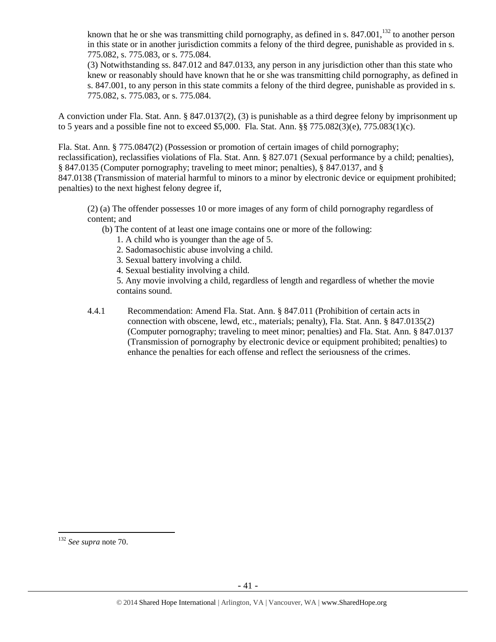known that he or she was transmitting child pornography, as defined in s.  $847.001$ ,  $^{132}$  to another person in this state or in another jurisdiction commits a felony of the third degree, punishable as provided in s. 775.082, s. 775.083, or s. 775.084.

(3) Notwithstanding ss. 847.012 and 847.0133, any person in any jurisdiction other than this state who knew or reasonably should have known that he or she was transmitting child pornography, as defined in s. 847.001, to any person in this state commits a felony of the third degree, punishable as provided in s. 775.082, s. 775.083, or s. 775.084.

A conviction under Fla. Stat. Ann. § 847.0137(2), (3) is punishable as a third degree felony by imprisonment up to 5 years and a possible fine not to exceed \$5,000. Fla. Stat. Ann. §§ 775.082(3)(e), 775.083(1)(c).

Fla. Stat. Ann. § 775.0847(2) (Possession or promotion of certain images of child pornography; reclassification), reclassifies violations of Fla. Stat. Ann. § 827.071 (Sexual performance by a child; penalties), § 847.0135 (Computer pornography; traveling to meet minor; penalties), § 847.0137, and § 847.0138 (Transmission of material harmful to minors to a minor by electronic device or equipment prohibited; penalties) to the next highest felony degree if,

(2) (a) The offender possesses 10 or more images of any form of child pornography regardless of content; and

(b) The content of at least one image contains one or more of the following:

- 1. A child who is younger than the age of 5.
- 2. Sadomasochistic abuse involving a child.
- 3. Sexual battery involving a child.
- 4. Sexual bestiality involving a child.

5. Any movie involving a child, regardless of length and regardless of whether the movie contains sound.

4.4.1 Recommendation: Amend Fla. Stat. Ann. § 847.011 (Prohibition of certain acts in connection with obscene, lewd, etc., materials; penalty), Fla. Stat. Ann. § 847.0135(2) (Computer pornography; traveling to meet minor; penalties) and Fla. Stat. Ann. § 847.0137 (Transmission of pornography by electronic device or equipment prohibited; penalties) to enhance the penalties for each offense and reflect the seriousness of the crimes.

 $\overline{a}$ <sup>132</sup> *See supra* note [70.](#page-20-0)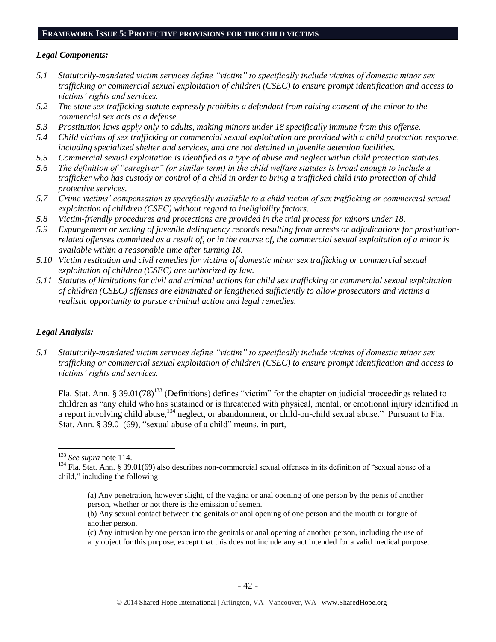## **FRAMEWORK ISSUE 5: PROTECTIVE PROVISIONS FOR THE CHILD VICTIMS**

### *Legal Components:*

- *5.1 Statutorily-mandated victim services define "victim" to specifically include victims of domestic minor sex trafficking or commercial sexual exploitation of children (CSEC) to ensure prompt identification and access to victims' rights and services.*
- *5.2 The state sex trafficking statute expressly prohibits a defendant from raising consent of the minor to the commercial sex acts as a defense.*
- *5.3 Prostitution laws apply only to adults, making minors under 18 specifically immune from this offense.*
- *5.4 Child victims of sex trafficking or commercial sexual exploitation are provided with a child protection response, including specialized shelter and services, and are not detained in juvenile detention facilities.*
- *5.5 Commercial sexual exploitation is identified as a type of abuse and neglect within child protection statutes.*
- *5.6 The definition of "caregiver" (or similar term) in the child welfare statutes is broad enough to include a trafficker who has custody or control of a child in order to bring a trafficked child into protection of child protective services.*
- *5.7 Crime victims' compensation is specifically available to a child victim of sex trafficking or commercial sexual exploitation of children (CSEC) without regard to ineligibility factors.*
- *5.8 Victim-friendly procedures and protections are provided in the trial process for minors under 18.*
- *5.9 Expungement or sealing of juvenile delinquency records resulting from arrests or adjudications for prostitutionrelated offenses committed as a result of, or in the course of, the commercial sexual exploitation of a minor is available within a reasonable time after turning 18.*
- *5.10 Victim restitution and civil remedies for victims of domestic minor sex trafficking or commercial sexual exploitation of children (CSEC) are authorized by law.*
- *5.11 Statutes of limitations for civil and criminal actions for child sex trafficking or commercial sexual exploitation of children (CSEC) offenses are eliminated or lengthened sufficiently to allow prosecutors and victims a realistic opportunity to pursue criminal action and legal remedies.*

*\_\_\_\_\_\_\_\_\_\_\_\_\_\_\_\_\_\_\_\_\_\_\_\_\_\_\_\_\_\_\_\_\_\_\_\_\_\_\_\_\_\_\_\_\_\_\_\_\_\_\_\_\_\_\_\_\_\_\_\_\_\_\_\_\_\_\_\_\_\_\_\_\_\_\_\_\_\_\_\_\_\_\_\_\_\_\_\_\_\_\_\_\_\_*

## *Legal Analysis:*

 $\overline{a}$ 

*5.1 Statutorily-mandated victim services define "victim" to specifically include victims of domestic minor sex trafficking or commercial sexual exploitation of children (CSEC) to ensure prompt identification and access to victims' rights and services.* 

<span id="page-41-0"></span>Fla. Stat. Ann. § 39.01(78)<sup>133</sup> (Definitions) defines "victim" for the chapter on judicial proceedings related to children as "any child who has sustained or is threatened with physical, mental, or emotional injury identified in a report involving child abuse,<sup>134</sup> neglect, or abandonment, or child-on-child sexual abuse." Pursuant to Fla. Stat. Ann. § 39.01(69), "sexual abuse of a child" means, in part,

<sup>133</sup> *See supra* not[e 114.](#page-35-0)

<sup>&</sup>lt;sup>134</sup> Fla. Stat. Ann. § 39.01(69) also describes non-commercial sexual offenses in its definition of "sexual abuse of a child," including the following:

<sup>(</sup>a) Any penetration, however slight, of the vagina or anal opening of one person by the penis of another person, whether or not there is the emission of semen.

<sup>(</sup>b) Any sexual contact between the genitals or anal opening of one person and the mouth or tongue of another person.

<sup>(</sup>c) Any intrusion by one person into the genitals or anal opening of another person, including the use of any object for this purpose, except that this does not include any act intended for a valid medical purpose.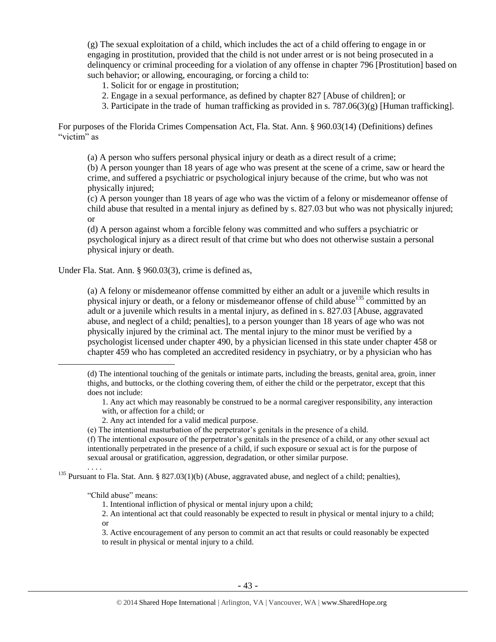(g) The sexual exploitation of a child, which includes the act of a child offering to engage in or engaging in prostitution, provided that the child is not under arrest or is not being prosecuted in a delinquency or criminal proceeding for a violation of any offense in chapter 796 [Prostitution] based on such behavior; or allowing, encouraging, or forcing a child to:

1. Solicit for or engage in prostitution;

- 2. Engage in a sexual performance, as defined by chapter 827 [Abuse of children]; or
- 3. Participate in the trade of human trafficking as provided in s. 787.06(3)(g) [Human trafficking].

For purposes of the Florida Crimes Compensation Act, Fla. Stat. Ann. § 960.03(14) (Definitions) defines "victim" as

(a) A person who suffers personal physical injury or death as a direct result of a crime;

(b) A person younger than 18 years of age who was present at the scene of a crime, saw or heard the crime, and suffered a psychiatric or psychological injury because of the crime, but who was not physically injured;

(c) A person younger than 18 years of age who was the victim of a felony or misdemeanor offense of child abuse that resulted in a mental injury as defined by s. 827.03 but who was not physically injured; or

(d) A person against whom a forcible felony was committed and who suffers a psychiatric or psychological injury as a direct result of that crime but who does not otherwise sustain a personal physical injury or death.

Under Fla. Stat. Ann. § 960.03(3), crime is defined as,

(a) A felony or misdemeanor offense committed by either an adult or a juvenile which results in physical injury or death, or a felony or misdemeanor offense of child abuse<sup>135</sup> committed by an adult or a juvenile which results in a mental injury, as defined in s. 827.03 [Abuse, aggravated abuse, and neglect of a child; penalties], to a person younger than 18 years of age who was not physically injured by the criminal act. The mental injury to the minor must be verified by a psychologist licensed under chapter 490, by a physician licensed in this state under chapter 458 or chapter 459 who has completed an accredited residency in psychiatry, or by a physician who has

1. Any act which may reasonably be construed to be a normal caregiver responsibility, any interaction with, or affection for a child; or

2. Any act intended for a valid medical purpose.

(e) The intentional masturbation of the perpetrator's genitals in the presence of a child.

(f) The intentional exposure of the perpetrator's genitals in the presence of a child, or any other sexual act intentionally perpetrated in the presence of a child, if such exposure or sexual act is for the purpose of sexual arousal or gratification, aggression, degradation, or other similar purpose.

<sup>135</sup> Pursuant to Fla. Stat. Ann. § 827.03(1)(b) (Abuse, aggravated abuse, and neglect of a child; penalties),

"Child abuse" means:

. . . .

<sup>(</sup>d) The intentional touching of the genitals or intimate parts, including the breasts, genital area, groin, inner thighs, and buttocks, or the clothing covering them, of either the child or the perpetrator, except that this does not include:

<sup>1.</sup> Intentional infliction of physical or mental injury upon a child;

<sup>2.</sup> An intentional act that could reasonably be expected to result in physical or mental injury to a child; or

<sup>3.</sup> Active encouragement of any person to commit an act that results or could reasonably be expected to result in physical or mental injury to a child.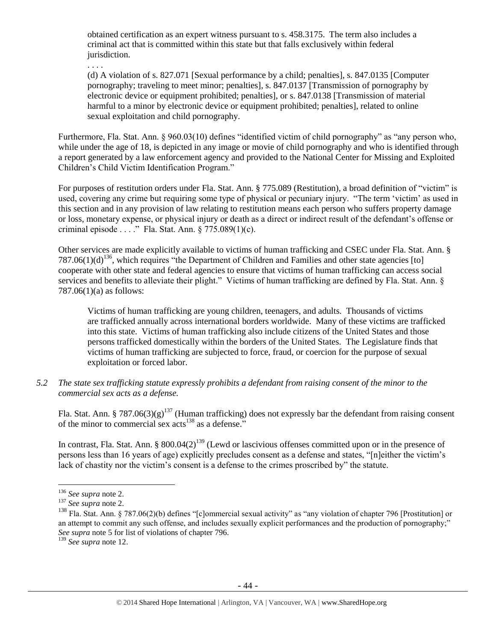obtained certification as an expert witness pursuant to s. 458.3175. The term also includes a criminal act that is committed within this state but that falls exclusively within federal jurisdiction.

. . . .

(d) A violation of s. 827.071 [Sexual performance by a child; penalties], s. 847.0135 [Computer pornography; traveling to meet minor; penalties], s. 847.0137 [Transmission of pornography by electronic device or equipment prohibited; penalties], or s. 847.0138 [Transmission of material harmful to a minor by electronic device or equipment prohibited; penalties], related to online sexual exploitation and child pornography.

Furthermore, Fla. Stat. Ann. § 960.03(10) defines "identified victim of child pornography" as "any person who, while under the age of 18, is depicted in any image or movie of child pornography and who is identified through a report generated by a law enforcement agency and provided to the National Center for Missing and Exploited Children's Child Victim Identification Program."

For purposes of restitution orders under Fla. Stat. Ann. § 775.089 (Restitution), a broad definition of "victim" is used, covering any crime but requiring some type of physical or pecuniary injury. "The term 'victim' as used in this section and in any provision of law relating to restitution means each person who suffers property damage or loss, monetary expense, or physical injury or death as a direct or indirect result of the defendant's offense or criminal episode . . . ." Fla. Stat. Ann. § 775.089(1)(c).

Other services are made explicitly available to victims of human trafficking and CSEC under Fla. Stat. Ann. § 787.06(1)(d)<sup>136</sup>, which requires "the Department of Children and Families and other state agencies [to] cooperate with other state and federal agencies to ensure that victims of human trafficking can access social services and benefits to alleviate their plight." Victims of human trafficking are defined by Fla. Stat. Ann. § 787.06(1)(a) as follows:

Victims of human trafficking are young children, teenagers, and adults. Thousands of victims are trafficked annually across international borders worldwide. Many of these victims are trafficked into this state. Victims of human trafficking also include citizens of the United States and those persons trafficked domestically within the borders of the United States. The Legislature finds that victims of human trafficking are subjected to force, fraud, or coercion for the purpose of sexual exploitation or forced labor.

*5.2 The state sex trafficking statute expressly prohibits a defendant from raising consent of the minor to the commercial sex acts as a defense.*

Fla. Stat. Ann. § 787.06(3)(g)<sup>137</sup> (Human trafficking) does not expressly bar the defendant from raising consent of the minor to commercial sex  $\arctan 138$  as a defense."

In contrast, Fla. Stat. Ann. § 800.04(2)<sup>139</sup> (Lewd or lascivious offenses committed upon or in the presence of persons less than 16 years of age) explicitly precludes consent as a defense and states, "[n]either the victim's lack of chastity nor the victim's consent is a defense to the crimes proscribed by" the statute.

 $\overline{a}$ <sup>136</sup> *See supra* not[e 2.](#page-0-0)

<sup>137</sup> *See supra* not[e 2.](#page-0-0)

<sup>&</sup>lt;sup>138</sup> Fla. Stat. Ann. § 787.06(2)(b) defines "[c]ommercial sexual activity" as "any violation of chapter 796 [Prostitution] or an attempt to commit any such offense, and includes sexually explicit performances and the production of pornography;" *See supra* note [5](#page-1-2) for list of violations of chapter 796.

<sup>139</sup> *See supra* not[e 12.](#page-3-0)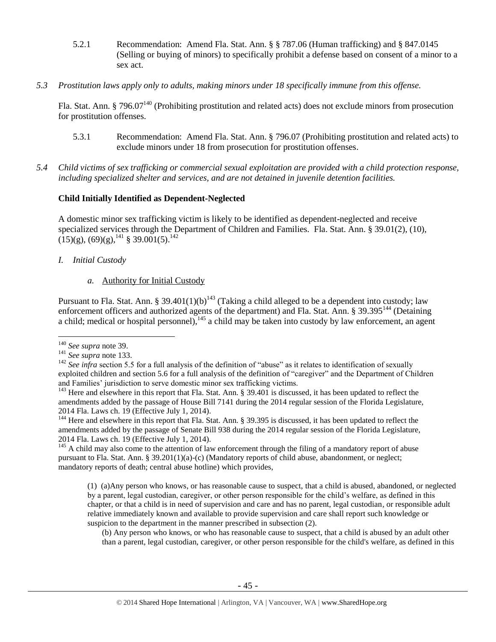- 5.2.1 Recommendation: Amend Fla. Stat. Ann. § § 787.06 (Human trafficking) and § 847.0145 (Selling or buying of minors) to specifically prohibit a defense based on consent of a minor to a sex act.
- *5.3 Prostitution laws apply only to adults, making minors under 18 specifically immune from this offense.*

Fla. Stat. Ann. § 796.07<sup>140</sup> (Prohibiting prostitution and related acts) does not exclude minors from prosecution for prostitution offenses.

- 5.3.1 Recommendation: Amend Fla. Stat. Ann. § 796.07 (Prohibiting prostitution and related acts) to exclude minors under 18 from prosecution for prostitution offenses.
- *5.4 Child victims of sex trafficking or commercial sexual exploitation are provided with a child protection response, including specialized shelter and services, and are not detained in juvenile detention facilities.*

## **Child Initially Identified as Dependent-Neglected**

<span id="page-44-0"></span>A domestic minor sex trafficking victim is likely to be identified as dependent-neglected and receive specialized services through the Department of Children and Families. Fla. Stat. Ann. § 39.01(2), (10),  $(15)(g)$ ,  $(69)(g)$ ,  $^{141}$  § 39.001(5).<sup>142</sup>

- *I. Initial Custody*
	- *a.* Authority for Initial Custody

Pursuant to Fla. Stat. Ann. § 39.401(1)(b)<sup>143</sup> (Taking a child alleged to be a dependent into custody; law enforcement officers and authorized agents of the department) and Fla. Stat. Ann. § 39.395<sup>144</sup> (Detaining a child; medical or hospital personnel),  $145$  a child may be taken into custody by law enforcement, an agent

 $145$  A child may also come to the attention of law enforcement through the filing of a mandatory report of abuse pursuant to Fla. Stat. Ann. § 39.201(1)(a)-(c) (Mandatory reports of child abuse, abandonment, or neglect; mandatory reports of death; central abuse hotline) which provides,

(1) (a)Any person who knows, or has reasonable cause to suspect, that a child is abused, abandoned, or neglected by a parent, legal custodian, caregiver, or other person responsible for the child's welfare, as defined in this chapter, or that a child is in need of supervision and care and has no parent, legal custodian, or responsible adult relative immediately known and available to provide supervision and care shall report such knowledge or suspicion to the department in the manner prescribed in subsection (2).

(b) Any person who knows, or who has reasonable cause to suspect, that a child is abused by an adult other than a parent, legal custodian, caregiver, or other person responsible for the child's welfare, as defined in this

 $\overline{a}$ <sup>140</sup> *See supra* not[e 39.](#page-10-0)

<sup>141</sup> *See supra* not[e 133.](#page-41-0)

<sup>&</sup>lt;sup>142</sup> See infra section 5.5 for a full analysis of the definition of "abuse" as it relates to identification of sexually exploited children and section 5.6 for a full analysis of the definition of "caregiver" and the Department of Children and Families' jurisdiction to serve domestic minor sex trafficking victims.

<sup>&</sup>lt;sup>143</sup> Here and elsewhere in this report that Fla. Stat. Ann. § 39.401 is discussed, it has been updated to reflect the amendments added by the passage of House Bill 7141 during the 2014 regular session of the Florida Legislature, 2014 Fla. Laws ch. 19 (Effective July 1, 2014).

<sup>&</sup>lt;sup>144</sup> Here and elsewhere in this report that Fla. Stat. Ann. § 39.395 is discussed, it has been updated to reflect the amendments added by the passage of Senate Bill 938 during the 2014 regular session of the Florida Legislature, 2014 Fla. Laws ch. 19 (Effective July 1, 2014).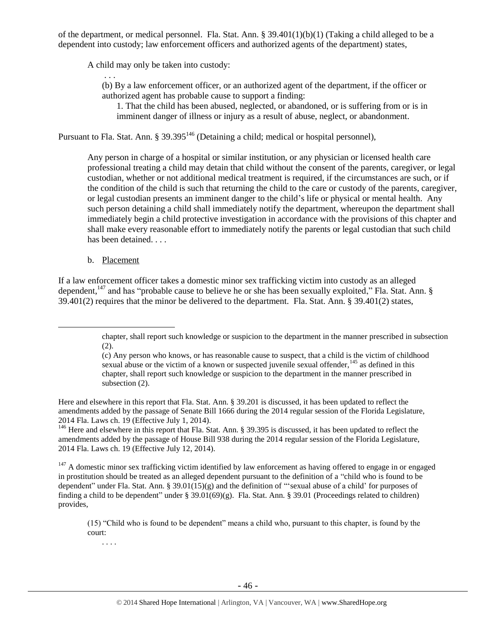of the department, or medical personnel. Fla. Stat. Ann. §  $39.401(1)(b)(1)$  (Taking a child alleged to be a dependent into custody; law enforcement officers and authorized agents of the department) states,

A child may only be taken into custody:

(b) By a law enforcement officer, or an authorized agent of the department, if the officer or authorized agent has probable cause to support a finding:

1. That the child has been abused, neglected, or abandoned, or is suffering from or is in imminent danger of illness or injury as a result of abuse, neglect, or abandonment.

Pursuant to Fla. Stat. Ann. § 39.395<sup>146</sup> (Detaining a child; medical or hospital personnel),

Any person in charge of a hospital or similar institution, or any physician or licensed health care professional treating a child may detain that child without the consent of the parents, caregiver, or legal custodian, whether or not additional medical treatment is required, if the circumstances are such, or if the condition of the child is such that returning the child to the care or custody of the parents, caregiver, or legal custodian presents an imminent danger to the child's life or physical or mental health. Any such person detaining a child shall immediately notify the department, whereupon the department shall immediately begin a child protective investigation in accordance with the provisions of this chapter and shall make every reasonable effort to immediately notify the parents or legal custodian that such child has been detained. . . .

b. Placement

 $\overline{a}$ 

. . .

If a law enforcement officer takes a domestic minor sex trafficking victim into custody as an alleged dependent,<sup>147</sup> and has "probable cause to believe he or she has been sexually exploited," Fla. Stat. Ann. § 39.401(2) requires that the minor be delivered to the department. Fla. Stat. Ann. § 39.401(2) states,

Here and elsewhere in this report that Fla. Stat. Ann. § 39.201 is discussed, it has been updated to reflect the amendments added by the passage of Senate Bill 1666 during the 2014 regular session of the Florida Legislature, 2014 Fla. Laws ch. 19 (Effective July 1, 2014).

<sup>146</sup> Here and elsewhere in this report that Fla. Stat. Ann. § 39.395 is discussed, it has been updated to reflect the amendments added by the passage of House Bill 938 during the 2014 regular session of the Florida Legislature, 2014 Fla. Laws ch. 19 (Effective July 12, 2014).

 $147$  A domestic minor sex trafficking victim identified by law enforcement as having offered to engage in or engaged in prostitution should be treated as an alleged dependent pursuant to the definition of a "child who is found to be dependent" under Fla. Stat. Ann. § 39.01(15)(g) and the definition of "'sexual abuse of a child' for purposes of finding a child to be dependent" under § 39.01(69)(g). Fla. Stat. Ann. § 39.01 (Proceedings related to children) provides,

(15) "Child who is found to be dependent" means a child who, pursuant to this chapter, is found by the court:

. . . .

chapter, shall report such knowledge or suspicion to the department in the manner prescribed in subsection (2).

<sup>(</sup>c) Any person who knows, or has reasonable cause to suspect, that a child is the victim of childhood sexual abuse or the victim of a known or suspected juvenile sexual offender,<sup>145</sup> as defined in this chapter, shall report such knowledge or suspicion to the department in the manner prescribed in subsection  $(2)$ .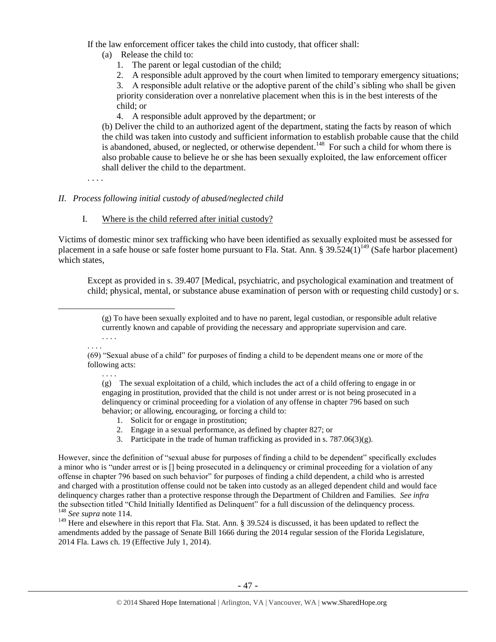If the law enforcement officer takes the child into custody, that officer shall:

- (a) Release the child to:
	- 1. The parent or legal custodian of the child;
	- 2. A responsible adult approved by the court when limited to temporary emergency situations;

3. A responsible adult relative or the adoptive parent of the child's sibling who shall be given priority consideration over a nonrelative placement when this is in the best interests of the child; or

4. A responsible adult approved by the department; or

(b) Deliver the child to an authorized agent of the department, stating the facts by reason of which the child was taken into custody and sufficient information to establish probable cause that the child is abandoned, abused, or neglected, or otherwise dependent.<sup>148</sup> For such a child for whom there is also probable cause to believe he or she has been sexually exploited, the law enforcement officer shall deliver the child to the department.

. . . .

## *II. Process following initial custody of abused/neglected child*

## I. Where is the child referred after initial custody?

Victims of domestic minor sex trafficking who have been identified as sexually exploited must be assessed for placement in a safe house or safe foster home pursuant to Fla. Stat. Ann. § 39.524(1)<sup>149</sup> (Safe harbor placement) which states,

Except as provided in s. 39.407 [Medical, psychiatric, and psychological examination and treatment of child; physical, mental, or substance abuse examination of person with or requesting child custody] or s.

(g) To have been sexually exploited and to have no parent, legal custodian, or responsible adult relative currently known and capable of providing the necessary and appropriate supervision and care. . . . .

. . . .

 $\overline{a}$ 

. . . .

(g) The sexual exploitation of a child, which includes the act of a child offering to engage in or engaging in prostitution, provided that the child is not under arrest or is not being prosecuted in a delinquency or criminal proceeding for a violation of any offense in chapter 796 based on such behavior; or allowing, encouraging, or forcing a child to:

- 1. Solicit for or engage in prostitution;
- 2. Engage in a sexual performance, as defined by chapter 827; or
- 3. Participate in the trade of human trafficking as provided in s.  $787.06(3)(g)$ .

However, since the definition of "sexual abuse for purposes of finding a child to be dependent" specifically excludes a minor who is "under arrest or is [] being prosecuted in a delinquency or criminal proceeding for a violation of any offense in chapter 796 based on such behavior" for purposes of finding a child dependent, a child who is arrested and charged with a prostitution offense could not be taken into custody as an alleged dependent child and would face delinquency charges rather than a protective response through the Department of Children and Families. *See infra* the subsection titled "Child Initially Identified as Delinquent" for a full discussion of the delinquency process. <sup>148</sup> *See supra* not[e 114.](#page-35-0)

<sup>149</sup> Here and elsewhere in this report that Fla. Stat. Ann. § 39.524 is discussed, it has been updated to reflect the amendments added by the passage of Senate Bill 1666 during the 2014 regular session of the Florida Legislature, 2014 Fla. Laws ch. 19 (Effective July 1, 2014).

<sup>(69) &</sup>quot;Sexual abuse of a child" for purposes of finding a child to be dependent means one or more of the following acts: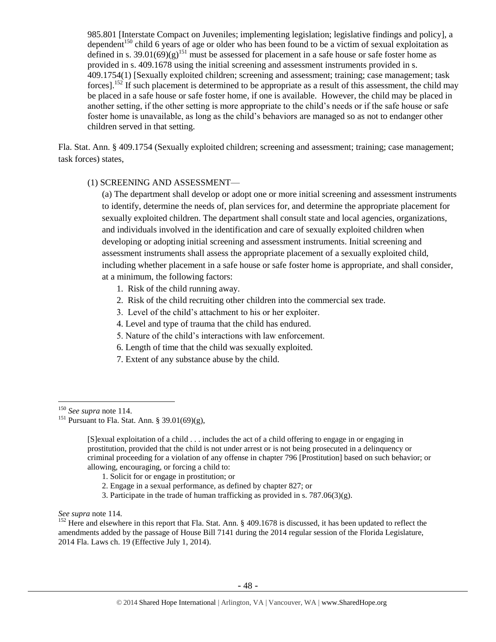985.801 [Interstate Compact on Juveniles; implementing legislation; legislative findings and policy], a dependent<sup>150</sup> child 6 years of age or older who has been found to be a victim of sexual exploitation as defined in s. 39.01(69)(g)<sup>151</sup> must be assessed for placement in a safe house or safe foster home as provided in s. 409.1678 using the initial screening and assessment instruments provided in s. 409.1754(1) [Sexually exploited children; screening and assessment; training; case management; task forces].<sup>152</sup> If such placement is determined to be appropriate as a result of this assessment, the child may be placed in a safe house or safe foster home, if one is available. However, the child may be placed in another setting, if the other setting is more appropriate to the child's needs or if the safe house or safe foster home is unavailable, as long as the child's behaviors are managed so as not to endanger other children served in that setting.

Fla. Stat. Ann. § 409.1754 (Sexually exploited children; screening and assessment; training; case management; task forces) states,

## (1) SCREENING AND ASSESSMENT—

(a) The department shall develop or adopt one or more initial screening and assessment instruments to identify, determine the needs of, plan services for, and determine the appropriate placement for sexually exploited children. The department shall consult state and local agencies, organizations, and individuals involved in the identification and care of sexually exploited children when developing or adopting initial screening and assessment instruments. Initial screening and assessment instruments shall assess the appropriate placement of a sexually exploited child, including whether placement in a safe house or safe foster home is appropriate, and shall consider, at a minimum, the following factors:

- 1. Risk of the child running away.
- 2. Risk of the child recruiting other children into the commercial sex trade.
- 3. Level of the child's attachment to his or her exploiter.
- 4. Level and type of trauma that the child has endured.
- 5. Nature of the child's interactions with law enforcement.
- 6. Length of time that the child was sexually exploited.
- 7. Extent of any substance abuse by the child.

<sup>150</sup> *See supra* not[e 114.](#page-35-0)

<sup>&</sup>lt;sup>151</sup> Pursuant to Fla. Stat. Ann. § 39.01(69)(g),

<sup>[</sup>S]exual exploitation of a child . . . includes the act of a child offering to engage in or engaging in prostitution, provided that the child is not under arrest or is not being prosecuted in a delinquency or criminal proceeding for a violation of any offense in chapter 796 [Prostitution] based on such behavior; or allowing, encouraging, or forcing a child to:

<sup>1.</sup> Solicit for or engage in prostitution; or

<sup>2.</sup> Engage in a sexual performance, as defined by chapter 827; or

<sup>3.</sup> Participate in the trade of human trafficking as provided in s. 787.06(3)(g).

*See supra* note [114.](#page-35-0)

 $152$  Here and elsewhere in this report that Fla. Stat. Ann. § 409.1678 is discussed, it has been updated to reflect the amendments added by the passage of House Bill 7141 during the 2014 regular session of the Florida Legislature, 2014 Fla. Laws ch. 19 (Effective July 1, 2014).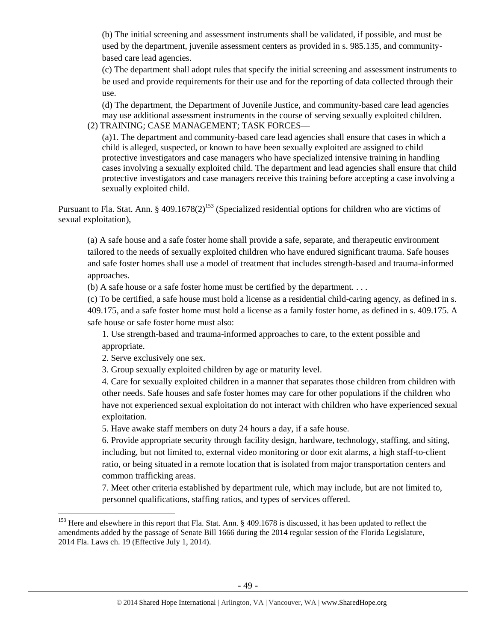(b) The initial screening and assessment instruments shall be validated, if possible, and must be used by the department, juvenile assessment centers as provided in s. 985.135, and communitybased care lead agencies.

(c) The department shall adopt rules that specify the initial screening and assessment instruments to be used and provide requirements for their use and for the reporting of data collected through their use.

(d) The department, the Department of Juvenile Justice, and community-based care lead agencies may use additional assessment instruments in the course of serving sexually exploited children. (2) TRAINING; CASE MANAGEMENT; TASK FORCES—

(a)1. The department and community-based care lead agencies shall ensure that cases in which a child is alleged, suspected, or known to have been sexually exploited are assigned to child protective investigators and case managers who have specialized intensive training in handling cases involving a sexually exploited child. The department and lead agencies shall ensure that child protective investigators and case managers receive this training before accepting a case involving a sexually exploited child.

Pursuant to Fla. Stat. Ann. § 409.1678(2)<sup>153</sup> (Specialized residential options for children who are victims of sexual exploitation),

(a) A safe house and a safe foster home shall provide a safe, separate, and therapeutic environment tailored to the needs of sexually exploited children who have endured significant trauma. Safe houses and safe foster homes shall use a model of treatment that includes strength-based and trauma-informed approaches.

(b) A safe house or a safe foster home must be certified by the department. . . .

(c) To be certified, a safe house must hold a license as a residential child-caring agency, as defined in s. 409.175, and a safe foster home must hold a license as a family foster home, as defined in s. 409.175. A safe house or safe foster home must also:

1. Use strength-based and trauma-informed approaches to care, to the extent possible and appropriate.

2. Serve exclusively one sex.

 $\overline{a}$ 

3. Group sexually exploited children by age or maturity level.

4. Care for sexually exploited children in a manner that separates those children from children with other needs. Safe houses and safe foster homes may care for other populations if the children who have not experienced sexual exploitation do not interact with children who have experienced sexual exploitation.

5. Have awake staff members on duty 24 hours a day, if a safe house.

6. Provide appropriate security through facility design, hardware, technology, staffing, and siting, including, but not limited to, external video monitoring or door exit alarms, a high staff-to-client ratio, or being situated in a remote location that is isolated from major transportation centers and common trafficking areas.

7. Meet other criteria established by department rule, which may include, but are not limited to, personnel qualifications, staffing ratios, and types of services offered.

<sup>&</sup>lt;sup>153</sup> Here and elsewhere in this report that Fla. Stat. Ann. § 409.1678 is discussed, it has been updated to reflect the amendments added by the passage of Senate Bill 1666 during the 2014 regular session of the Florida Legislature, 2014 Fla. Laws ch. 19 (Effective July 1, 2014).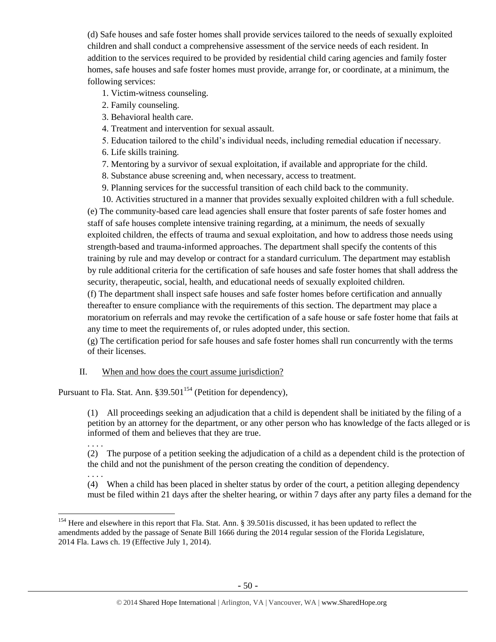(d) Safe houses and safe foster homes shall provide services tailored to the needs of sexually exploited children and shall conduct a comprehensive assessment of the service needs of each resident. In addition to the services required to be provided by residential child caring agencies and family foster homes, safe houses and safe foster homes must provide, arrange for, or coordinate, at a minimum, the following services:

1. Victim-witness counseling.

- 2. Family counseling.
- 3. Behavioral health care.
- 4. Treatment and intervention for sexual assault.
- 5. Education tailored to the child's individual needs, including remedial education if necessary.
- 6. Life skills training.
- 7. Mentoring by a survivor of sexual exploitation, if available and appropriate for the child.
- 8. Substance abuse screening and, when necessary, access to treatment.
- 9. Planning services for the successful transition of each child back to the community.

10. Activities structured in a manner that provides sexually exploited children with a full schedule. (e) The community-based care lead agencies shall ensure that foster parents of safe foster homes and staff of safe houses complete intensive training regarding, at a minimum, the needs of sexually exploited children, the effects of trauma and sexual exploitation, and how to address those needs using strength-based and trauma-informed approaches. The department shall specify the contents of this training by rule and may develop or contract for a standard curriculum. The department may establish by rule additional criteria for the certification of safe houses and safe foster homes that shall address the security, therapeutic, social, health, and educational needs of sexually exploited children.

(f) The department shall inspect safe houses and safe foster homes before certification and annually thereafter to ensure compliance with the requirements of this section. The department may place a moratorium on referrals and may revoke the certification of a safe house or safe foster home that fails at any time to meet the requirements of, or rules adopted under, this section.

(g) The certification period for safe houses and safe foster homes shall run concurrently with the terms of their licenses.

### II. When and how does the court assume jurisdiction?

Pursuant to Fla. Stat. Ann. §39.501<sup>154</sup> (Petition for dependency),

(1) All proceedings seeking an adjudication that a child is dependent shall be initiated by the filing of a petition by an attorney for the department, or any other person who has knowledge of the facts alleged or is informed of them and believes that they are true.

. . . .

. . . .

 $\overline{a}$ 

(2) The purpose of a petition seeking the adjudication of a child as a dependent child is the protection of the child and not the punishment of the person creating the condition of dependency.

(4) When a child has been placed in shelter status by order of the court, a petition alleging dependency must be filed within 21 days after the shelter hearing, or within 7 days after any party files a demand for the

<sup>&</sup>lt;sup>154</sup> Here and elsewhere in this report that Fla. Stat. Ann. § 39.501 is discussed, it has been updated to reflect the amendments added by the passage of Senate Bill 1666 during the 2014 regular session of the Florida Legislature, 2014 Fla. Laws ch. 19 (Effective July 1, 2014).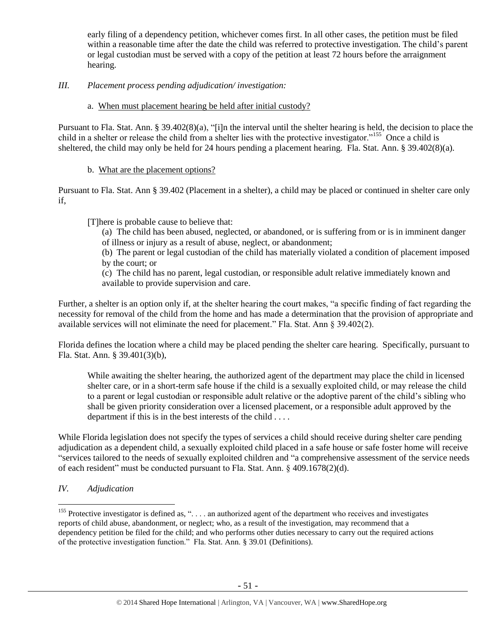early filing of a dependency petition, whichever comes first. In all other cases, the petition must be filed within a reasonable time after the date the child was referred to protective investigation. The child's parent or legal custodian must be served with a copy of the petition at least 72 hours before the arraignment hearing.

## *III. Placement process pending adjudication/ investigation:*

# a. When must placement hearing be held after initial custody?

Pursuant to Fla. Stat. Ann. § 39.402(8)(a), "in the interval until the shelter hearing is held, the decision to place the child in a shelter or release the child from a shelter lies with the protective investigator."<sup>155</sup> Once a child is sheltered, the child may only be held for 24 hours pending a placement hearing. Fla. Stat. Ann. § 39.402(8)(a).

# b. What are the placement options?

Pursuant to Fla. Stat. Ann § 39.402 (Placement in a shelter), a child may be placed or continued in shelter care only if,

There is probable cause to believe that:

(a) The child has been abused, neglected, or abandoned, or is suffering from or is in imminent danger of illness or injury as a result of abuse, neglect, or abandonment;

(b) The parent or legal custodian of the child has materially violated a condition of placement imposed by the court; or

(c) The child has no parent, legal custodian, or responsible adult relative immediately known and available to provide supervision and care.

Further, a shelter is an option only if, at the shelter hearing the court makes, "a specific finding of fact regarding the necessity for removal of the child from the home and has made a determination that the provision of appropriate and available services will not eliminate the need for placement." Fla. Stat. Ann § 39.402(2).

Florida defines the location where a child may be placed pending the shelter care hearing. Specifically, pursuant to Fla. Stat. Ann. § 39.401(3)(b),

While awaiting the shelter hearing, the authorized agent of the department may place the child in licensed shelter care, or in a short-term safe house if the child is a sexually exploited child, or may release the child to a parent or legal custodian or responsible adult relative or the adoptive parent of the child's sibling who shall be given priority consideration over a licensed placement, or a responsible adult approved by the department if this is in the best interests of the child . . . .

While Florida legislation does not specify the types of services a child should receive during shelter care pending adjudication as a dependent child, a sexually exploited child placed in a safe house or safe foster home will receive "services tailored to the needs of sexually exploited children and "a comprehensive assessment of the service needs of each resident" must be conducted pursuant to Fla. Stat. Ann. § 409.1678(2)(d).

*IV. Adjudication*

<sup>&</sup>lt;sup>155</sup> Protective investigator is defined as, " $\dots$  an authorized agent of the department who receives and investigates reports of child abuse, abandonment, or neglect; who, as a result of the investigation, may recommend that a dependency petition be filed for the child; and who performs other duties necessary to carry out the required actions of the protective investigation function." Fla. Stat. Ann. § 39.01 (Definitions).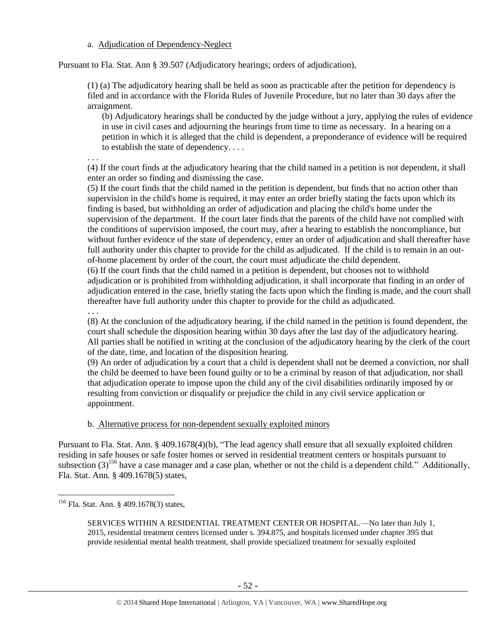## a. Adjudication of Dependency-Neglect

Pursuant to Fla. Stat. Ann § 39.507 (Adjudicatory hearings; orders of adjudication),

(1) (a) The adjudicatory hearing shall be held as soon as practicable after the petition for dependency is filed and in accordance with the Florida Rules of Juvenile Procedure, but no later than 30 days after the arraignment.

(b) Adjudicatory hearings shall be conducted by the judge without a jury, applying the rules of evidence in use in civil cases and adjourning the hearings from time to time as necessary. In a hearing on a petition in which it is alleged that the child is dependent, a preponderance of evidence will be required to establish the state of dependency. . . .

. . . (4) If the court finds at the adjudicatory hearing that the child named in a petition is not dependent, it shall enter an order so finding and dismissing the case.

(5) If the court finds that the child named in the petition is dependent, but finds that no action other than supervision in the child's home is required, it may enter an order briefly stating the facts upon which its finding is based, but withholding an order of adjudication and placing the child's home under the supervision of the department. If the court later finds that the parents of the child have not complied with the conditions of supervision imposed, the court may, after a hearing to establish the noncompliance, but without further evidence of the state of dependency, enter an order of adjudication and shall thereafter have full authority under this chapter to provide for the child as adjudicated. If the child is to remain in an outof-home placement by order of the court, the court must adjudicate the child dependent.

(6) If the court finds that the child named in a petition is dependent, but chooses not to withhold adjudication or is prohibited from withholding adjudication, it shall incorporate that finding in an order of adjudication entered in the case, briefly stating the facts upon which the finding is made, and the court shall thereafter have full authority under this chapter to provide for the child as adjudicated.

. . . (8) At the conclusion of the adjudicatory hearing, if the child named in the petition is found dependent, the court shall schedule the disposition hearing within 30 days after the last day of the adjudicatory hearing. All parties shall be notified in writing at the conclusion of the adjudicatory hearing by the clerk of the court of the date, time, and location of the disposition hearing.

(9) An order of adjudication by a court that a child is dependent shall not be deemed a conviction, nor shall the child be deemed to have been found guilty or to be a criminal by reason of that adjudication, nor shall that adjudication operate to impose upon the child any of the civil disabilities ordinarily imposed by or resulting from conviction or disqualify or prejudice the child in any civil service application or appointment.

## b. Alternative process for non-dependent sexually exploited minors

Pursuant to Fla. Stat. Ann. § 409.1678(4)(b), "The lead agency shall ensure that all sexually exploited children residing in safe houses or safe foster homes or served in residential treatment centers or hospitals pursuant to subsection  $(3)^{156}$  have a case manager and a case plan, whether or not the child is a dependent child." Additionally, Fla. Stat. Ann. § 409.1678(5) states,

 $\overline{a}$ <sup>156</sup> Fla. Stat. Ann. § 409.1678(3) states,

SERVICES WITHIN A RESIDENTIAL TREATMENT CENTER OR HOSPITAL.—No later than July 1, 2015, residential treatment centers licensed under s. 394.875, and hospitals licensed under chapter 395 that provide residential mental health treatment, shall provide specialized treatment for sexually exploited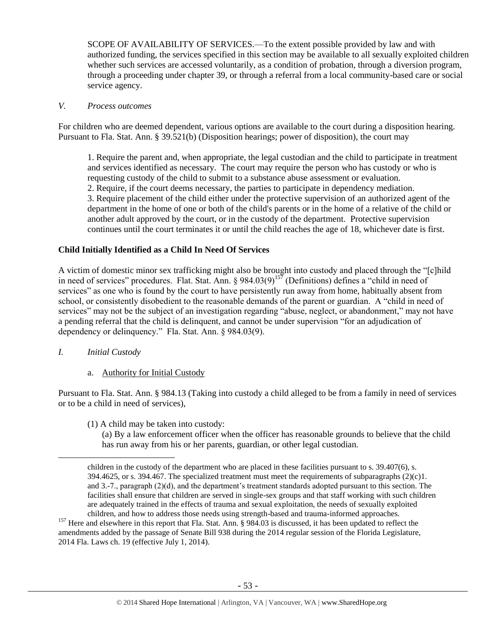SCOPE OF AVAILABILITY OF SERVICES.—To the extent possible provided by law and with authorized funding, the services specified in this section may be available to all sexually exploited children whether such services are accessed voluntarily, as a condition of probation, through a diversion program, through a proceeding under chapter 39, or through a referral from a local community-based care or social service agency.

### *V. Process outcomes*

For children who are deemed dependent, various options are available to the court during a disposition hearing. Pursuant to Fla. Stat. Ann. § 39.521(b) (Disposition hearings; power of disposition), the court may

1. Require the parent and, when appropriate, the legal custodian and the child to participate in treatment and services identified as necessary. The court may require the person who has custody or who is requesting custody of the child to submit to a substance abuse assessment or evaluation. 2. Require, if the court deems necessary, the parties to participate in dependency mediation. 3. Require placement of the child either under the protective supervision of an authorized agent of the department in the home of one or both of the child's parents or in the home of a relative of the child or another adult approved by the court, or in the custody of the department. Protective supervision continues until the court terminates it or until the child reaches the age of 18, whichever date is first.

## **Child Initially Identified as a Child In Need Of Services**

A victim of domestic minor sex trafficking might also be brought into custody and placed through the "[c]hild in need of services" procedures. Flat. Stat. Ann. § 984.03(9)<sup>157</sup> (Definitions) defines a "child in need of services" as one who is found by the court to have persistently run away from home, habitually absent from school, or consistently disobedient to the reasonable demands of the parent or guardian. A "child in need of services" may not be the subject of an investigation regarding "abuse, neglect, or abandonment," may not have a pending referral that the child is delinquent, and cannot be under supervision "for an adjudication of dependency or delinquency." Fla. Stat. Ann. § 984.03(9).

### *I. Initial Custody*

 $\overline{a}$ 

a. Authority for Initial Custody

Pursuant to Fla. Stat. Ann. § 984.13 (Taking into custody a child alleged to be from a family in need of services or to be a child in need of services),

(1) A child may be taken into custody:

(a) By a law enforcement officer when the officer has reasonable grounds to believe that the child has run away from his or her parents, guardian, or other legal custodian.

children in the custody of the department who are placed in these facilities pursuant to s. 39.407(6), s. 394.4625, or s. 394.467. The specialized treatment must meet the requirements of subparagraphs  $(2)(c)1$ . and 3.-7., paragraph (2)(d), and the department's treatment standards adopted pursuant to this section. The facilities shall ensure that children are served in single-sex groups and that staff working with such children are adequately trained in the effects of trauma and sexual exploitation, the needs of sexually exploited children, and how to address those needs using strength-based and trauma-informed approaches.

<sup>&</sup>lt;sup>157</sup> Here and elsewhere in this report that Fla. Stat. Ann. § 984.03 is discussed, it has been updated to reflect the amendments added by the passage of Senate Bill 938 during the 2014 regular session of the Florida Legislature, 2014 Fla. Laws ch. 19 (effective July 1, 2014).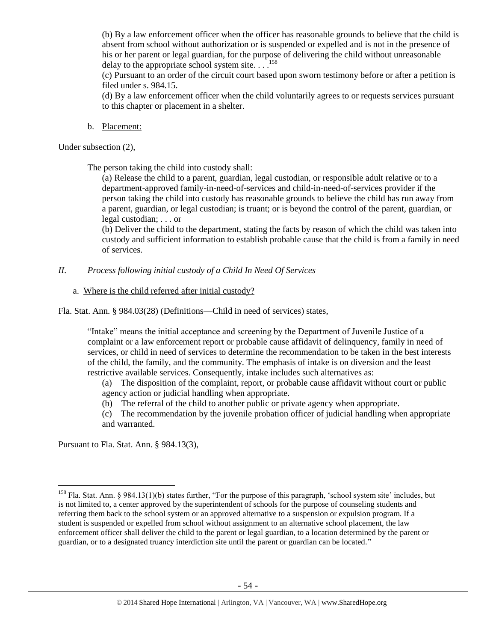(b) By a law enforcement officer when the officer has reasonable grounds to believe that the child is absent from school without authorization or is suspended or expelled and is not in the presence of his or her parent or legal guardian, for the purpose of delivering the child without unreasonable delay to the appropriate school system site.  $\ldots$ <sup>158</sup>

(c) Pursuant to an order of the circuit court based upon sworn testimony before or after a petition is filed under s. 984.15.

(d) By a law enforcement officer when the child voluntarily agrees to or requests services pursuant to this chapter or placement in a shelter.

b. Placement:

Under subsection (2),

The person taking the child into custody shall:

(a) Release the child to a parent, guardian, legal custodian, or responsible adult relative or to a department-approved family-in-need-of-services and child-in-need-of-services provider if the person taking the child into custody has reasonable grounds to believe the child has run away from a parent, guardian, or legal custodian; is truant; or is beyond the control of the parent, guardian, or legal custodian; . . . or

(b) Deliver the child to the department, stating the facts by reason of which the child was taken into custody and sufficient information to establish probable cause that the child is from a family in need of services.

### *II. Process following initial custody of a Child In Need Of Services*

a. Where is the child referred after initial custody?

Fla. Stat. Ann. § 984.03(28) (Definitions—Child in need of services) states,

"Intake" means the initial acceptance and screening by the Department of Juvenile Justice of a complaint or a law enforcement report or probable cause affidavit of delinquency, family in need of services, or child in need of services to determine the recommendation to be taken in the best interests of the child, the family, and the community. The emphasis of intake is on diversion and the least restrictive available services. Consequently, intake includes such alternatives as:

(a) The disposition of the complaint, report, or probable cause affidavit without court or public agency action or judicial handling when appropriate.

(b) The referral of the child to another public or private agency when appropriate.

(c) The recommendation by the juvenile probation officer of judicial handling when appropriate and warranted.

Pursuant to Fla. Stat. Ann. § 984.13(3),

<sup>&</sup>lt;sup>158</sup> Fla. Stat. Ann. § 984.13(1)(b) states further, "For the purpose of this paragraph, 'school system site' includes, but is not limited to, a center approved by the superintendent of schools for the purpose of counseling students and referring them back to the school system or an approved alternative to a suspension or expulsion program. If a student is suspended or expelled from school without assignment to an alternative school placement, the law enforcement officer shall deliver the child to the parent or legal guardian, to a location determined by the parent or guardian, or to a designated truancy interdiction site until the parent or guardian can be located."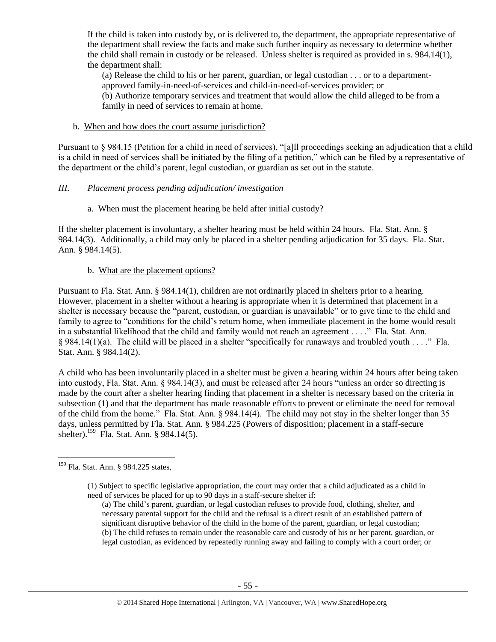If the child is taken into custody by, or is delivered to, the department, the appropriate representative of the department shall review the facts and make such further inquiry as necessary to determine whether the child shall remain in custody or be released. Unless shelter is required as provided in s. 984.14(1), the department shall:

(a) Release the child to his or her parent, guardian, or legal custodian . . . or to a departmentapproved family-in-need-of-services and child-in-need-of-services provider; or (b) Authorize temporary services and treatment that would allow the child alleged to be from a family in need of services to remain at home.

### b. When and how does the court assume jurisdiction?

Pursuant to § 984.15 (Petition for a child in need of services), "[a]ll proceedings seeking an adjudication that a child is a child in need of services shall be initiated by the filing of a petition," which can be filed by a representative of the department or the child's parent, legal custodian, or guardian as set out in the statute.

## *III. Placement process pending adjudication/ investigation*

a. When must the placement hearing be held after initial custody?

If the shelter placement is involuntary, a shelter hearing must be held within 24 hours. Fla. Stat. Ann. § 984.14(3). Additionally, a child may only be placed in a shelter pending adjudication for 35 days. Fla. Stat. Ann. § 984.14(5).

## b. What are the placement options?

Pursuant to Fla. Stat. Ann. § 984.14(1), children are not ordinarily placed in shelters prior to a hearing. However, placement in a shelter without a hearing is appropriate when it is determined that placement in a shelter is necessary because the "parent, custodian, or guardian is unavailable" or to give time to the child and family to agree to "conditions for the child's return home, when immediate placement in the home would result in a substantial likelihood that the child and family would not reach an agreement . . . ." Fla. Stat. Ann. § 984.14(1)(a). The child will be placed in a shelter "specifically for runaways and troubled youth . . . ." Fla. Stat. Ann. § 984.14(2).

A child who has been involuntarily placed in a shelter must be given a hearing within 24 hours after being taken into custody, Fla. Stat. Ann. § 984.14(3), and must be released after 24 hours "unless an order so directing is made by the court after a shelter hearing finding that placement in a shelter is necessary based on the criteria in subsection (1) and that the department has made reasonable efforts to prevent or eliminate the need for removal of the child from the home." Fla. Stat. Ann. § 984.14(4). The child may not stay in the shelter longer than 35 days, unless permitted by Fla. Stat. Ann. § 984.225 (Powers of disposition; placement in a staff-secure shelter).<sup>159</sup> Fla. Stat. Ann. § 984.14(5).

<sup>&</sup>lt;sup>159</sup> Fla. Stat. Ann. § 984.225 states,

<sup>(1)</sup> Subject to specific legislative appropriation, the court may order that a child adjudicated as a child in need of services be placed for up to 90 days in a staff-secure shelter if:

<sup>(</sup>a) The child's parent, guardian, or legal custodian refuses to provide food, clothing, shelter, and necessary parental support for the child and the refusal is a direct result of an established pattern of significant disruptive behavior of the child in the home of the parent, guardian, or legal custodian; (b) The child refuses to remain under the reasonable care and custody of his or her parent, guardian, or legal custodian, as evidenced by repeatedly running away and failing to comply with a court order; or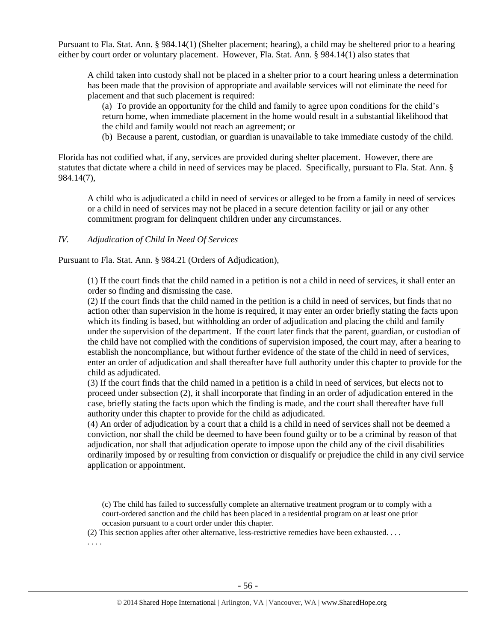Pursuant to Fla. Stat. Ann. § 984.14(1) (Shelter placement; hearing), a child may be sheltered prior to a hearing either by court order or voluntary placement. However, Fla. Stat. Ann. § 984.14(1) also states that

A child taken into custody shall not be placed in a shelter prior to a court hearing unless a determination has been made that the provision of appropriate and available services will not eliminate the need for placement and that such placement is required:

(a) To provide an opportunity for the child and family to agree upon conditions for the child's return home, when immediate placement in the home would result in a substantial likelihood that the child and family would not reach an agreement; or

(b) Because a parent, custodian, or guardian is unavailable to take immediate custody of the child.

Florida has not codified what, if any, services are provided during shelter placement. However, there are statutes that dictate where a child in need of services may be placed. Specifically, pursuant to Fla. Stat. Ann. § 984.14(7),

A child who is adjudicated a child in need of services or alleged to be from a family in need of services or a child in need of services may not be placed in a secure detention facility or jail or any other commitment program for delinquent children under any circumstances.

### *IV. Adjudication of Child In Need Of Services*

Pursuant to Fla. Stat. Ann. § 984.21 (Orders of Adjudication),

(1) If the court finds that the child named in a petition is not a child in need of services, it shall enter an order so finding and dismissing the case.

(2) If the court finds that the child named in the petition is a child in need of services, but finds that no action other than supervision in the home is required, it may enter an order briefly stating the facts upon which its finding is based, but withholding an order of adjudication and placing the child and family under the supervision of the department. If the court later finds that the parent, guardian, or custodian of the child have not complied with the conditions of supervision imposed, the court may, after a hearing to establish the noncompliance, but without further evidence of the state of the child in need of services, enter an order of adjudication and shall thereafter have full authority under this chapter to provide for the child as adjudicated.

(3) If the court finds that the child named in a petition is a child in need of services, but elects not to proceed under subsection (2), it shall incorporate that finding in an order of adjudication entered in the case, briefly stating the facts upon which the finding is made, and the court shall thereafter have full authority under this chapter to provide for the child as adjudicated.

(4) An order of adjudication by a court that a child is a child in need of services shall not be deemed a conviction, nor shall the child be deemed to have been found guilty or to be a criminal by reason of that adjudication, nor shall that adjudication operate to impose upon the child any of the civil disabilities ordinarily imposed by or resulting from conviction or disqualify or prejudice the child in any civil service application or appointment.

. . . .

<sup>(</sup>c) The child has failed to successfully complete an alternative treatment program or to comply with a court-ordered sanction and the child has been placed in a residential program on at least one prior occasion pursuant to a court order under this chapter.

<sup>(2)</sup> This section applies after other alternative, less-restrictive remedies have been exhausted. . . .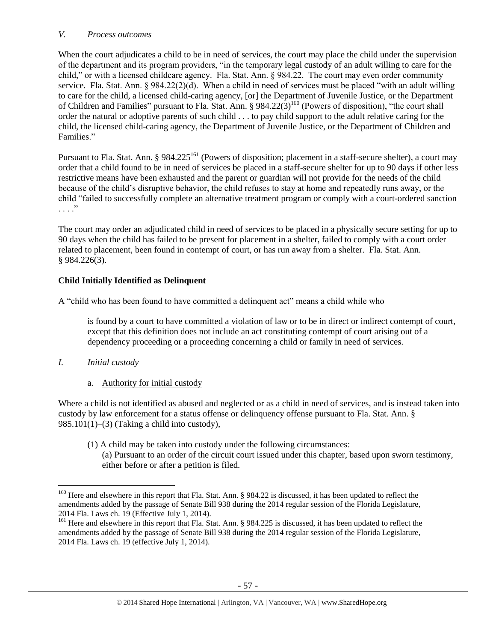## *V. Process outcomes*

When the court adjudicates a child to be in need of services, the court may place the child under the supervision of the department and its program providers, "in the temporary legal custody of an adult willing to care for the child," or with a licensed childcare agency. Fla. Stat. Ann. § 984.22. The court may even order community service. Fla. Stat. Ann. § 984.22(2)(d). When a child in need of services must be placed "with an adult willing to care for the child, a licensed child-caring agency, [or] the Department of Juvenile Justice, or the Department of Children and Families" pursuant to Fla. Stat. Ann. § 984.22 $(\overline{3})^{160}$  (Powers of disposition), "the court shall order the natural or adoptive parents of such child . . . to pay child support to the adult relative caring for the child, the licensed child-caring agency, the Department of Juvenile Justice, or the Department of Children and Families."

Pursuant to Fla. Stat. Ann. § 984.225<sup>161</sup> (Powers of disposition; placement in a staff-secure shelter), a court may order that a child found to be in need of services be placed in a staff-secure shelter for up to 90 days if other less restrictive means have been exhausted and the parent or guardian will not provide for the needs of the child because of the child's disruptive behavior, the child refuses to stay at home and repeatedly runs away, or the child "failed to successfully complete an alternative treatment program or comply with a court-ordered sanction  $\cdot \cdot \cdot$ <sup>"</sup>

The court may order an adjudicated child in need of services to be placed in a physically secure setting for up to 90 days when the child has failed to be present for placement in a shelter, failed to comply with a court order related to placement, been found in contempt of court, or has run away from a shelter. Fla. Stat. Ann. § 984.226(3).

# **Child Initially Identified as Delinquent**

A "child who has been found to have committed a delinquent act" means a child while who

is found by a court to have committed a violation of law or to be in direct or indirect contempt of court, except that this definition does not include an act constituting contempt of court arising out of a dependency proceeding or a proceeding concerning a child or family in need of services.

- *I. Initial custody*
	- a. Authority for initial custody

Where a child is not identified as abused and neglected or as a child in need of services, and is instead taken into custody by law enforcement for a status offense or delinquency offense pursuant to Fla. Stat. Ann. § 985.101(1)–(3) (Taking a child into custody),

(1) A child may be taken into custody under the following circumstances: (a) Pursuant to an order of the circuit court issued under this chapter, based upon sworn testimony, either before or after a petition is filed.

 $\overline{a}$ <sup>160</sup> Here and elsewhere in this report that Fla. Stat. Ann. § 984.22 is discussed, it has been updated to reflect the amendments added by the passage of Senate Bill 938 during the 2014 regular session of the Florida Legislature, 2014 Fla. Laws ch. 19 (Effective July 1, 2014).

<sup>&</sup>lt;sup>161</sup> Here and elsewhere in this report that Fla. Stat. Ann. § 984.225 is discussed, it has been updated to reflect the amendments added by the passage of Senate Bill 938 during the 2014 regular session of the Florida Legislature, 2014 Fla. Laws ch. 19 (effective July 1, 2014).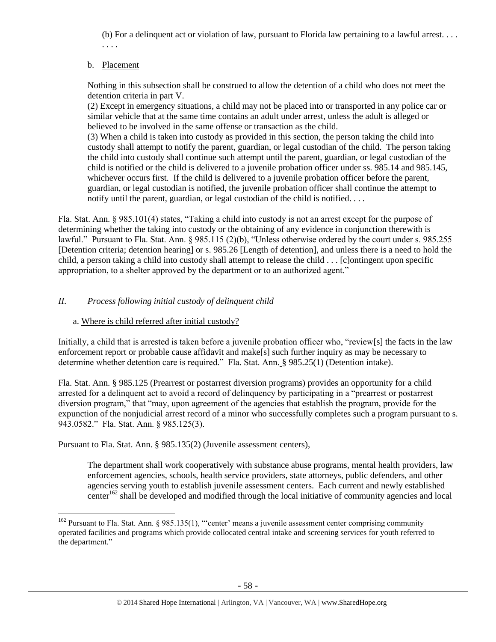(b) For a delinquent act or violation of law, pursuant to Florida law pertaining to a lawful arrest. . . . . . . .

## b. Placement

Nothing in this subsection shall be construed to allow the detention of a child who does not meet the detention criteria in part V.

(2) Except in emergency situations, a child may not be placed into or transported in any police car or similar vehicle that at the same time contains an adult under arrest, unless the adult is alleged or believed to be involved in the same offense or transaction as the child.

(3) When a child is taken into custody as provided in this section, the person taking the child into custody shall attempt to notify the parent, guardian, or legal custodian of the child. The person taking the child into custody shall continue such attempt until the parent, guardian, or legal custodian of the child is notified or the child is delivered to a juvenile probation officer under ss. 985.14 and 985.145, whichever occurs first. If the child is delivered to a juvenile probation officer before the parent, guardian, or legal custodian is notified, the juvenile probation officer shall continue the attempt to notify until the parent, guardian, or legal custodian of the child is notified. . . .

Fla. Stat. Ann. § 985.101(4) states, "Taking a child into custody is not an arrest except for the purpose of determining whether the taking into custody or the obtaining of any evidence in conjunction therewith is lawful." Pursuant to Fla. Stat. Ann. § 985.115 (2)(b), "Unless otherwise ordered by the court under s. 985.255 [Detention criteria; detention hearing] or s. 985.26 [Length of detention], and unless there is a need to hold the child, a person taking a child into custody shall attempt to release the child . . . [c]ontingent upon specific appropriation, to a shelter approved by the department or to an authorized agent."

# *II. Process following initial custody of delinquent child*

## a. Where is child referred after initial custody?

 $\overline{a}$ 

Initially, a child that is arrested is taken before a juvenile probation officer who, "review[s] the facts in the law enforcement report or probable cause affidavit and make[s] such further inquiry as may be necessary to determine whether detention care is required." Fla. Stat. Ann. § 985.25(1) (Detention intake).

Fla. Stat. Ann. § 985.125 (Prearrest or postarrest diversion programs) provides an opportunity for a child arrested for a delinquent act to avoid a record of delinquency by participating in a "prearrest or postarrest diversion program," that "may, upon agreement of the agencies that establish the program, provide for the expunction of the nonjudicial arrest record of a minor who successfully completes such a program pursuant to s. 943.0582." Fla. Stat. Ann. § 985.125(3).

Pursuant to Fla. Stat. Ann. § 985.135(2) (Juvenile assessment centers),

The department shall work cooperatively with substance abuse programs, mental health providers, law enforcement agencies, schools, health service providers, state attorneys, public defenders, and other agencies serving youth to establish juvenile assessment centers. Each current and newly established center<sup>162</sup> shall be developed and modified through the local initiative of community agencies and local

 $162$  Pursuant to Fla. Stat. Ann. § 985.135(1), "'center' means a juvenile assessment center comprising community operated facilities and programs which provide collocated central intake and screening services for youth referred to the department."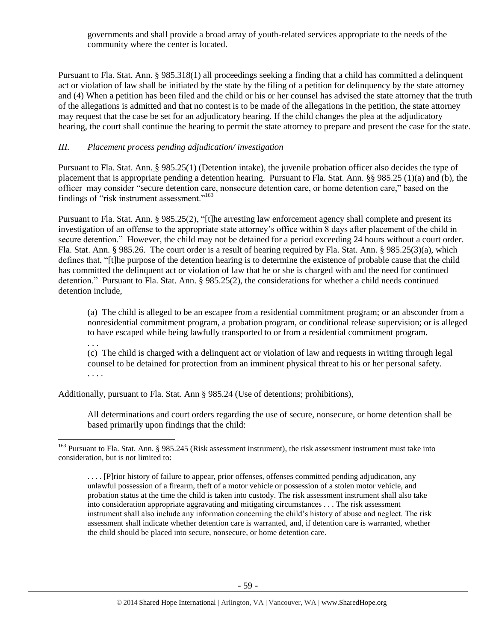governments and shall provide a broad array of youth-related services appropriate to the needs of the community where the center is located.

Pursuant to Fla. Stat. Ann. § 985.318(1) all proceedings seeking a finding that a child has committed a delinquent act or violation of law shall be initiated by the state by the filing of a petition for delinquency by the state attorney and (4) When a petition has been filed and the child or his or her counsel has advised the state attorney that the truth of the allegations is admitted and that no contest is to be made of the allegations in the petition, the state attorney may request that the case be set for an adjudicatory hearing. If the child changes the plea at the adjudicatory hearing, the court shall continue the hearing to permit the state attorney to prepare and present the case for the state.

## *III. Placement process pending adjudication/ investigation*

Pursuant to Fla. Stat. Ann. § 985.25(1) (Detention intake), the juvenile probation officer also decides the type of placement that is appropriate pending a detention hearing. Pursuant to Fla. Stat. Ann. §§ 985.25 (1)(a) and (b), the officer may consider "secure detention care, nonsecure detention care, or home detention care," based on the findings of "risk instrument assessment."<sup>163</sup>

Pursuant to Fla. Stat. Ann. § 985.25(2), "[t]he arresting law enforcement agency shall complete and present its investigation of an offense to the appropriate state attorney's office within 8 days after placement of the child in secure detention." However, the child may not be detained for a period exceeding 24 hours without a court order. Fla. Stat. Ann. § 985.26. The court order is a result of hearing required by Fla. Stat. Ann. § 985.25(3)(a), which defines that, "[t]he purpose of the detention hearing is to determine the existence of probable cause that the child has committed the delinquent act or violation of law that he or she is charged with and the need for continued detention." Pursuant to Fla. Stat. Ann. § 985.25(2), the considerations for whether a child needs continued detention include,

(a) The child is alleged to be an escapee from a residential commitment program; or an absconder from a nonresidential commitment program, a probation program, or conditional release supervision; or is alleged to have escaped while being lawfully transported to or from a residential commitment program.

. . .

 $\overline{a}$ 

(c) The child is charged with a delinquent act or violation of law and requests in writing through legal counsel to be detained for protection from an imminent physical threat to his or her personal safety. . . . .

Additionally, pursuant to Fla. Stat. Ann § 985.24 (Use of detentions; prohibitions),

All determinations and court orders regarding the use of secure, nonsecure, or home detention shall be based primarily upon findings that the child:

<sup>&</sup>lt;sup>163</sup> Pursuant to Fla. Stat. Ann. § 985.245 (Risk assessment instrument), the risk assessment instrument must take into consideration, but is not limited to:

<sup>. . . . [</sup>P]rior history of failure to appear, prior offenses, offenses committed pending adjudication, any unlawful possession of a firearm, theft of a motor vehicle or possession of a stolen motor vehicle, and probation status at the time the child is taken into custody. The risk assessment instrument shall also take into consideration appropriate aggravating and mitigating circumstances . . . The risk assessment instrument shall also include any information concerning the child's history of abuse and neglect. The risk assessment shall indicate whether detention care is warranted, and, if detention care is warranted, whether the child should be placed into secure, nonsecure, or home detention care.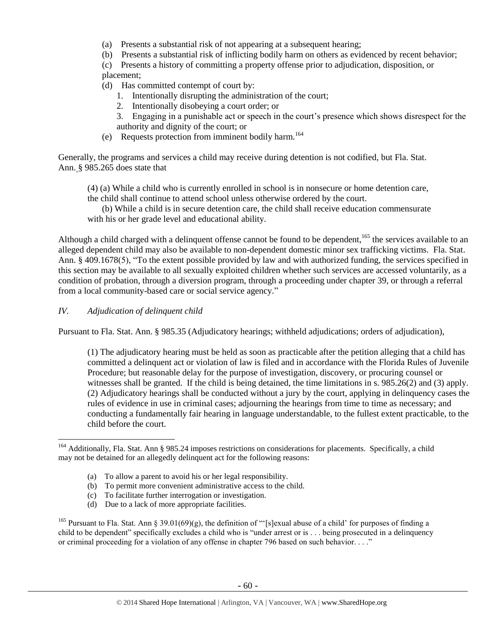- (a) Presents a substantial risk of not appearing at a subsequent hearing;
- (b) Presents a substantial risk of inflicting bodily harm on others as evidenced by recent behavior;
- (c) Presents a history of committing a property offense prior to adjudication, disposition, or placement;
- (d) Has committed contempt of court by:
	- 1. Intentionally disrupting the administration of the court;
	- 2. Intentionally disobeying a court order; or
	- 3. Engaging in a punishable act or speech in the court's presence which shows disrespect for the authority and dignity of the court; or
- (e) Requests protection from imminent bodily harm.<sup>164</sup>

Generally, the programs and services a child may receive during detention is not codified, but Fla. Stat. Ann. § 985.265 does state that

(4) (a) While a child who is currently enrolled in school is in nonsecure or home detention care, the child shall continue to attend school unless otherwise ordered by the court.

(b) While a child is in secure detention care, the child shall receive education commensurate with his or her grade level and educational ability.

Although a child charged with a delinquent offense cannot be found to be dependent, $165$  the services available to an alleged dependent child may also be available to non-dependent domestic minor sex trafficking victims. Fla. Stat. Ann. § 409.1678(5), "To the extent possible provided by law and with authorized funding, the services specified in this section may be available to all sexually exploited children whether such services are accessed voluntarily, as a condition of probation, through a diversion program, through a proceeding under chapter 39, or through a referral from a local community-based care or social service agency."

*IV. Adjudication of delinquent child*

 $\overline{a}$ 

Pursuant to Fla. Stat. Ann. § 985.35 (Adjudicatory hearings; withheld adjudications; orders of adjudication),

(1) The adjudicatory hearing must be held as soon as practicable after the petition alleging that a child has committed a delinquent act or violation of law is filed and in accordance with the Florida Rules of Juvenile Procedure; but reasonable delay for the purpose of investigation, discovery, or procuring counsel or witnesses shall be granted. If the child is being detained, the time limitations in s. 985.26(2) and (3) apply. (2) Adjudicatory hearings shall be conducted without a jury by the court, applying in delinquency cases the rules of evidence in use in criminal cases; adjourning the hearings from time to time as necessary; and conducting a fundamentally fair hearing in language understandable, to the fullest extent practicable, to the child before the court.

- (a) To allow a parent to avoid his or her legal responsibility.
- (b) To permit more convenient administrative access to the child.
- (c) To facilitate further interrogation or investigation.
- (d) Due to a lack of more appropriate facilities.

<sup>165</sup> Pursuant to Fla. Stat. Ann § 39.01(69)(g), the definition of "'[s]exual abuse of a child' for purposes of finding a child to be dependent" specifically excludes a child who is "under arrest or is . . . being prosecuted in a delinquency or criminal proceeding for a violation of any offense in chapter 796 based on such behavior. . . ."

<sup>&</sup>lt;sup>164</sup> Additionally, Fla. Stat. Ann § 985.24 imposes restrictions on considerations for placements. Specifically, a child may not be detained for an allegedly delinquent act for the following reasons: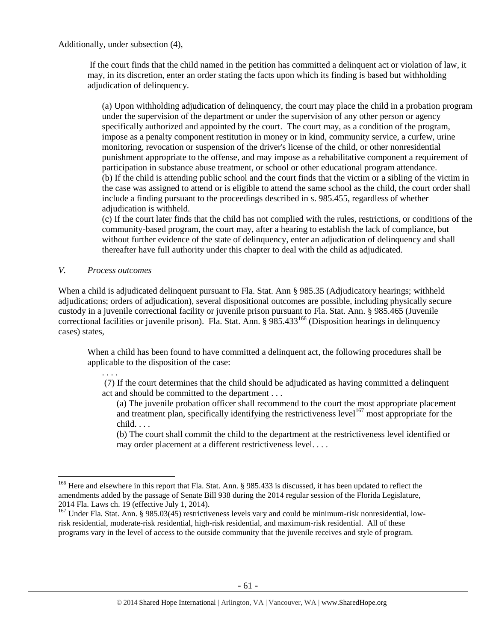Additionally, under subsection (4),

If the court finds that the child named in the petition has committed a delinquent act or violation of law, it may, in its discretion, enter an order stating the facts upon which its finding is based but withholding adjudication of delinquency.

(a) Upon withholding adjudication of delinquency, the court may place the child in a probation program under the supervision of the department or under the supervision of any other person or agency specifically authorized and appointed by the court. The court may, as a condition of the program, impose as a penalty component restitution in money or in kind, community service, a curfew, urine monitoring, revocation or suspension of the driver's license of the child, or other nonresidential punishment appropriate to the offense, and may impose as a rehabilitative component a requirement of participation in substance abuse treatment, or school or other educational program attendance. (b) If the child is attending public school and the court finds that the victim or a sibling of the victim in the case was assigned to attend or is eligible to attend the same school as the child, the court order shall include a finding pursuant to the proceedings described in s. 985.455, regardless of whether adjudication is withheld.

(c) If the court later finds that the child has not complied with the rules, restrictions, or conditions of the community-based program, the court may, after a hearing to establish the lack of compliance, but without further evidence of the state of delinquency, enter an adjudication of delinquency and shall thereafter have full authority under this chapter to deal with the child as adjudicated.

*V. Process outcomes*

When a child is adjudicated delinquent pursuant to Fla. Stat. Ann § 985.35 (Adjudicatory hearings; withheld adjudications; orders of adjudication), several dispositional outcomes are possible, including physically secure custody in a juvenile correctional facility or juvenile prison pursuant to Fla. Stat. Ann. § 985.465 (Juvenile correctional facilities or juvenile prison). Fla. Stat. Ann. § 985.433<sup>166</sup> (Disposition hearings in delinquency cases) states,

When a child has been found to have committed a delinquent act, the following procedures shall be applicable to the disposition of the case:

. . . .

 $\overline{a}$ 

(7) If the court determines that the child should be adjudicated as having committed a delinquent act and should be committed to the department . . .

(a) The juvenile probation officer shall recommend to the court the most appropriate placement and treatment plan, specifically identifying the restrictiveness level<sup>167</sup> most appropriate for the child. . . .

(b) The court shall commit the child to the department at the restrictiveness level identified or may order placement at a different restrictiveness level. . . .

<sup>&</sup>lt;sup>166</sup> Here and elsewhere in this report that Fla. Stat. Ann. § 985.433 is discussed, it has been updated to reflect the amendments added by the passage of Senate Bill 938 during the 2014 regular session of the Florida Legislature, 2014 Fla. Laws ch. 19 (effective July 1, 2014).

<sup>&</sup>lt;sup>167</sup> Under Fla. Stat. Ann. § 985.03(45) restrictiveness levels vary and could be minimum-risk nonresidential, lowrisk residential, moderate-risk residential, high-risk residential, and maximum-risk residential. All of these programs vary in the level of access to the outside community that the juvenile receives and style of program.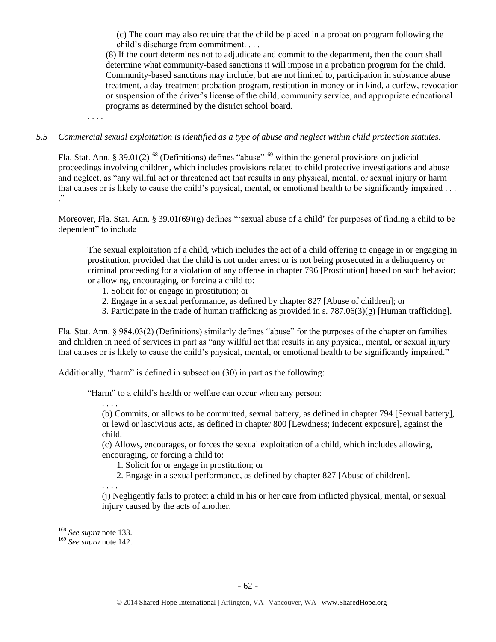(c) The court may also require that the child be placed in a probation program following the child's discharge from commitment. . . .

(8) If the court determines not to adjudicate and commit to the department, then the court shall determine what community-based sanctions it will impose in a probation program for the child. Community-based sanctions may include, but are not limited to, participation in substance abuse treatment, a day-treatment probation program, restitution in money or in kind, a curfew, revocation or suspension of the driver's license of the child, community service, and appropriate educational programs as determined by the district school board.

. . . .

### *5.5 Commercial sexual exploitation is identified as a type of abuse and neglect within child protection statutes.*

Fla. Stat. Ann. § 39.01(2)<sup>168</sup> (Definitions) defines "abuse"<sup>169</sup> within the general provisions on judicial proceedings involving children, which includes provisions related to child protective investigations and abuse and neglect, as "any willful act or threatened act that results in any physical, mental, or sexual injury or harm that causes or is likely to cause the child's physical, mental, or emotional health to be significantly impaired . . . ."

Moreover, Fla. Stat. Ann. § 39.01(69)(g) defines "'sexual abuse of a child' for purposes of finding a child to be dependent" to include

The sexual exploitation of a child, which includes the act of a child offering to engage in or engaging in prostitution, provided that the child is not under arrest or is not being prosecuted in a delinquency or criminal proceeding for a violation of any offense in chapter 796 [Prostitution] based on such behavior; or allowing, encouraging, or forcing a child to:

- 1. Solicit for or engage in prostitution; or
- 2. Engage in a sexual performance, as defined by chapter 827 [Abuse of children]; or
- 3. Participate in the trade of human trafficking as provided in s. 787.06(3)(g) [Human trafficking].

Fla. Stat. Ann. § 984.03(2) (Definitions) similarly defines "abuse" for the purposes of the chapter on families and children in need of services in part as "any willful act that results in any physical, mental, or sexual injury that causes or is likely to cause the child's physical, mental, or emotional health to be significantly impaired."

Additionally, "harm" is defined in subsection (30) in part as the following:

"Harm" to a child's health or welfare can occur when any person:

. . . . (b) Commits, or allows to be committed, sexual battery, as defined in chapter 794 [Sexual battery], or lewd or lascivious acts, as defined in chapter 800 [Lewdness; indecent exposure], against the child.

(c) Allows, encourages, or forces the sexual exploitation of a child, which includes allowing, encouraging, or forcing a child to:

- 1. Solicit for or engage in prostitution; or
- 2. Engage in a sexual performance, as defined by chapter 827 [Abuse of children].

. . . . (j) Negligently fails to protect a child in his or her care from inflicted physical, mental, or sexual injury caused by the acts of another.

<sup>168</sup> *See supra* not[e 133.](#page-41-0)

<sup>169</sup> *See supra* not[e 142.](#page-44-0)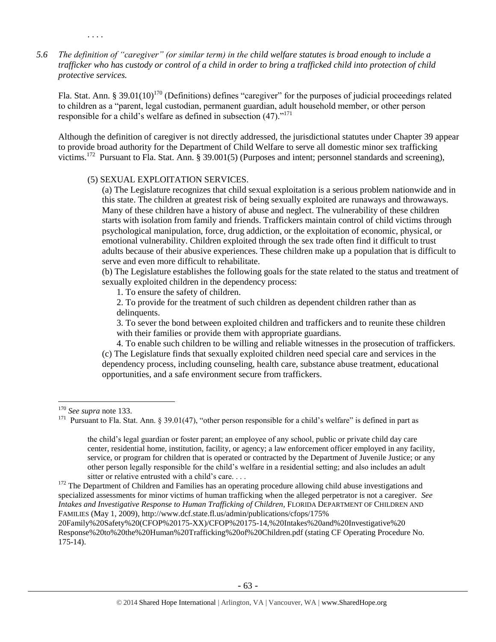*5.6 The definition of "caregiver" (or similar term) in the child welfare statutes is broad enough to include a trafficker who has custody or control of a child in order to bring a trafficked child into protection of child protective services.*

Fla. Stat. Ann. § 39.01(10)<sup>170</sup> (Definitions) defines "caregiver" for the purposes of judicial proceedings related to children as a "parent, legal custodian, permanent guardian, adult household member, or other person responsible for a child's welfare as defined in subsection (47)."<sup>171</sup>

Although the definition of caregiver is not directly addressed, the jurisdictional statutes under Chapter 39 appear to provide broad authority for the Department of Child Welfare to serve all domestic minor sex trafficking victims.<sup>172</sup> Pursuant to Fla. Stat. Ann. § 39.001(5) (Purposes and intent; personnel standards and screening),

#### (5) SEXUAL EXPLOITATION SERVICES.

(a) The Legislature recognizes that child sexual exploitation is a serious problem nationwide and in this state. The children at greatest risk of being sexually exploited are runaways and throwaways. Many of these children have a history of abuse and neglect. The vulnerability of these children starts with isolation from family and friends. Traffickers maintain control of child victims through psychological manipulation, force, drug addiction, or the exploitation of economic, physical, or emotional vulnerability. Children exploited through the sex trade often find it difficult to trust adults because of their abusive experiences. These children make up a population that is difficult to serve and even more difficult to rehabilitate.

(b) The Legislature establishes the following goals for the state related to the status and treatment of sexually exploited children in the dependency process:

1. To ensure the safety of children.

2. To provide for the treatment of such children as dependent children rather than as delinquents.

3. To sever the bond between exploited children and traffickers and to reunite these children with their families or provide them with appropriate guardians.

4. To enable such children to be willing and reliable witnesses in the prosecution of traffickers. (c) The Legislature finds that sexually exploited children need special care and services in the dependency process, including counseling, health care, substance abuse treatment, educational opportunities, and a safe environment secure from traffickers.

 $\overline{a}$ 

. . . .

<sup>170</sup> *See supra* not[e 133.](#page-41-0)

<sup>&</sup>lt;sup>171</sup> Pursuant to Fla. Stat. Ann. § 39.01(47), "other person responsible for a child's welfare" is defined in part as

the child's legal guardian or foster parent; an employee of any school, public or private child day care center, residential home, institution, facility, or agency; a law enforcement officer employed in any facility, service, or program for children that is operated or contracted by the Department of Juvenile Justice; or any other person legally responsible for the child's welfare in a residential setting; and also includes an adult sitter or relative entrusted with a child's care....

<sup>&</sup>lt;sup>172</sup> The Department of Children and Families has an operating procedure allowing child abuse investigations and specialized assessments for minor victims of human trafficking when the alleged perpetrator is not a caregiver. *See Intakes and Investigative Response to Human Trafficking of Children*, FLORIDA DEPARTMENT OF CHILDREN AND FAMILIES (May 1, 2009), http://www.dcf.state.fl.us/admin/publications/cfops/175%

<sup>20</sup>Family%20Safety%20(CFOP%20175-XX)/CFOP%20175-14,%20Intakes%20and%20Investigative%20 Response%20to%20the%20Human%20Trafficking%20of%20Children.pdf (stating CF Operating Procedure No. 175-14).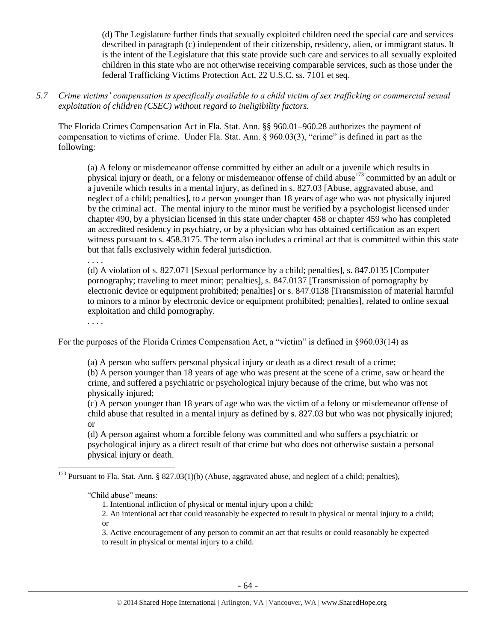(d) The Legislature further finds that sexually exploited children need the special care and services described in paragraph (c) independent of their citizenship, residency, alien, or immigrant status. It is the intent of the Legislature that this state provide such care and services to all sexually exploited children in this state who are not otherwise receiving comparable services, such as those under the federal Trafficking Victims Protection Act, 22 U.S.C. ss. 7101 et seq.

*5.7 Crime victims' compensation is specifically available to a child victim of sex trafficking or commercial sexual exploitation of children (CSEC) without regard to ineligibility factors.*

The Florida Crimes Compensation Act in Fla. Stat. Ann. §§ 960.01–960.28 authorizes the payment of compensation to victims of crime. Under Fla. Stat. Ann. § 960.03(3), "crime" is defined in part as the following:

(a) A felony or misdemeanor offense committed by either an adult or a juvenile which results in physical injury or death, or a felony or misdemeanor offense of child abuse<sup>173</sup> committed by an adult or a juvenile which results in a mental injury, as defined in s. 827.03 [Abuse, aggravated abuse, and neglect of a child; penalties], to a person younger than 18 years of age who was not physically injured by the criminal act. The mental injury to the minor must be verified by a psychologist licensed under chapter 490, by a physician licensed in this state under chapter 458 or chapter 459 who has completed an accredited residency in psychiatry, or by a physician who has obtained certification as an expert witness pursuant to s. 458.3175. The term also includes a criminal act that is committed within this state but that falls exclusively within federal jurisdiction.

. . . .

(d) A violation of s. 827.071 [Sexual performance by a child; penalties], s. 847.0135 [Computer pornography; traveling to meet minor; penalties], s. 847.0137 [Transmission of pornography by electronic device or equipment prohibited; penalties] or s. 847.0138 [Transmission of material harmful to minors to a minor by electronic device or equipment prohibited; penalties], related to online sexual exploitation and child pornography.

. . . .

 $\overline{a}$ 

For the purposes of the Florida Crimes Compensation Act, a "victim" is defined in §960.03(14) as

(a) A person who suffers personal physical injury or death as a direct result of a crime;

(b) A person younger than 18 years of age who was present at the scene of a crime, saw or heard the crime, and suffered a psychiatric or psychological injury because of the crime, but who was not physically injured;

(c) A person younger than 18 years of age who was the victim of a felony or misdemeanor offense of child abuse that resulted in a mental injury as defined by s. 827.03 but who was not physically injured; or

(d) A person against whom a forcible felony was committed and who suffers a psychiatric or psychological injury as a direct result of that crime but who does not otherwise sustain a personal physical injury or death.

<sup>&</sup>lt;sup>173</sup> Pursuant to Fla. Stat. Ann. § 827.03(1)(b) (Abuse, aggravated abuse, and neglect of a child; penalties),

<sup>&</sup>quot;Child abuse" means:

<sup>1.</sup> Intentional infliction of physical or mental injury upon a child;

<sup>2.</sup> An intentional act that could reasonably be expected to result in physical or mental injury to a child; or

<sup>3.</sup> Active encouragement of any person to commit an act that results or could reasonably be expected to result in physical or mental injury to a child.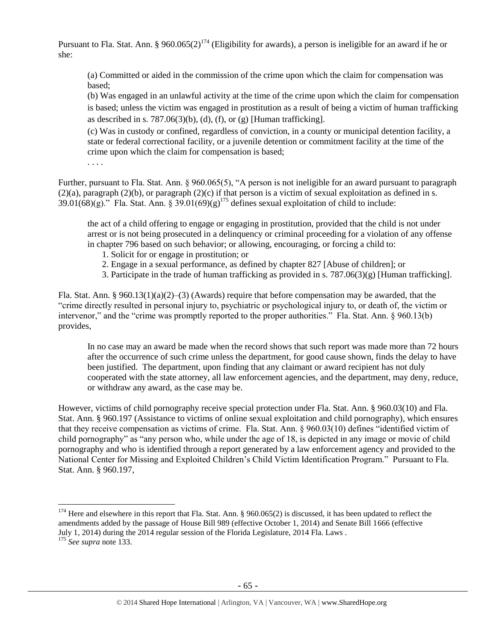Pursuant to Fla. Stat. Ann. § 960.065(2)<sup>174</sup> (Eligibility for awards), a person is ineligible for an award if he or she:

(a) Committed or aided in the commission of the crime upon which the claim for compensation was based;

(b) Was engaged in an unlawful activity at the time of the crime upon which the claim for compensation is based; unless the victim was engaged in prostitution as a result of being a victim of human trafficking as described in s. 787.06(3)(b), (d), (f), or (g) [Human trafficking].

(c) Was in custody or confined, regardless of conviction, in a county or municipal detention facility, a state or federal correctional facility, or a juvenile detention or commitment facility at the time of the crime upon which the claim for compensation is based;

. . . .

 $\overline{a}$ 

Further, pursuant to Fla. Stat. Ann. § 960.065(5), "A person is not ineligible for an award pursuant to paragraph  $(2)(a)$ , paragraph  $(2)(b)$ , or paragraph  $(2)(c)$  if that person is a victim of sexual exploitation as defined in s.  $39.01(68)(g)$ ." Fla. Stat. Ann. §  $39.01(69)(g)$ <sup>175</sup> defines sexual exploitation of child to include:

the act of a child offering to engage or engaging in prostitution, provided that the child is not under arrest or is not being prosecuted in a delinquency or criminal proceeding for a violation of any offense in chapter 796 based on such behavior; or allowing, encouraging, or forcing a child to:

- 1. Solicit for or engage in prostitution; or
- 2. Engage in a sexual performance, as defined by chapter 827 [Abuse of children]; or
- 3. Participate in the trade of human trafficking as provided in s. 787.06(3)(g) [Human trafficking].

Fla. Stat. Ann. § 960.13(1)(a)(2)–(3) (Awards) require that before compensation may be awarded, that the "crime directly resulted in personal injury to, psychiatric or psychological injury to, or death of, the victim or intervenor," and the "crime was promptly reported to the proper authorities." Fla. Stat. Ann. § 960.13(b) provides,

In no case may an award be made when the record shows that such report was made more than 72 hours after the occurrence of such crime unless the department, for good cause shown, finds the delay to have been justified. The department, upon finding that any claimant or award recipient has not duly cooperated with the state attorney, all law enforcement agencies, and the department, may deny, reduce, or withdraw any award, as the case may be.

However, victims of child pornography receive special protection under Fla. Stat. Ann. § 960.03(10) and Fla. Stat. Ann. § 960.197 (Assistance to victims of online sexual exploitation and child pornography), which ensures that they receive compensation as victims of crime. Fla. Stat. Ann. § 960.03(10) defines "identified victim of child pornography" as "any person who, while under the age of 18, is depicted in any image or movie of child pornography and who is identified through a report generated by a law enforcement agency and provided to the National Center for Missing and Exploited Children's Child Victim Identification Program." Pursuant to Fla. Stat. Ann. § 960.197,

<sup>&</sup>lt;sup>174</sup> Here and elsewhere in this report that Fla. Stat. Ann. § 960.065(2) is discussed, it has been updated to reflect the amendments added by the passage of House Bill 989 (effective October 1, 2014) and Senate Bill 1666 (effective July 1, 2014) during the 2014 regular session of the Florida Legislature, 2014 Fla. Laws . <sup>175</sup> *See supra* not[e 133.](#page-41-0)

<sup>-</sup> 65 -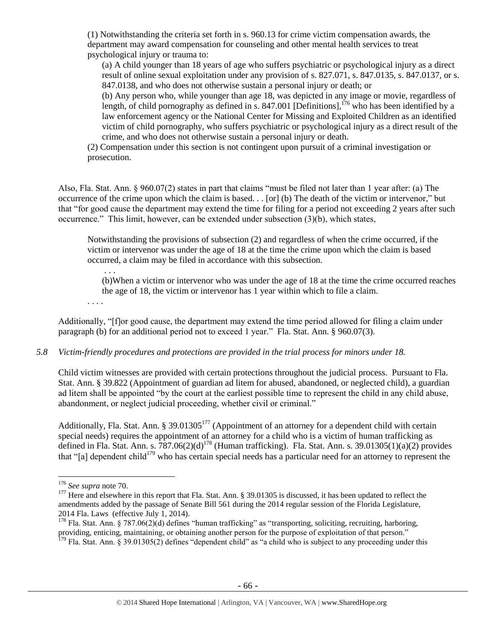(1) Notwithstanding the criteria set forth in s. 960.13 for crime victim compensation awards, the department may award compensation for counseling and other mental health services to treat psychological injury or trauma to:

(a) A child younger than 18 years of age who suffers psychiatric or psychological injury as a direct result of online sexual exploitation under any provision of s. 827.071, s. 847.0135, s. 847.0137, or s. 847.0138, and who does not otherwise sustain a personal injury or death; or

(b) Any person who, while younger than age 18, was depicted in any image or movie, regardless of length, of child pornography as defined in s. 847.001 [Definitions],<sup>176</sup> who has been identified by a law enforcement agency or the National Center for Missing and Exploited Children as an identified victim of child pornography, who suffers psychiatric or psychological injury as a direct result of the crime, and who does not otherwise sustain a personal injury or death.

(2) Compensation under this section is not contingent upon pursuit of a criminal investigation or prosecution.

Also, Fla. Stat. Ann. § 960.07(2) states in part that claims "must be filed not later than 1 year after: (a) The occurrence of the crime upon which the claim is based. . . [or] (b) The death of the victim or intervenor," but that "for good cause the department may extend the time for filing for a period not exceeding 2 years after such occurrence." This limit, however, can be extended under subsection (3)(b), which states,

Notwithstanding the provisions of subsection (2) and regardless of when the crime occurred, if the victim or intervenor was under the age of 18 at the time the crime upon which the claim is based occurred, a claim may be filed in accordance with this subsection.

(b)When a victim or intervenor who was under the age of 18 at the time the crime occurred reaches the age of 18, the victim or intervenor has 1 year within which to file a claim.

. . . .

. . .

Additionally, "[f]or good cause, the department may extend the time period allowed for filing a claim under paragraph (b) for an additional period not to exceed 1 year." Fla. Stat. Ann. § 960.07(3).

### *5.8 Victim-friendly procedures and protections are provided in the trial process for minors under 18.*

Child victim witnesses are provided with certain protections throughout the judicial process. Pursuant to Fla. Stat. Ann. § 39.822 (Appointment of guardian ad litem for abused, abandoned, or neglected child), a guardian ad litem shall be appointed "by the court at the earliest possible time to represent the child in any child abuse, abandonment, or neglect judicial proceeding, whether civil or criminal."

Additionally, Fla. Stat. Ann. § 39.01305<sup>177</sup> (Appointment of an attorney for a dependent child with certain special needs) requires the appointment of an attorney for a child who is a victim of human trafficking as defined in Fla. Stat. Ann. s.  $\frac{787.06(2)(d)^{178}}{178}$  (Human trafficking). Fla. Stat. Ann. s. 39.01305(1)(a)(2) provides that "[a] dependent child<sup>179</sup> who has certain special needs has a particular need for an attorney to represent the

<sup>176</sup> *See supra* not[e 70.](#page-20-0)

<sup>&</sup>lt;sup>177</sup> Here and elsewhere in this report that Fla. Stat. Ann. § 39.01305 is discussed, it has been updated to reflect the amendments added by the passage of Senate Bill 561 during the 2014 regular session of the Florida Legislature, 2014 Fla. Laws (effective July 1, 2014).

<sup>&</sup>lt;sup>178</sup> Fla. Stat. Ann. § 787.06(2)(d) defines "human trafficking" as "transporting, soliciting, recruiting, harboring, providing, enticing, maintaining, or obtaining another person for the purpose of exploitation of that person."  $179$  Fla. Stat. Ann. § 39.01305(2) defines "dependent child" as "a child who is subject to any proceeding under this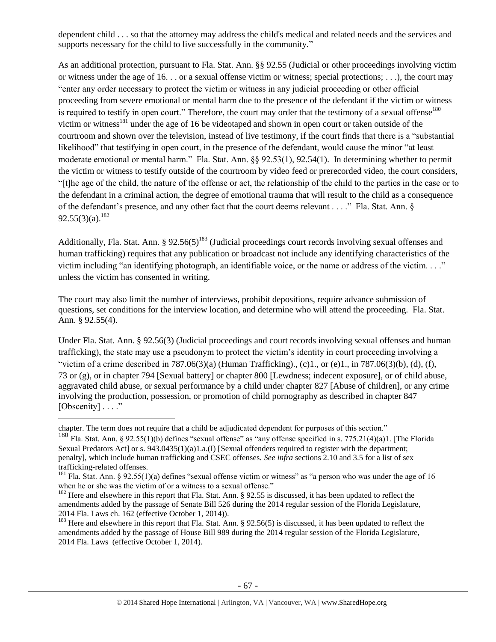dependent child . . . so that the attorney may address the child's medical and related needs and the services and supports necessary for the child to live successfully in the community."

As an additional protection, pursuant to Fla. Stat. Ann. §§ 92.55 (Judicial or other proceedings involving victim or witness under the age of 16. . . or a sexual offense victim or witness; special protections; . . .), the court may "enter any order necessary to protect the victim or witness in any judicial proceeding or other official proceeding from severe emotional or mental harm due to the presence of the defendant if the victim or witness is required to testify in open court." Therefore, the court may order that the testimony of a sexual offense<sup>180</sup> victim or witness<sup>181</sup> under the age of 16 be videotaped and shown in open court or taken outside of the courtroom and shown over the television, instead of live testimony, if the court finds that there is a "substantial likelihood" that testifying in open court, in the presence of the defendant, would cause the minor "at least moderate emotional or mental harm." Fla. Stat. Ann. §§ 92.53(1), 92.54(1). In determining whether to permit the victim or witness to testify outside of the courtroom by video feed or prerecorded video, the court considers, "[t]he age of the child, the nature of the offense or act, the relationship of the child to the parties in the case or to the defendant in a criminal action, the degree of emotional trauma that will result to the child as a consequence of the defendant's presence, and any other fact that the court deems relevant . . . ." Fla. Stat. Ann. § 92.55(3)(a).<sup>182</sup>

Additionally, Fla. Stat. Ann. §  $92.56(5)^{183}$  (Judicial proceedings court records involving sexual offenses and human trafficking) requires that any publication or broadcast not include any identifying characteristics of the victim including "an identifying photograph, an identifiable voice, or the name or address of the victim. . . ." unless the victim has consented in writing.

The court may also limit the number of interviews, prohibit depositions, require advance submission of questions, set conditions for the interview location, and determine who will attend the proceeding. Fla. Stat. Ann. § 92.55(4).

Under Fla. Stat. Ann. § 92.56(3) (Judicial proceedings and court records involving sexual offenses and human trafficking), the state may use a pseudonym to protect the victim's identity in court proceeding involving a "victim of a crime described in  $787.06(3)(a)$  (Human Trafficking)., (c)1., or (e)1., in  $787.06(3)(b)$ , (d), (f), 73 or (g), or in chapter 794 [Sexual battery] or chapter 800 [Lewdness; indecent exposure], or of child abuse, aggravated child abuse, or sexual performance by a child under chapter 827 [Abuse of children], or any crime involving the production, possession, or promotion of child pornography as described in chapter 847 [Obscenity] . . . ."

chapter. The term does not require that a child be adjudicated dependent for purposes of this section."

<sup>&</sup>lt;sup>180</sup> Fla. Stat. Ann. § 92.55(1)(b) defines "sexual offense" as "any offense specified in s. 775.21(4)(a)1. [The Florida Sexual Predators Act] or s. 943.0435(1)(a)1.a.(I) [Sexual offenders required to register with the department; penalty], which include human trafficking and CSEC offenses. *See infra* sections 2.10 and 3.5 for a list of sex trafficking-related offenses.

<sup>&</sup>lt;sup>181</sup> Fla. Stat. Ann. § 92.55(1)(a) defines "sexual offense victim or witness" as "a person who was under the age of 16 when he or she was the victim of or a witness to a sexual offense."

 $182$  Here and elsewhere in this report that Fla. Stat. Ann. § 92.55 is discussed, it has been updated to reflect the amendments added by the passage of Senate Bill 526 during the 2014 regular session of the Florida Legislature, 2014 Fla. Laws ch. 162 (effective October 1, 2014)).

<sup>&</sup>lt;sup>183</sup> Here and elsewhere in this report that Fla. Stat. Ann. § 92.56(5) is discussed, it has been updated to reflect the amendments added by the passage of House Bill 989 during the 2014 regular session of the Florida Legislature, 2014 Fla. Laws (effective October 1, 2014).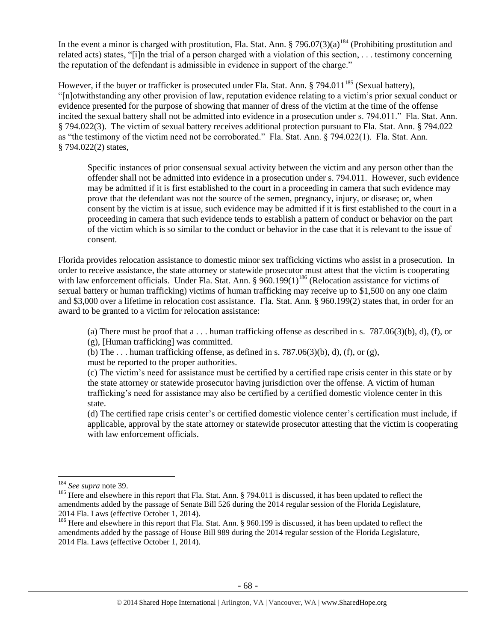In the event a minor is charged with prostitution, Fla. Stat. Ann. § 796.07(3)(a)<sup>184</sup> (Prohibiting prostitution and related acts) states, "[i]n the trial of a person charged with a violation of this section, . . . testimony concerning the reputation of the defendant is admissible in evidence in support of the charge."

However, if the buyer or trafficker is prosecuted under Fla. Stat. Ann.  $\S 794.011^{185}$  (Sexual battery), "[n]otwithstanding any other provision of law, reputation evidence relating to a victim's prior sexual conduct or evidence presented for the purpose of showing that manner of dress of the victim at the time of the offense incited the sexual battery shall not be admitted into evidence in a prosecution under s. 794.011." Fla. Stat. Ann. § 794.022(3). The victim of sexual battery receives additional protection pursuant to Fla. Stat. Ann. § 794.022 as "the testimony of the victim need not be corroborated." Fla. Stat. Ann. § 794.022(1). Fla. Stat. Ann. § 794.022(2) states,

Specific instances of prior consensual sexual activity between the victim and any person other than the offender shall not be admitted into evidence in a prosecution under s. 794.011. However, such evidence may be admitted if it is first established to the court in a proceeding in camera that such evidence may prove that the defendant was not the source of the semen, pregnancy, injury, or disease; or, when consent by the victim is at issue, such evidence may be admitted if it is first established to the court in a proceeding in camera that such evidence tends to establish a pattern of conduct or behavior on the part of the victim which is so similar to the conduct or behavior in the case that it is relevant to the issue of consent.

Florida provides relocation assistance to domestic minor sex trafficking victims who assist in a prosecution. In order to receive assistance, the state attorney or statewide prosecutor must attest that the victim is cooperating with law enforcement officials. Under Fla. Stat. Ann. §  $960.199(1)^{186}$  (Relocation assistance for victims of sexual battery or human trafficking) victims of human trafficking may receive up to \$1,500 on any one claim and \$3,000 over a lifetime in relocation cost assistance. Fla. Stat. Ann. § 960.199(2) states that, in order for an award to be granted to a victim for relocation assistance:

(a) There must be proof that  $a \dots$  human trafficking offense as described in s. 787.06(3)(b), d), (f), or

(g), [Human trafficking] was committed.

(b) The ... human trafficking offense, as defined in s.  $787.06(3)(b)$ , d), (f), or (g),

must be reported to the proper authorities.

(c) The victim's need for assistance must be certified by a certified rape crisis center in this state or by the state attorney or statewide prosecutor having jurisdiction over the offense. A victim of human trafficking's need for assistance may also be certified by a certified domestic violence center in this state.

(d) The certified rape crisis center's or certified domestic violence center's certification must include, if applicable, approval by the state attorney or statewide prosecutor attesting that the victim is cooperating with law enforcement officials.

 $\overline{a}$ <sup>184</sup> *See supra* not[e 39.](#page-10-0)

<sup>&</sup>lt;sup>185</sup> Here and elsewhere in this report that Fla. Stat. Ann. § 794.011 is discussed, it has been updated to reflect the amendments added by the passage of Senate Bill 526 during the 2014 regular session of the Florida Legislature, 2014 Fla. Laws (effective October 1, 2014).

<sup>&</sup>lt;sup>186</sup> Here and elsewhere in this report that Fla. Stat. Ann. § 960.199 is discussed, it has been updated to reflect the amendments added by the passage of House Bill 989 during the 2014 regular session of the Florida Legislature, 2014 Fla. Laws (effective October 1, 2014).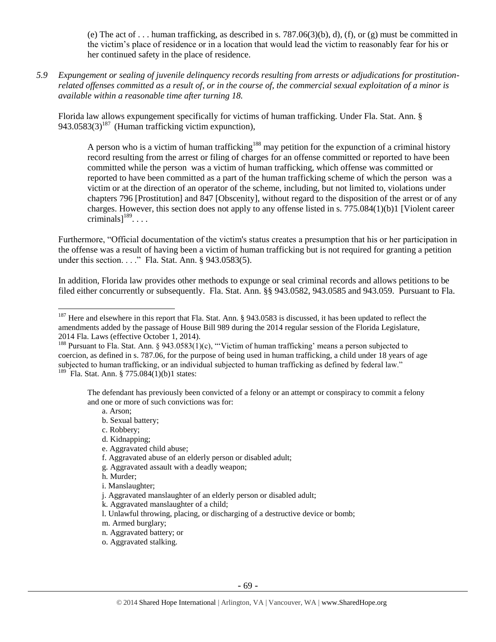(e) The act of ... human trafficking, as described in s. 787.06(3)(b), d), (f), or (g) must be committed in the victim's place of residence or in a location that would lead the victim to reasonably fear for his or her continued safety in the place of residence.

*5.9 Expungement or sealing of juvenile delinquency records resulting from arrests or adjudications for prostitutionrelated offenses committed as a result of, or in the course of, the commercial sexual exploitation of a minor is available within a reasonable time after turning 18.*

Florida law allows expungement specifically for victims of human trafficking. Under Fla. Stat. Ann. §  $943.0583(3)^{187}$  (Human trafficking victim expunction).

A person who is a victim of human trafficking<sup>188</sup> may petition for the expunction of a criminal history record resulting from the arrest or filing of charges for an offense committed or reported to have been committed while the person was a victim of human trafficking, which offense was committed or reported to have been committed as a part of the human trafficking scheme of which the person was a victim or at the direction of an operator of the scheme, including, but not limited to, violations under chapters 796 [Prostitution] and 847 [Obscenity], without regard to the disposition of the arrest or of any charges. However, this section does not apply to any offense listed in s. 775.084(1)(b)1 [Violent career criminals] $189$ ....

Furthermore, "Official documentation of the victim's status creates a presumption that his or her participation in the offense was a result of having been a victim of human trafficking but is not required for granting a petition under this section. . . ." Fla. Stat. Ann. § 943.0583(5).

In addition, Florida law provides other methods to expunge or seal criminal records and allows petitions to be filed either concurrently or subsequently. Fla. Stat. Ann. §§ 943.0582, 943.0585 and 943.059. Pursuant to Fla.

The defendant has previously been convicted of a felony or an attempt or conspiracy to commit a felony and one or more of such convictions was for:

a. Arson;

- b. Sexual battery;
- c. Robbery;
- d. Kidnapping;
- e. Aggravated child abuse;
- f. Aggravated abuse of an elderly person or disabled adult;
- g. Aggravated assault with a deadly weapon;
- h. Murder;
- i. Manslaughter;
- j. Aggravated manslaughter of an elderly person or disabled adult;
- k. Aggravated manslaughter of a child;
- l. Unlawful throwing, placing, or discharging of a destructive device or bomb;
- m. Armed burglary;
- n. Aggravated battery; or
- o. Aggravated stalking.

 $187$  Here and elsewhere in this report that Fla. Stat. Ann. § 943.0583 is discussed, it has been updated to reflect the amendments added by the passage of House Bill 989 during the 2014 regular session of the Florida Legislature, 2014 Fla. Laws (effective October 1, 2014).

<sup>&</sup>lt;sup>188</sup> Pursuant to Fla. Stat. Ann. § 943.0583(1)(c), "Victim of human trafficking' means a person subjected to coercion, as defined in s. 787.06, for the purpose of being used in human trafficking, a child under 18 years of age subjected to human trafficking, or an individual subjected to human trafficking as defined by federal law." <sup>189</sup> Fla. Stat. Ann. § 775.084(1)(b)1 states: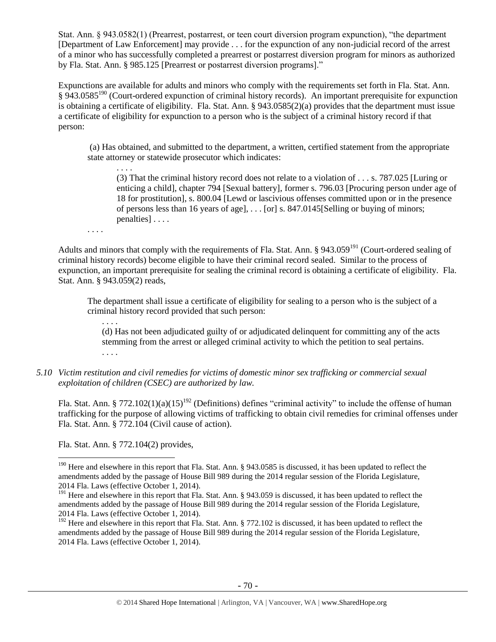Stat. Ann. § 943.0582(1) (Prearrest, postarrest, or teen court diversion program expunction), "the department [Department of Law Enforcement] may provide . . . for the expunction of any non-judicial record of the arrest of a minor who has successfully completed a prearrest or postarrest diversion program for minors as authorized by Fla. Stat. Ann. § 985.125 [Prearrest or postarrest diversion programs]."

Expunctions are available for adults and minors who comply with the requirements set forth in Fla. Stat. Ann. § 943.0585<sup>190</sup> (Court-ordered expunction of criminal history records). An important prerequisite for expunction is obtaining a certificate of eligibility. Fla. Stat. Ann. § 943.0585(2)(a) provides that the department must issue a certificate of eligibility for expunction to a person who is the subject of a criminal history record if that person:

(a) Has obtained, and submitted to the department, a written, certified statement from the appropriate state attorney or statewide prosecutor which indicates:

. . . . (3) That the criminal history record does not relate to a violation of . . . s. 787.025 [Luring or enticing a child], chapter 794 [Sexual battery], former s. 796.03 [Procuring person under age of 18 for prostitution], s. 800.04 [Lewd or lascivious offenses committed upon or in the presence of persons less than 16 years of age],  $\ldots$  [or] s. 847.0145[Selling or buying of minors; penalties] . . . .

. . . .

. . . .

Adults and minors that comply with the requirements of Fla. Stat. Ann. § 943.059<sup>191</sup> (Court-ordered sealing of criminal history records) become eligible to have their criminal record sealed. Similar to the process of expunction, an important prerequisite for sealing the criminal record is obtaining a certificate of eligibility. Fla. Stat. Ann. § 943.059(2) reads,

The department shall issue a certificate of eligibility for sealing to a person who is the subject of a criminal history record provided that such person:

(d) Has not been adjudicated guilty of or adjudicated delinquent for committing any of the acts stemming from the arrest or alleged criminal activity to which the petition to seal pertains. . . . .

*5.10 Victim restitution and civil remedies for victims of domestic minor sex trafficking or commercial sexual exploitation of children (CSEC) are authorized by law.* 

Fla. Stat. Ann. § 772.102(1)(a)(15)<sup>192</sup> (Definitions) defines "criminal activity" to include the offense of human trafficking for the purpose of allowing victims of trafficking to obtain civil remedies for criminal offenses under Fla. Stat. Ann. § 772.104 (Civil cause of action).

Fla. Stat. Ann. § 772.104(2) provides,

 $190$  Here and elsewhere in this report that Fla. Stat. Ann. § 943.0585 is discussed, it has been updated to reflect the amendments added by the passage of House Bill 989 during the 2014 regular session of the Florida Legislature, 2014 Fla. Laws (effective October 1, 2014).

<sup>&</sup>lt;sup>191</sup> Here and elsewhere in this report that Fla. Stat. Ann. § 943.059 is discussed, it has been updated to reflect the amendments added by the passage of House Bill 989 during the 2014 regular session of the Florida Legislature, 2014 Fla. Laws (effective October 1, 2014).

<sup>&</sup>lt;sup>192</sup> Here and elsewhere in this report that Fla. Stat. Ann. § 772.102 is discussed, it has been updated to reflect the amendments added by the passage of House Bill 989 during the 2014 regular session of the Florida Legislature, 2014 Fla. Laws (effective October 1, 2014).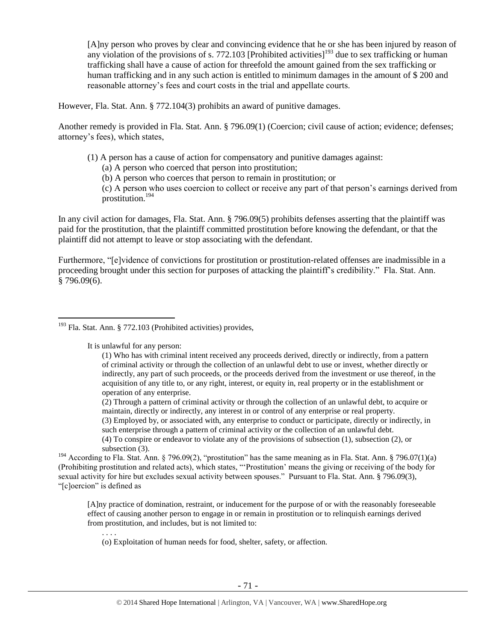[A]ny person who proves by clear and convincing evidence that he or she has been injured by reason of any violation of the provisions of s. 772.103 [Prohibited activities]<sup>193</sup> due to sex trafficking or human trafficking shall have a cause of action for threefold the amount gained from the sex trafficking or human trafficking and in any such action is entitled to minimum damages in the amount of \$ 200 and reasonable attorney's fees and court costs in the trial and appellate courts.

However, Fla. Stat. Ann. § 772.104(3) prohibits an award of punitive damages.

Another remedy is provided in Fla. Stat. Ann. § 796.09(1) (Coercion; civil cause of action; evidence; defenses; attorney's fees), which states,

- (1) A person has a cause of action for compensatory and punitive damages against:
	- (a) A person who coerced that person into prostitution;
	- (b) A person who coerces that person to remain in prostitution; or

(c) A person who uses coercion to collect or receive any part of that person's earnings derived from prostitution.<sup>194</sup>

In any civil action for damages, Fla. Stat. Ann. § 796.09(5) prohibits defenses asserting that the plaintiff was paid for the prostitution, that the plaintiff committed prostitution before knowing the defendant, or that the plaintiff did not attempt to leave or stop associating with the defendant.

Furthermore, "[e]vidence of convictions for prostitution or prostitution-related offenses are inadmissible in a proceeding brought under this section for purposes of attacking the plaintiff's credibility." Fla. Stat. Ann. § 796.09(6).

It is unlawful for any person:

. . . .

- (2) Through a pattern of criminal activity or through the collection of an unlawful debt, to acquire or maintain, directly or indirectly, any interest in or control of any enterprise or real property.
- (3) Employed by, or associated with, any enterprise to conduct or participate, directly or indirectly, in such enterprise through a pattern of criminal activity or the collection of an unlawful debt.

(4) To conspire or endeavor to violate any of the provisions of subsection (1), subsection (2), or subsection (3).

<sup>194</sup> According to Fla. Stat. Ann. § 796.09(2), "prostitution" has the same meaning as in Fla. Stat. Ann. § 796.07(1)(a) (Prohibiting prostitution and related acts), which states, "'Prostitution' means the giving or receiving of the body for sexual activity for hire but excludes sexual activity between spouses." Pursuant to Fla. Stat. Ann. § 796.09(3), "[c]oercion" is defined as

[A]ny practice of domination, restraint, or inducement for the purpose of or with the reasonably foreseeable effect of causing another person to engage in or remain in prostitution or to relinquish earnings derived from prostitution, and includes, but is not limited to:

(o) Exploitation of human needs for food, shelter, safety, or affection.

 $\overline{a}$  $193$  Fla. Stat. Ann. § 772.103 (Prohibited activities) provides,

<sup>(1)</sup> Who has with criminal intent received any proceeds derived, directly or indirectly, from a pattern of criminal activity or through the collection of an unlawful debt to use or invest, whether directly or indirectly, any part of such proceeds, or the proceeds derived from the investment or use thereof, in the acquisition of any title to, or any right, interest, or equity in, real property or in the establishment or operation of any enterprise.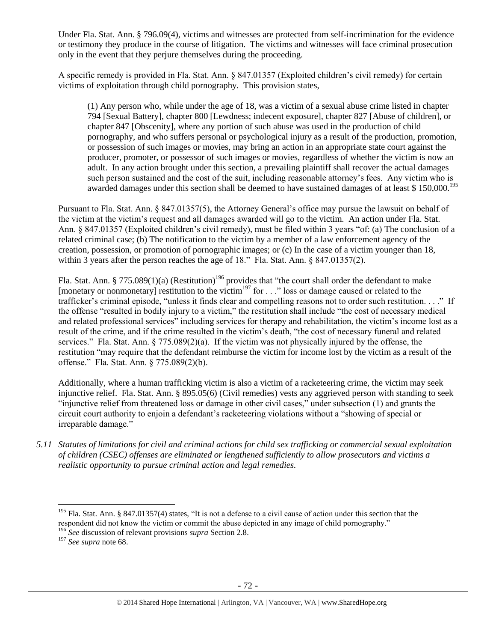Under Fla. Stat. Ann. § 796.09(4), victims and witnesses are protected from self-incrimination for the evidence or testimony they produce in the course of litigation. The victims and witnesses will face criminal prosecution only in the event that they perjure themselves during the proceeding.

A specific remedy is provided in Fla. Stat. Ann. § 847.01357 (Exploited children's civil remedy) for certain victims of exploitation through child pornography. This provision states,

(1) Any person who, while under the age of 18, was a victim of a sexual abuse crime listed in chapter 794 [Sexual Battery], chapter 800 [Lewdness; indecent exposure], chapter 827 [Abuse of children], or chapter 847 [Obscenity], where any portion of such abuse was used in the production of child pornography, and who suffers personal or psychological injury as a result of the production, promotion, or possession of such images or movies, may bring an action in an appropriate state court against the producer, promoter, or possessor of such images or movies, regardless of whether the victim is now an adult. In any action brought under this section, a prevailing plaintiff shall recover the actual damages such person sustained and the cost of the suit, including reasonable attorney's fees. Any victim who is awarded damages under this section shall be deemed to have sustained damages of at least \$150,000.<sup>195</sup>

Pursuant to Fla. Stat. Ann. § 847.01357(5), the Attorney General's office may pursue the lawsuit on behalf of the victim at the victim's request and all damages awarded will go to the victim. An action under Fla. Stat. Ann. § 847.01357 (Exploited children's civil remedy), must be filed within 3 years "of: (a) The conclusion of a related criminal case; (b) The notification to the victim by a member of a law enforcement agency of the creation, possession, or promotion of pornographic images; or (c) In the case of a victim younger than 18, within 3 years after the person reaches the age of 18." Fla. Stat. Ann. § 847.01357(2).

Fla. Stat. Ann. § 775.089(1)(a) (Restitution)<sup>196</sup> provides that "the court shall order the defendant to make [monetary or nonmonetary] restitution to the victim<sup>197</sup> for  $\dots$  " loss or damage caused or related to the trafficker's criminal episode, "unless it finds clear and compelling reasons not to order such restitution. . . ." If the offense "resulted in bodily injury to a victim," the restitution shall include "the cost of necessary medical and related professional services" including services for therapy and rehabilitation, the victim's income lost as a result of the crime, and if the crime resulted in the victim's death, "the cost of necessary funeral and related services." Fla. Stat. Ann. § 775.089(2)(a). If the victim was not physically injured by the offense, the restitution "may require that the defendant reimburse the victim for income lost by the victim as a result of the offense." Fla. Stat. Ann. § 775.089(2)(b).

Additionally, where a human trafficking victim is also a victim of a racketeering crime, the victim may seek injunctive relief. Fla. Stat. Ann. § 895.05(6) (Civil remedies) vests any aggrieved person with standing to seek "injunctive relief from threatened loss or damage in other civil cases," under subsection (1) and grants the circuit court authority to enjoin a defendant's racketeering violations without a "showing of special or irreparable damage."

*5.11 Statutes of limitations for civil and criminal actions for child sex trafficking or commercial sexual exploitation of children (CSEC) offenses are eliminated or lengthened sufficiently to allow prosecutors and victims a realistic opportunity to pursue criminal action and legal remedies.*

<sup>&</sup>lt;sup>195</sup> Fla. Stat. Ann. § 847.01357(4) states, "It is not a defense to a civil cause of action under this section that the respondent did not know the victim or commit the abuse depicted in any image of child pornography." <sup>196</sup> *See* discussion of relevant provisions *supra* Section 2.8.

<sup>197</sup> *See supra* not[e 68.](#page-19-0)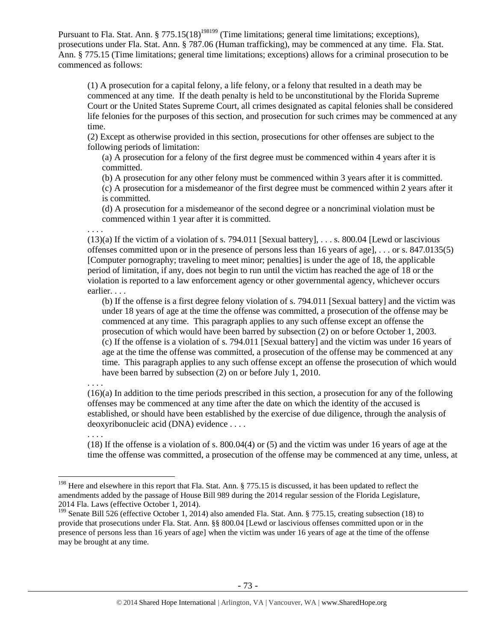Pursuant to Fla. Stat. Ann.  $\S 775.15(18)^{198199}$  (Time limitations; general time limitations; exceptions), prosecutions under Fla. Stat. Ann. § 787.06 (Human trafficking), may be commenced at any time. Fla. Stat. Ann. § 775.15 (Time limitations; general time limitations; exceptions) allows for a criminal prosecution to be commenced as follows:

(1) A prosecution for a capital felony, a life felony, or a felony that resulted in a death may be commenced at any time. If the death penalty is held to be unconstitutional by the Florida Supreme Court or the United States Supreme Court, all crimes designated as capital felonies shall be considered life felonies for the purposes of this section, and prosecution for such crimes may be commenced at any time.

(2) Except as otherwise provided in this section, prosecutions for other offenses are subject to the following periods of limitation:

(a) A prosecution for a felony of the first degree must be commenced within 4 years after it is committed.

(b) A prosecution for any other felony must be commenced within 3 years after it is committed.

(c) A prosecution for a misdemeanor of the first degree must be commenced within 2 years after it is committed.

(d) A prosecution for a misdemeanor of the second degree or a noncriminal violation must be commenced within 1 year after it is committed.

. . . .  $(13)(a)$  If the victim of a violation of s. 794.011 [Sexual battery], ... s. 800.04 [Lewd or lascivious] offenses committed upon or in the presence of persons less than 16 years of age], . . . or s. 847.0135(5) [Computer pornography; traveling to meet minor; penalties] is under the age of 18, the applicable period of limitation, if any, does not begin to run until the victim has reached the age of 18 or the violation is reported to a law enforcement agency or other governmental agency, whichever occurs earlier. . . .

(b) If the offense is a first degree felony violation of s. 794.011 [Sexual battery] and the victim was under 18 years of age at the time the offense was committed, a prosecution of the offense may be commenced at any time. This paragraph applies to any such offense except an offense the prosecution of which would have been barred by subsection (2) on or before October 1, 2003. (c) If the offense is a violation of s. 794.011 [Sexual battery] and the victim was under 16 years of age at the time the offense was committed, a prosecution of the offense may be commenced at any time. This paragraph applies to any such offense except an offense the prosecution of which would have been barred by subsection (2) on or before July 1, 2010.

. . . .

(16)(a) In addition to the time periods prescribed in this section, a prosecution for any of the following offenses may be commenced at any time after the date on which the identity of the accused is established, or should have been established by the exercise of due diligence, through the analysis of deoxyribonucleic acid (DNA) evidence . . . .

. . . .

 $\overline{a}$ 

(18) If the offense is a violation of s. 800.04(4) or (5) and the victim was under 16 years of age at the time the offense was committed, a prosecution of the offense may be commenced at any time, unless, at

<sup>&</sup>lt;sup>198</sup> Here and elsewhere in this report that Fla. Stat. Ann.  $\S 775.15$  is discussed, it has been updated to reflect the amendments added by the passage of House Bill 989 during the 2014 regular session of the Florida Legislature, 2014 Fla. Laws (effective October 1, 2014).

<sup>&</sup>lt;sup>199</sup> Senate Bill 526 (effective October 1, 2014) also amended Fla. Stat. Ann. § 775.15, creating subsection (18) to provide that prosecutions under Fla. Stat. Ann. §§ 800.04 [Lewd or lascivious offenses committed upon or in the presence of persons less than 16 years of age] when the victim was under 16 years of age at the time of the offense may be brought at any time.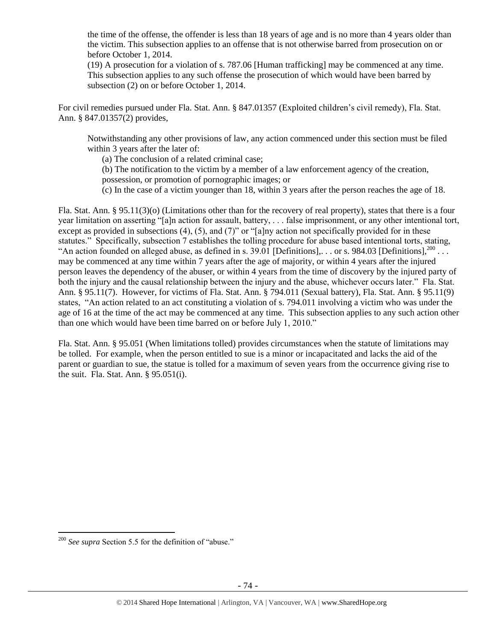the time of the offense, the offender is less than 18 years of age and is no more than 4 years older than the victim. This subsection applies to an offense that is not otherwise barred from prosecution on or before October 1, 2014.

(19) A prosecution for a violation of s. 787.06 [Human trafficking] may be commenced at any time. This subsection applies to any such offense the prosecution of which would have been barred by subsection (2) on or before October 1, 2014.

For civil remedies pursued under Fla. Stat. Ann. § 847.01357 (Exploited children's civil remedy), Fla. Stat. Ann. § 847.01357(2) provides,

Notwithstanding any other provisions of law, any action commenced under this section must be filed within 3 years after the later of:

(a) The conclusion of a related criminal case;

(b) The notification to the victim by a member of a law enforcement agency of the creation, possession, or promotion of pornographic images; or

(c) In the case of a victim younger than 18, within 3 years after the person reaches the age of 18.

Fla. Stat. Ann. § 95.11(3)(o) (Limitations other than for the recovery of real property), states that there is a four year limitation on asserting "[a]n action for assault, battery, . . . false imprisonment, or any other intentional tort, except as provided in subsections (4), (5), and (7)" or "[a]ny action not specifically provided for in these statutes." Specifically, subsection 7 establishes the tolling procedure for abuse based intentional torts, stating, "An action founded on alleged abuse, as defined in s. 39.01 [Definitions],... or s. 984.03 [Definitions],  $^{200}$ ... may be commenced at any time within 7 years after the age of majority, or within 4 years after the injured person leaves the dependency of the abuser, or within 4 years from the time of discovery by the injured party of both the injury and the causal relationship between the injury and the abuse, whichever occurs later." Fla. Stat. Ann. § 95.11(7). However, for victims of Fla. Stat. Ann. § 794.011 (Sexual battery), Fla. Stat. Ann. § 95.11(9) states, "An action related to an act constituting a violation of s. 794.011 involving a victim who was under the age of 16 at the time of the act may be commenced at any time. This subsection applies to any such action other than one which would have been time barred on or before July 1, 2010."

Fla. Stat. Ann. § 95.051 (When limitations tolled) provides circumstances when the statute of limitations may be tolled. For example, when the person entitled to sue is a minor or incapacitated and lacks the aid of the parent or guardian to sue, the statue is tolled for a maximum of seven years from the occurrence giving rise to the suit. Fla. Stat. Ann. § 95.051(i).

 $\overline{a}$ 

<sup>200</sup> *See supra* Section 5.5 for the definition of "abuse."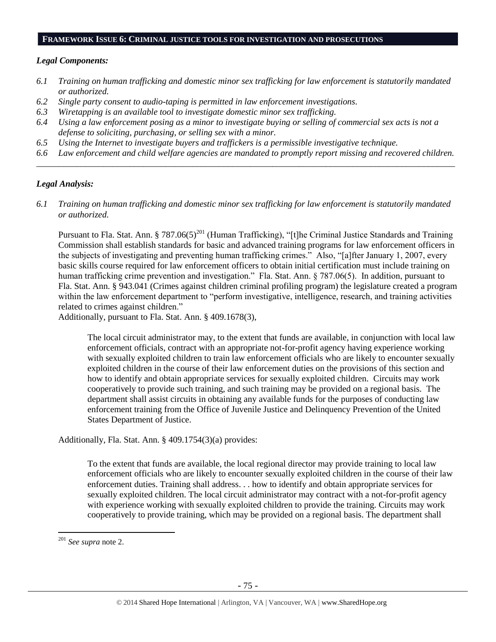#### **FRAMEWORK ISSUE 6: CRIMINAL JUSTICE TOOLS FOR INVESTIGATION AND PROSECUTIONS**

### *Legal Components:*

- *6.1 Training on human trafficking and domestic minor sex trafficking for law enforcement is statutorily mandated or authorized.*
- *6.2 Single party consent to audio-taping is permitted in law enforcement investigations.*
- *6.3 Wiretapping is an available tool to investigate domestic minor sex trafficking.*
- *6.4 Using a law enforcement posing as a minor to investigate buying or selling of commercial sex acts is not a defense to soliciting, purchasing, or selling sex with a minor.*
- *6.5 Using the Internet to investigate buyers and traffickers is a permissible investigative technique.*
- *6.6 Law enforcement and child welfare agencies are mandated to promptly report missing and recovered children. \_\_\_\_\_\_\_\_\_\_\_\_\_\_\_\_\_\_\_\_\_\_\_\_\_\_\_\_\_\_\_\_\_\_\_\_\_\_\_\_\_\_\_\_\_\_\_\_\_\_\_\_\_\_\_\_\_\_\_\_\_\_\_\_\_\_\_\_\_\_\_\_\_\_\_\_\_\_\_\_\_\_\_\_\_\_\_\_\_\_\_\_\_\_*

### *Legal Analysis:*

*6.1 Training on human trafficking and domestic minor sex trafficking for law enforcement is statutorily mandated or authorized.*

Pursuant to Fla. Stat. Ann. § 787.06(5)<sup>201</sup> (Human Trafficking), "[t]he Criminal Justice Standards and Training Commission shall establish standards for basic and advanced training programs for law enforcement officers in the subjects of investigating and preventing human trafficking crimes." Also, "[a]fter January 1, 2007, every basic skills course required for law enforcement officers to obtain initial certification must include training on human trafficking crime prevention and investigation." Fla. Stat. Ann. § 787.06(5). In addition, pursuant to Fla. Stat. Ann. § 943.041 (Crimes against children criminal profiling program) the legislature created a program within the law enforcement department to "perform investigative, intelligence, research, and training activities related to crimes against children."

Additionally, pursuant to Fla. Stat. Ann. § 409.1678(3),

The local circuit administrator may, to the extent that funds are available, in conjunction with local law enforcement officials, contract with an appropriate not-for-profit agency having experience working with sexually exploited children to train law enforcement officials who are likely to encounter sexually exploited children in the course of their law enforcement duties on the provisions of this section and how to identify and obtain appropriate services for sexually exploited children. Circuits may work cooperatively to provide such training, and such training may be provided on a regional basis. The department shall assist circuits in obtaining any available funds for the purposes of conducting law enforcement training from the Office of Juvenile Justice and Delinquency Prevention of the United States Department of Justice.

Additionally, Fla. Stat. Ann. § 409.1754(3)(a) provides:

To the extent that funds are available, the local regional director may provide training to local law enforcement officials who are likely to encounter sexually exploited children in the course of their law enforcement duties. Training shall address. . . how to identify and obtain appropriate services for sexually exploited children. The local circuit administrator may contract with a not-for-profit agency with experience working with sexually exploited children to provide the training. Circuits may work cooperatively to provide training, which may be provided on a regional basis. The department shall

 $\overline{a}$ 

<sup>201</sup> *See supra* not[e 2.](#page-0-0)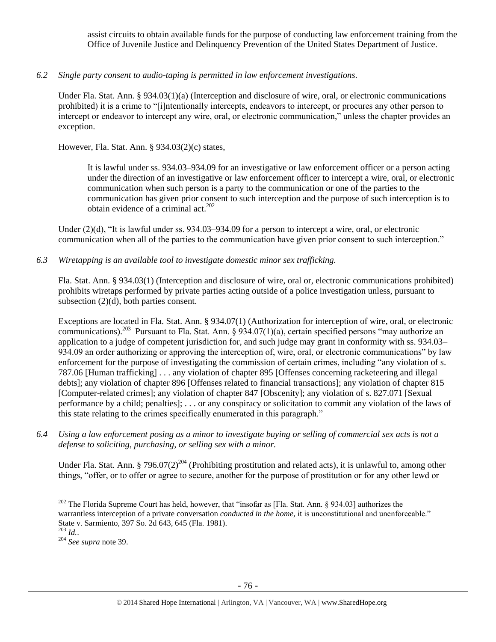assist circuits to obtain available funds for the purpose of conducting law enforcement training from the Office of Juvenile Justice and Delinquency Prevention of the United States Department of Justice.

## *6.2 Single party consent to audio-taping is permitted in law enforcement investigations.*

Under Fla. Stat. Ann. § 934.03(1)(a) (Interception and disclosure of wire, oral, or electronic communications prohibited) it is a crime to "[i]ntentionally intercepts, endeavors to intercept, or procures any other person to intercept or endeavor to intercept any wire, oral, or electronic communication," unless the chapter provides an exception.

However, Fla. Stat. Ann. § 934.03(2)(c) states,

It is lawful under ss. 934.03–934.09 for an investigative or law enforcement officer or a person acting under the direction of an investigative or law enforcement officer to intercept a wire, oral, or electronic communication when such person is a party to the communication or one of the parties to the communication has given prior consent to such interception and the purpose of such interception is to obtain evidence of a criminal act. $202$ 

Under (2)(d), "It is lawful under ss. 934.03–934.09 for a person to intercept a wire, oral, or electronic communication when all of the parties to the communication have given prior consent to such interception."

*6.3 Wiretapping is an available tool to investigate domestic minor sex trafficking.* 

Fla. Stat. Ann. § 934.03(1) (Interception and disclosure of wire, oral or, electronic communications prohibited) prohibits wiretaps performed by private parties acting outside of a police investigation unless, pursuant to subsection (2)(d), both parties consent.

Exceptions are located in Fla. Stat. Ann. § 934.07(1) (Authorization for interception of wire, oral, or electronic communications).<sup>203</sup> Pursuant to Fla. Stat. Ann. § 934.07(1)(a), certain specified persons "may authorize an application to a judge of competent jurisdiction for, and such judge may grant in conformity with ss. 934.03– 934.09 an order authorizing or approving the interception of, wire, oral, or electronic communications" by law enforcement for the purpose of investigating the commission of certain crimes, including "any violation of s. 787.06 [Human trafficking] . . . any violation of chapter 895 [Offenses concerning racketeering and illegal debts]; any violation of chapter 896 [Offenses related to financial transactions]; any violation of chapter 815 [Computer-related crimes]; any violation of chapter 847 [Obscenity]; any violation of s. 827.071 [Sexual performance by a child; penalties]; . . . or any conspiracy or solicitation to commit any violation of the laws of this state relating to the crimes specifically enumerated in this paragraph."

*6.4 Using a law enforcement posing as a minor to investigate buying or selling of commercial sex acts is not a defense to soliciting, purchasing, or selling sex with a minor.*

Under Fla. Stat. Ann. § 796.07(2)<sup>204</sup> (Prohibiting prostitution and related acts), it is unlawful to, among other things, "offer, or to offer or agree to secure, another for the purpose of prostitution or for any other lewd or

 $\overline{a}$ <sup>202</sup> The Florida Supreme Court has held, however, that "insofar as [Fla. Stat. Ann. § 934.03] authorizes the warrantless interception of a private conversation *conducted in the home*, it is unconstitutional and unenforceable." State v. Sarmiento, 397 So. 2d 643, 645 (Fla. 1981). <sup>203</sup> *Id.*.

<sup>204</sup> *See supra* not[e 39.](#page-10-0)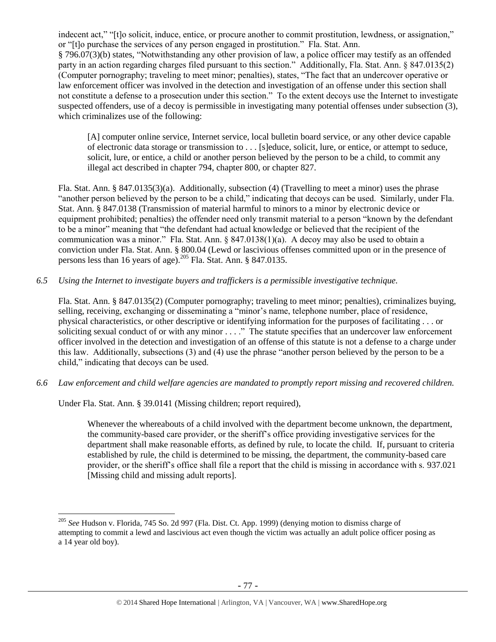indecent act," "[t]o solicit, induce, entice, or procure another to commit prostitution, lewdness, or assignation," or "[t]o purchase the services of any person engaged in prostitution." Fla. Stat. Ann. § 796.07(3)(b) states, "Notwithstanding any other provision of law, a police officer may testify as an offended party in an action regarding charges filed pursuant to this section." Additionally, Fla. Stat. Ann. § 847.0135(2) (Computer pornography; traveling to meet minor; penalties), states, "The fact that an undercover operative or law enforcement officer was involved in the detection and investigation of an offense under this section shall not constitute a defense to a prosecution under this section." To the extent decoys use the Internet to investigate suspected offenders, use of a decoy is permissible in investigating many potential offenses under subsection (3), which criminalizes use of the following:

[A] computer online service, Internet service, local bulletin board service, or any other device capable of electronic data storage or transmission to . . . [s]educe, solicit, lure, or entice, or attempt to seduce, solicit, lure, or entice, a child or another person believed by the person to be a child, to commit any illegal act described in chapter 794, chapter 800, or chapter 827.

Fla. Stat. Ann. § 847.0135(3)(a). Additionally, subsection (4) (Travelling to meet a minor) uses the phrase "another person believed by the person to be a child," indicating that decoys can be used. Similarly, under Fla. Stat. Ann. § 847.0138 (Transmission of material harmful to minors to a minor by electronic device or equipment prohibited; penalties) the offender need only transmit material to a person "known by the defendant to be a minor" meaning that "the defendant had actual knowledge or believed that the recipient of the communication was a minor." Fla. Stat. Ann. § 847.0138(1)(a). A decoy may also be used to obtain a conviction under Fla. Stat. Ann. § 800.04 (Lewd or lascivious offenses committed upon or in the presence of persons less than 16 years of age).<sup>205</sup> Fla. Stat. Ann. § 847.0135.

# *6.5 Using the Internet to investigate buyers and traffickers is a permissible investigative technique.*

Fla. Stat. Ann. § 847.0135(2) (Computer pornography; traveling to meet minor; penalties), criminalizes buying, selling, receiving, exchanging or disseminating a "minor's name, telephone number, place of residence, physical characteristics, or other descriptive or identifying information for the purposes of facilitating . . . or soliciting sexual conduct of or with any minor  $\dots$ ." The statute specifies that an undercover law enforcement officer involved in the detection and investigation of an offense of this statute is not a defense to a charge under this law. Additionally, subsections (3) and (4) use the phrase "another person believed by the person to be a child," indicating that decoys can be used.

# *6.6 Law enforcement and child welfare agencies are mandated to promptly report missing and recovered children.*

Under Fla. Stat. Ann. § 39.0141 (Missing children; report required),

 $\overline{a}$ 

Whenever the whereabouts of a child involved with the department become unknown, the department, the community-based care provider, or the sheriff's office providing investigative services for the department shall make reasonable efforts, as defined by rule, to locate the child. If, pursuant to criteria established by rule, the child is determined to be missing, the department, the community-based care provider, or the sheriff's office shall file a report that the child is missing in accordance with s. 937.021 [Missing child and missing adult reports].

<sup>205</sup> *See* Hudson v. Florida, 745 So. 2d 997 (Fla. Dist. Ct. App. 1999) (denying motion to dismiss charge of attempting to commit a lewd and lascivious act even though the victim was actually an adult police officer posing as a 14 year old boy).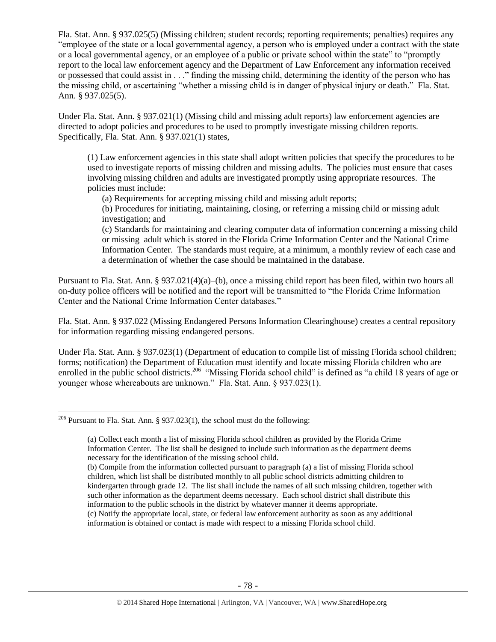Fla. Stat. Ann. § 937.025(5) (Missing children; student records; reporting requirements; penalties) requires any "employee of the state or a local governmental agency, a person who is employed under a contract with the state or a local governmental agency, or an employee of a public or private school within the state" to "promptly report to the local law enforcement agency and the Department of Law Enforcement any information received or possessed that could assist in . . ." finding the missing child, determining the identity of the person who has the missing child, or ascertaining "whether a missing child is in danger of physical injury or death." Fla. Stat. Ann. § 937.025(5).

Under Fla. Stat. Ann. § 937.021(1) (Missing child and missing adult reports) law enforcement agencies are directed to adopt policies and procedures to be used to promptly investigate missing children reports. Specifically, Fla. Stat. Ann. § 937.021(1) states,

(1) Law enforcement agencies in this state shall adopt written policies that specify the procedures to be used to investigate reports of missing children and missing adults. The policies must ensure that cases involving missing children and adults are investigated promptly using appropriate resources. The policies must include:

(a) Requirements for accepting missing child and missing adult reports;

(b) Procedures for initiating, maintaining, closing, or referring a missing child or missing adult investigation; and

(c) Standards for maintaining and clearing computer data of information concerning a missing child or missing adult which is stored in the Florida Crime Information Center and the National Crime Information Center. The standards must require, at a minimum, a monthly review of each case and a determination of whether the case should be maintained in the database.

Pursuant to Fla. Stat. Ann. § 937.021(4)(a)–(b), once a missing child report has been filed, within two hours all on-duty police officers will be notified and the report will be transmitted to "the Florida Crime Information Center and the National Crime Information Center databases."

Fla. Stat. Ann. § 937.022 (Missing Endangered Persons Information Clearinghouse) creates a central repository for information regarding missing endangered persons.

Under Fla. Stat. Ann. § 937.023(1) (Department of education to compile list of missing Florida school children; forms; notification) the Department of Education must identify and locate missing Florida children who are enrolled in the public school districts.<sup>206</sup> "Missing Florida school child" is defined as "a child 18 years of age or younger whose whereabouts are unknown." Fla. Stat. Ann. § 937.023(1).

 $\overline{a}$ <sup>206</sup> Pursuant to Fla. Stat. Ann. § 937.023(1), the school must do the following:

<sup>(</sup>a) Collect each month a list of missing Florida school children as provided by the Florida Crime Information Center. The list shall be designed to include such information as the department deems necessary for the identification of the missing school child.

<sup>(</sup>b) Compile from the information collected pursuant to paragraph (a) a list of missing Florida school children, which list shall be distributed monthly to all public school districts admitting children to kindergarten through grade 12. The list shall include the names of all such missing children, together with such other information as the department deems necessary. Each school district shall distribute this information to the public schools in the district by whatever manner it deems appropriate. (c) Notify the appropriate local, state, or federal law enforcement authority as soon as any additional information is obtained or contact is made with respect to a missing Florida school child.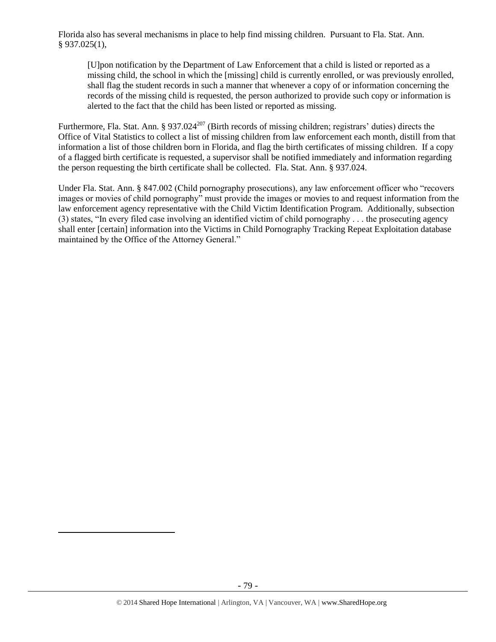Florida also has several mechanisms in place to help find missing children. Pursuant to Fla. Stat. Ann. § 937.025(1),

[U]pon notification by the Department of Law Enforcement that a child is listed or reported as a missing child, the school in which the [missing] child is currently enrolled, or was previously enrolled, shall flag the student records in such a manner that whenever a copy of or information concerning the records of the missing child is requested, the person authorized to provide such copy or information is alerted to the fact that the child has been listed or reported as missing.

Furthermore, Fla. Stat. Ann. § 937.024<sup>207</sup> (Birth records of missing children; registrars' duties) directs the Office of Vital Statistics to collect a list of missing children from law enforcement each month, distill from that information a list of those children born in Florida, and flag the birth certificates of missing children. If a copy of a flagged birth certificate is requested, a supervisor shall be notified immediately and information regarding the person requesting the birth certificate shall be collected. Fla. Stat. Ann. § 937.024.

Under Fla. Stat. Ann. § 847.002 (Child pornography prosecutions), any law enforcement officer who "recovers images or movies of child pornography" must provide the images or movies to and request information from the law enforcement agency representative with the Child Victim Identification Program. Additionally, subsection (3) states, "In every filed case involving an identified victim of child pornography . . . the prosecuting agency shall enter [certain] information into the Victims in Child Pornography Tracking Repeat Exploitation database maintained by the Office of the Attorney General."

 $\overline{a}$